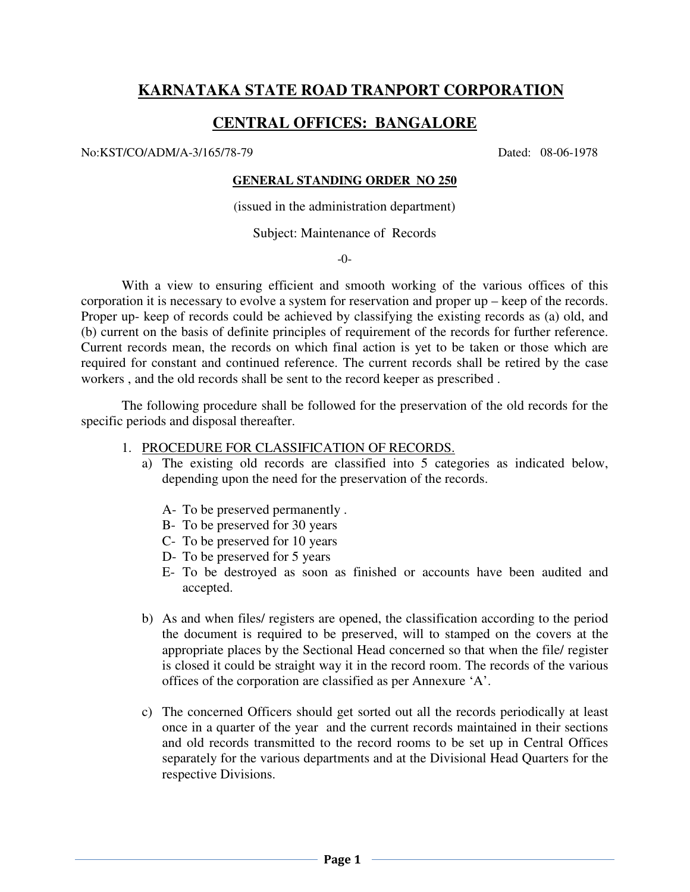# **KARNATAKA STATE ROAD TRANPORT CORPORATION**

# **CENTRAL OFFICES: BANGALORE**

No:KST/CO/ADM/A-3/165/78-79 Dated: 08-06-1978

# **GENERAL STANDING ORDER NO 250**

(issued in the administration department)

Subject: Maintenance of Records

-0-

With a view to ensuring efficient and smooth working of the various offices of this corporation it is necessary to evolve a system for reservation and proper up – keep of the records. Proper up- keep of records could be achieved by classifying the existing records as (a) old, and (b) current on the basis of definite principles of requirement of the records for further reference. Current records mean, the records on which final action is yet to be taken or those which are required for constant and continued reference. The current records shall be retired by the case workers , and the old records shall be sent to the record keeper as prescribed .

The following procedure shall be followed for the preservation of the old records for the specific periods and disposal thereafter.

- 1. PROCEDURE FOR CLASSIFICATION OF RECORDS.
	- a) The existing old records are classified into 5 categories as indicated below, depending upon the need for the preservation of the records.
		- A- To be preserved permanently .
		- B- To be preserved for 30 years
		- C- To be preserved for 10 years
		- D- To be preserved for 5 years
		- E- To be destroyed as soon as finished or accounts have been audited and accepted.
	- b) As and when files/ registers are opened, the classification according to the period the document is required to be preserved, will to stamped on the covers at the appropriate places by the Sectional Head concerned so that when the file/ register is closed it could be straight way it in the record room. The records of the various offices of the corporation are classified as per Annexure 'A'.
	- c) The concerned Officers should get sorted out all the records periodically at least once in a quarter of the year and the current records maintained in their sections and old records transmitted to the record rooms to be set up in Central Offices separately for the various departments and at the Divisional Head Quarters for the respective Divisions.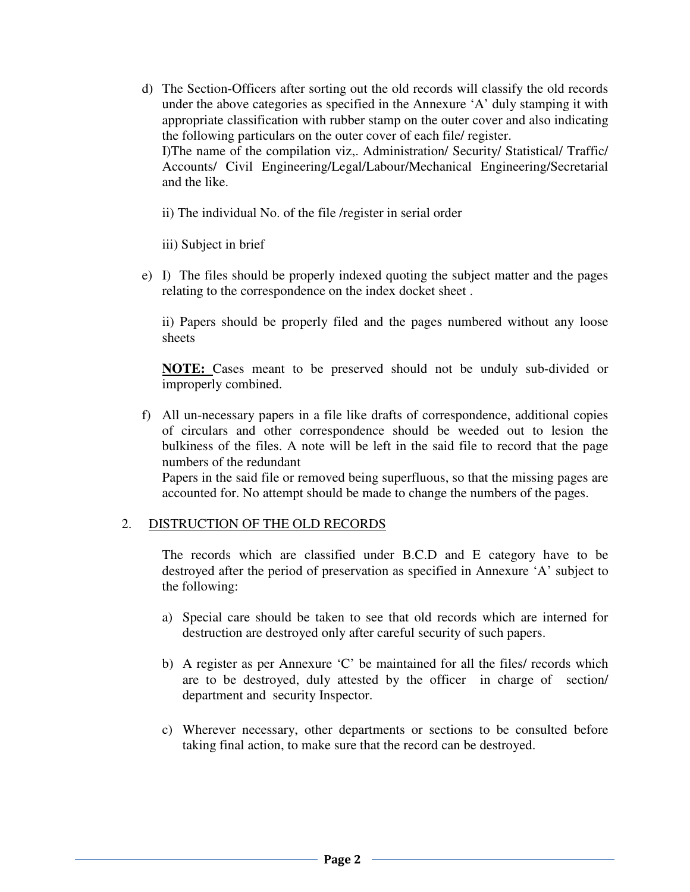d) The Section-Officers after sorting out the old records will classify the old records under the above categories as specified in the Annexure 'A' duly stamping it with appropriate classification with rubber stamp on the outer cover and also indicating the following particulars on the outer cover of each file/ register. I)The name of the compilation viz,. Administration/ Security/ Statistical/ Traffic/ Accounts/ Civil Engineering/Legal/Labour/Mechanical Engineering/Secretarial and the like.

ii) The individual No. of the file /register in serial order

iii) Subject in brief

e) I) The files should be properly indexed quoting the subject matter and the pages relating to the correspondence on the index docket sheet .

ii) Papers should be properly filed and the pages numbered without any loose sheets

**NOTE:** Cases meant to be preserved should not be unduly sub-divided or improperly combined.

f) All un-necessary papers in a file like drafts of correspondence, additional copies of circulars and other correspondence should be weeded out to lesion the bulkiness of the files. A note will be left in the said file to record that the page numbers of the redundant Papers in the said file or removed being superfluous, so that the missing pages are accounted for. No attempt should be made to change the numbers of the pages.

# 2. DISTRUCTION OF THE OLD RECORDS

The records which are classified under B.C.D and E category have to be destroyed after the period of preservation as specified in Annexure 'A' subject to the following:

- a) Special care should be taken to see that old records which are interned for destruction are destroyed only after careful security of such papers.
- b) A register as per Annexure 'C' be maintained for all the files/ records which are to be destroyed, duly attested by the officer in charge of section/ department and security Inspector.
- c) Wherever necessary, other departments or sections to be consulted before taking final action, to make sure that the record can be destroyed.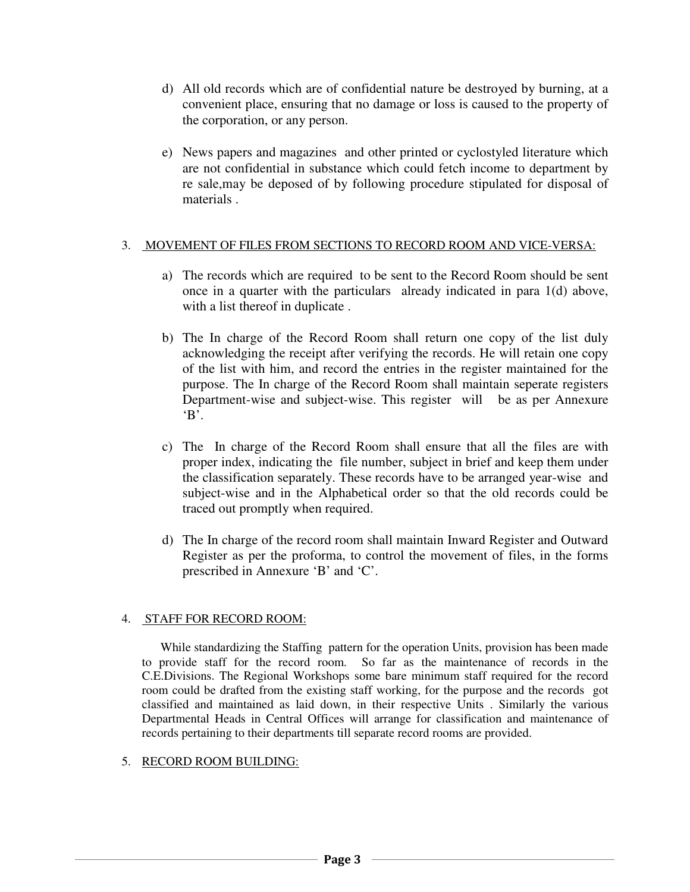- d) All old records which are of confidential nature be destroyed by burning, at a convenient place, ensuring that no damage or loss is caused to the property of the corporation, or any person.
- e) News papers and magazines and other printed or cyclostyled literature which are not confidential in substance which could fetch income to department by re sale,may be deposed of by following procedure stipulated for disposal of materials .

# 3. MOVEMENT OF FILES FROM SECTIONS TO RECORD ROOM AND VICE-VERSA:

- a) The records which are required to be sent to the Record Room should be sent once in a quarter with the particulars already indicated in para 1(d) above, with a list thereof in duplicate .
- b) The In charge of the Record Room shall return one copy of the list duly acknowledging the receipt after verifying the records. He will retain one copy of the list with him, and record the entries in the register maintained for the purpose. The In charge of the Record Room shall maintain seperate registers Department-wise and subject-wise. This register will be as per Annexure  $B'.$
- c) The In charge of the Record Room shall ensure that all the files are with proper index, indicating the file number, subject in brief and keep them under the classification separately. These records have to be arranged year-wise and subject-wise and in the Alphabetical order so that the old records could be traced out promptly when required.
- d) The In charge of the record room shall maintain Inward Register and Outward Register as per the proforma, to control the movement of files, in the forms prescribed in Annexure 'B' and 'C'.

# 4. STAFF FOR RECORD ROOM:

 While standardizing the Staffing pattern for the operation Units, provision has been made to provide staff for the record room. So far as the maintenance of records in the C.E.Divisions. The Regional Workshops some bare minimum staff required for the record room could be drafted from the existing staff working, for the purpose and the records got classified and maintained as laid down, in their respective Units . Similarly the various Departmental Heads in Central Offices will arrange for classification and maintenance of records pertaining to their departments till separate record rooms are provided.

# 5. RECORD ROOM BUILDING: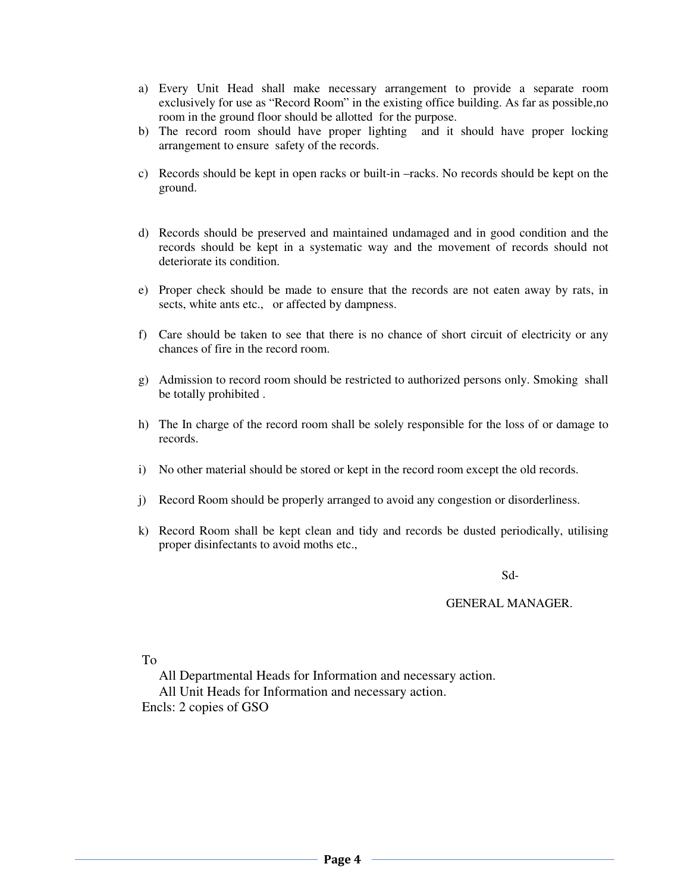- a) Every Unit Head shall make necessary arrangement to provide a separate room exclusively for use as "Record Room" in the existing office building. As far as possible,no room in the ground floor should be allotted for the purpose.
- b) The record room should have proper lighting and it should have proper locking arrangement to ensure safety of the records.
- c) Records should be kept in open racks or built-in –racks. No records should be kept on the ground.
- d) Records should be preserved and maintained undamaged and in good condition and the records should be kept in a systematic way and the movement of records should not deteriorate its condition.
- e) Proper check should be made to ensure that the records are not eaten away by rats, in sects, white ants etc., or affected by dampness.
- f) Care should be taken to see that there is no chance of short circuit of electricity or any chances of fire in the record room.
- g) Admission to record room should be restricted to authorized persons only. Smoking shall be totally prohibited .
- h) The In charge of the record room shall be solely responsible for the loss of or damage to records.
- i) No other material should be stored or kept in the record room except the old records.
- j) Record Room should be properly arranged to avoid any congestion or disorderliness.
- k) Record Room shall be kept clean and tidy and records be dusted periodically, utilising proper disinfectants to avoid moths etc.,

Sd-

#### GENERAL MANAGER.

To

 All Departmental Heads for Information and necessary action. All Unit Heads for Information and necessary action. Encls: 2 copies of GSO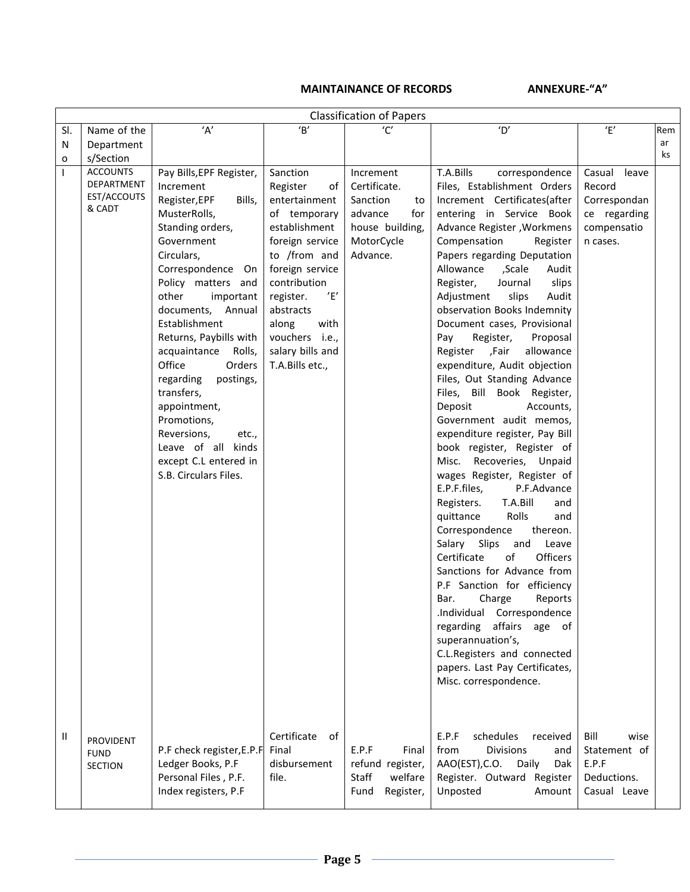# MAINTAINANCE OF RECORDS ANNEXURE-"A"

|              | <b>Classification of Papers</b>                        |                                                                                                                                                                                                                                                                                                                                                                                                                                                                                          |                                                                                                                                                                                                                                                                 |                                                                                                            |                                                                                                                                                                                                                                                                                                                                                                                                                                                                                                                                                                                                                                                                                                                                                                                                                                                                                                                                                                                                                                                                                                                                                                                                |                                                                                      |     |
|--------------|--------------------------------------------------------|------------------------------------------------------------------------------------------------------------------------------------------------------------------------------------------------------------------------------------------------------------------------------------------------------------------------------------------------------------------------------------------------------------------------------------------------------------------------------------------|-----------------------------------------------------------------------------------------------------------------------------------------------------------------------------------------------------------------------------------------------------------------|------------------------------------------------------------------------------------------------------------|------------------------------------------------------------------------------------------------------------------------------------------------------------------------------------------------------------------------------------------------------------------------------------------------------------------------------------------------------------------------------------------------------------------------------------------------------------------------------------------------------------------------------------------------------------------------------------------------------------------------------------------------------------------------------------------------------------------------------------------------------------------------------------------------------------------------------------------------------------------------------------------------------------------------------------------------------------------------------------------------------------------------------------------------------------------------------------------------------------------------------------------------------------------------------------------------|--------------------------------------------------------------------------------------|-----|
| SI.          | Name of the                                            | $'\mathsf{A}'$                                                                                                                                                                                                                                                                                                                                                                                                                                                                           | $\overline{B}$                                                                                                                                                                                                                                                  | $^{\prime}$ C $^{\prime}$                                                                                  | $^{\prime}$ D'                                                                                                                                                                                                                                                                                                                                                                                                                                                                                                                                                                                                                                                                                                                                                                                                                                                                                                                                                                                                                                                                                                                                                                                 | $^\prime$ E'                                                                         | Rem |
| N            | Department                                             |                                                                                                                                                                                                                                                                                                                                                                                                                                                                                          |                                                                                                                                                                                                                                                                 |                                                                                                            |                                                                                                                                                                                                                                                                                                                                                                                                                                                                                                                                                                                                                                                                                                                                                                                                                                                                                                                                                                                                                                                                                                                                                                                                |                                                                                      | ar  |
| 0            | s/Section                                              |                                                                                                                                                                                                                                                                                                                                                                                                                                                                                          |                                                                                                                                                                                                                                                                 |                                                                                                            |                                                                                                                                                                                                                                                                                                                                                                                                                                                                                                                                                                                                                                                                                                                                                                                                                                                                                                                                                                                                                                                                                                                                                                                                |                                                                                      | ks  |
| $\mathsf{I}$ | <b>ACCOUNTS</b><br>DEPARTMENT<br>EST/ACCOUTS<br>& CADT | Pay Bills, EPF Register,<br>Increment<br>Register, EPF<br>Bills,<br>MusterRolls,<br>Standing orders,<br>Government<br>Circulars,<br>Correspondence<br>On I<br>Policy matters and<br>other<br>important<br>documents, Annual<br>Establishment<br>Returns, Paybills with<br>acquaintance Rolls,<br>Office<br>Orders<br>regarding<br>postings,<br>transfers,<br>appointment,<br>Promotions,<br>Reversions,<br>etc.,<br>Leave of all kinds<br>except C.L entered in<br>S.B. Circulars Files. | Sanction<br>Register<br>of I<br>entertainment<br>of temporary<br>establishment<br>foreign service<br>to /from and<br>foreign service<br>contribution<br>'E'<br>register.<br>abstracts<br>with<br>along<br>vouchers i.e.,<br>salary bills and<br>T.A.Bills etc., | Increment<br>Certificate.<br>Sanction<br>to<br>advance<br>for<br>house building,<br>MotorCycle<br>Advance. | T.A.Bills<br>correspondence<br>Files, Establishment Orders<br>Increment Certificates(after<br>entering in Service Book<br>Advance Register , Workmens<br>Compensation<br>Register<br>Papers regarding Deputation<br>Allowance<br>,Scale<br>Audit<br>Journal<br>slips<br>Register,<br>slips<br>Audit<br>Adjustment<br>observation Books Indemnity<br>Document cases, Provisional<br>Register,<br>Proposal<br>Pay<br>allowance<br>Register<br>,Fair<br>expenditure, Audit objection<br>Files, Out Standing Advance<br>Files, Bill Book Register,<br>Deposit<br>Accounts,<br>Government audit memos,<br>expenditure register, Pay Bill<br>book register, Register of<br>Recoveries, Unpaid<br>Misc.<br>wages Register, Register of<br>E.P.F.files,<br>P.F.Advance<br>T.A.Bill<br>Registers.<br>and<br>Rolls<br>quittance<br>and<br>Correspondence<br>thereon.<br>Salary Slips<br>and<br>Leave<br>Officers<br>Certificate<br>of<br>Sanctions for Advance from<br>P.F Sanction for efficiency<br>Charge<br>Reports<br>Bar.<br>.Individual Correspondence<br>regarding affairs age of<br>superannuation's,<br>C.L.Registers and connected<br>papers. Last Pay Certificates,<br>Misc. correspondence. | Casual<br>leave<br>Record<br>Correspondan<br>ce regarding<br>compensatio<br>n cases. |     |
| Ш            | PROVIDENT<br><b>FUND</b><br><b>SECTION</b>             | P.F check register, E.P.F<br>Ledger Books, P.F<br>Personal Files, P.F.<br>Index registers, P.F                                                                                                                                                                                                                                                                                                                                                                                           | Certificate<br>of<br>Final<br>disbursement<br>file.                                                                                                                                                                                                             | E.P.F<br>Final<br>refund register,<br>welfare<br>Staff<br>Fund<br>Register,                                | E.P.F<br>schedules<br>received<br><b>Divisions</b><br>from<br>and<br>AAO(EST), C.O.<br>Daily<br>Dak<br>Register. Outward Register<br>Unposted<br>Amount                                                                                                                                                                                                                                                                                                                                                                                                                                                                                                                                                                                                                                                                                                                                                                                                                                                                                                                                                                                                                                        | Bill<br>wise<br>Statement of<br>E.P.F<br>Deductions.<br>Casual Leave                 |     |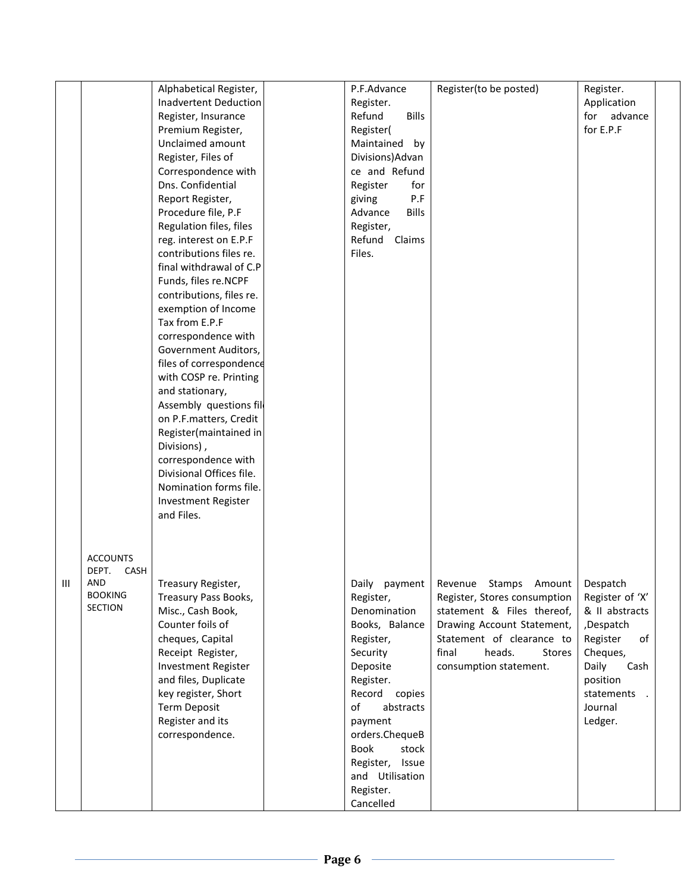|   |                                  | Alphabetical Register,       | P.F.Advance             | Register(to be posted)                           | Register.       |  |
|---|----------------------------------|------------------------------|-------------------------|--------------------------------------------------|-----------------|--|
|   |                                  | <b>Inadvertent Deduction</b> | Register.               |                                                  | Application     |  |
|   |                                  | Register, Insurance          | Refund<br><b>Bills</b>  |                                                  | for advance     |  |
|   |                                  | Premium Register,            | Register(               |                                                  | for E.P.F       |  |
|   |                                  | Unclaimed amount             | Maintained<br>by        |                                                  |                 |  |
|   |                                  | Register, Files of           | Divisions) Advan        |                                                  |                 |  |
|   |                                  |                              |                         |                                                  |                 |  |
|   |                                  | Correspondence with          | ce and Refund           |                                                  |                 |  |
|   |                                  | Dns. Confidential            | Register<br>for         |                                                  |                 |  |
|   |                                  | Report Register,             | P.F<br>giving           |                                                  |                 |  |
|   |                                  | Procedure file, P.F          | Advance<br><b>Bills</b> |                                                  |                 |  |
|   |                                  | Regulation files, files      | Register,               |                                                  |                 |  |
|   |                                  | reg. interest on E.P.F       | Refund<br>Claims        |                                                  |                 |  |
|   |                                  | contributions files re.      | Files.                  |                                                  |                 |  |
|   |                                  | final withdrawal of C.P      |                         |                                                  |                 |  |
|   |                                  | Funds, files re.NCPF         |                         |                                                  |                 |  |
|   |                                  | contributions, files re.     |                         |                                                  |                 |  |
|   |                                  | exemption of Income          |                         |                                                  |                 |  |
|   |                                  | Tax from E.P.F               |                         |                                                  |                 |  |
|   |                                  | correspondence with          |                         |                                                  |                 |  |
|   |                                  | Government Auditors,         |                         |                                                  |                 |  |
|   |                                  | files of correspondence      |                         |                                                  |                 |  |
|   |                                  | with COSP re. Printing       |                         |                                                  |                 |  |
|   |                                  | and stationary,              |                         |                                                  |                 |  |
|   |                                  | Assembly questions fil       |                         |                                                  |                 |  |
|   |                                  | on P.F.matters, Credit       |                         |                                                  |                 |  |
|   |                                  | Register(maintained in       |                         |                                                  |                 |  |
|   |                                  | Divisions),                  |                         |                                                  |                 |  |
|   |                                  | correspondence with          |                         |                                                  |                 |  |
|   |                                  | Divisional Offices file.     |                         |                                                  |                 |  |
|   |                                  | Nomination forms file.       |                         |                                                  |                 |  |
|   |                                  | <b>Investment Register</b>   |                         |                                                  |                 |  |
|   |                                  | and Files.                   |                         |                                                  |                 |  |
|   |                                  |                              |                         |                                                  |                 |  |
|   |                                  |                              |                         |                                                  |                 |  |
|   |                                  |                              |                         |                                                  |                 |  |
|   | <b>ACCOUNTS</b>                  |                              |                         |                                                  |                 |  |
|   | CASH<br>DEPT.                    |                              |                         |                                                  |                 |  |
| Ш | AND                              | Treasury Register,           |                         | Daily payment   Revenue Stamps Amount   Despatch |                 |  |
|   | <b>BOOKING</b><br><b>SECTION</b> | Treasury Pass Books,         | Register,               | Register, Stores consumption                     | Register of 'X' |  |
|   |                                  | Misc., Cash Book,            | Denomination            | statement & Files thereof,                       | & II abstracts  |  |
|   |                                  | Counter foils of             | Books, Balance          | Drawing Account Statement,                       | ,Despatch       |  |
|   |                                  | cheques, Capital             | Register,               | Statement of clearance to                        | Register<br>of  |  |
|   |                                  | Receipt Register,            | Security                | final<br>heads.<br>Stores                        | Cheques,        |  |
|   |                                  | Investment Register          | Deposite                | consumption statement.                           | Daily<br>Cash   |  |
|   |                                  | and files, Duplicate         | Register.               |                                                  | position        |  |
|   |                                  | key register, Short          | Record copies           |                                                  | statements.     |  |
|   |                                  | Term Deposit                 | of<br>abstracts         |                                                  | Journal         |  |
|   |                                  | Register and its             | payment                 |                                                  | Ledger.         |  |
|   |                                  | correspondence.              | orders.ChequeB          |                                                  |                 |  |
|   |                                  |                              | Book<br>stock           |                                                  |                 |  |
|   |                                  |                              | Register, Issue         |                                                  |                 |  |
|   |                                  |                              | and Utilisation         |                                                  |                 |  |
|   |                                  |                              | Register.               |                                                  |                 |  |
|   |                                  |                              | Cancelled               |                                                  |                 |  |
|   |                                  |                              |                         |                                                  |                 |  |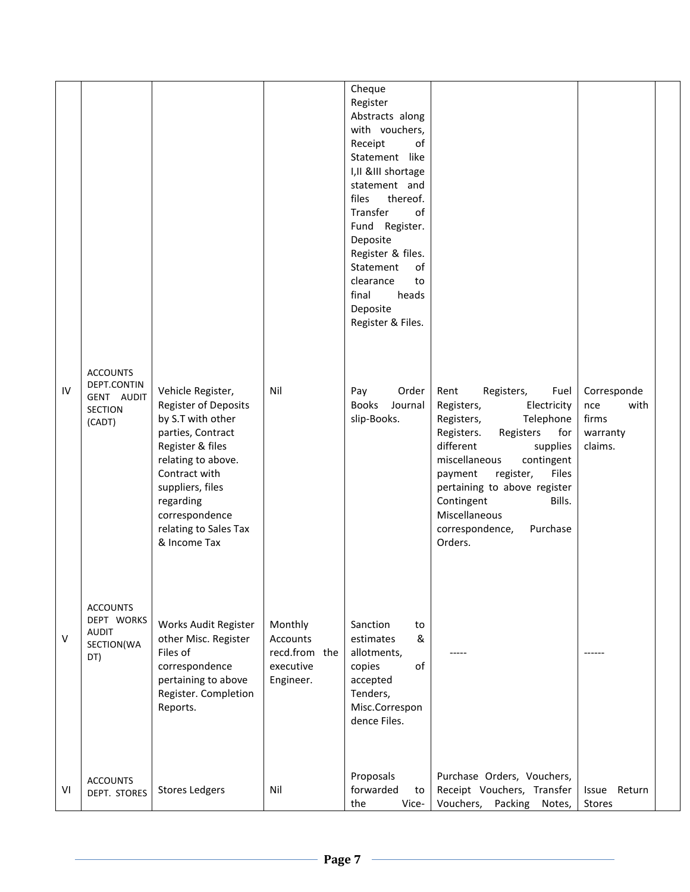|    |                                                                          |                                                                                                                                                                                                                                                   |                                                                | Cheque<br>Register<br>Abstracts along<br>with vouchers,<br>Receipt<br>of<br>Statement like<br>I, II & III shortage<br>statement and<br>thereof.<br>files<br>Transfer<br>of<br>Fund Register.<br>Deposite<br>Register & files.<br>Statement<br>of<br>clearance<br>to<br>final<br>heads<br>Deposite<br>Register & Files. |                                                                                                                                                                                                                                                                                                                                  |                                                            |
|----|--------------------------------------------------------------------------|---------------------------------------------------------------------------------------------------------------------------------------------------------------------------------------------------------------------------------------------------|----------------------------------------------------------------|------------------------------------------------------------------------------------------------------------------------------------------------------------------------------------------------------------------------------------------------------------------------------------------------------------------------|----------------------------------------------------------------------------------------------------------------------------------------------------------------------------------------------------------------------------------------------------------------------------------------------------------------------------------|------------------------------------------------------------|
| IV | <b>ACCOUNTS</b><br>DEPT.CONTIN<br>GENT AUDIT<br><b>SECTION</b><br>(CADT) | Vehicle Register,<br><b>Register of Deposits</b><br>by S.T with other<br>parties, Contract<br>Register & files<br>relating to above.<br>Contract with<br>suppliers, files<br>regarding<br>correspondence<br>relating to Sales Tax<br>& Income Tax | Nil                                                            | Pay<br>Order<br><b>Books</b><br>Journal<br>slip-Books.                                                                                                                                                                                                                                                                 | Fuel<br>Rent<br>Registers,<br>Electricity<br>Registers,<br>Registers,<br>Telephone<br>Registers.<br>Registers<br>for<br>different<br>supplies<br>miscellaneous<br>contingent<br>register,<br>Files<br>payment<br>pertaining to above register<br>Contingent<br>Bills.<br>Miscellaneous<br>Purchase<br>correspondence,<br>Orders. | Corresponde<br>with<br>nce<br>firms<br>warranty<br>claims. |
| ٧  | <b>ACCOUNTS</b><br>DEPT WORKS<br><b>AUDIT</b><br>SECTION(WA<br>DT)       | Works Audit Register<br>other Misc. Register<br>Files of<br>correspondence<br>pertaining to above<br>Register. Completion<br>Reports.                                                                                                             | Monthly<br>Accounts<br>recd.from the<br>executive<br>Engineer. | Sanction<br>to<br>&<br>estimates<br>allotments,<br>of<br>copies<br>accepted<br>Tenders,<br>Misc.Correspon<br>dence Files.                                                                                                                                                                                              |                                                                                                                                                                                                                                                                                                                                  | $---$                                                      |
| ٧I | <b>ACCOUNTS</b><br>DEPT. STORES                                          | <b>Stores Ledgers</b>                                                                                                                                                                                                                             | Nil                                                            | Proposals<br>forwarded<br>to<br>the<br>Vice-                                                                                                                                                                                                                                                                           | Purchase Orders, Vouchers,<br>Receipt Vouchers, Transfer<br>Vouchers,<br>Packing<br>Notes,                                                                                                                                                                                                                                       | Return<br><b>Issue</b><br>Stores                           |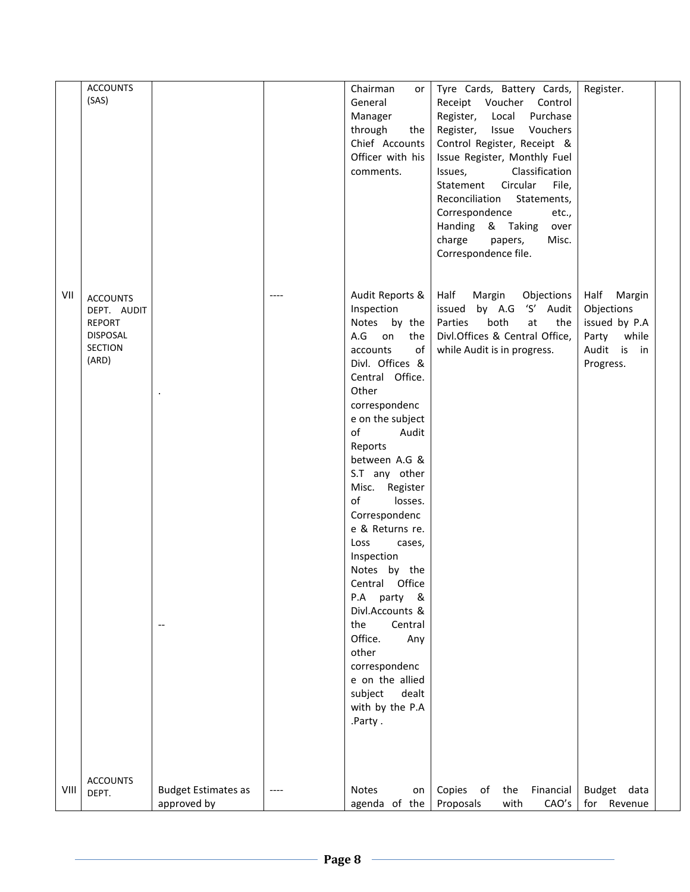|      | <b>ACCOUNTS</b>              |                            | Chairman<br>or   | Tyre Cards, Battery Cards,       | Register.      |
|------|------------------------------|----------------------------|------------------|----------------------------------|----------------|
|      | (SAS)                        |                            | General          | Receipt Voucher Control          |                |
|      |                              |                            | Manager          | Register, Local<br>Purchase      |                |
|      |                              |                            | through<br>the   | Issue<br>Register,<br>Vouchers   |                |
|      |                              |                            | Chief Accounts   | Control Register, Receipt &      |                |
|      |                              |                            | Officer with his | Issue Register, Monthly Fuel     |                |
|      |                              |                            | comments.        | Classification<br>Issues,        |                |
|      |                              |                            |                  | Statement<br>Circular<br>File,   |                |
|      |                              |                            |                  | Reconciliation Statements,       |                |
|      |                              |                            |                  | Correspondence<br>etc.,          |                |
|      |                              |                            |                  | Handing & Taking<br>over         |                |
|      |                              |                            |                  | charge<br>Misc.<br>papers,       |                |
|      |                              |                            |                  | Correspondence file.             |                |
|      |                              |                            |                  |                                  |                |
|      |                              |                            |                  |                                  |                |
| VII  |                              |                            | Audit Reports &  | Half<br>Margin<br>Objections     | Half<br>Margin |
|      | <b>ACCOUNTS</b>              |                            | Inspection       | issued by A.G 'S' Audit          | Objections     |
|      | DEPT. AUDIT<br><b>REPORT</b> |                            | Notes by the     | Parties<br>both<br>at<br>the     | issued by P.A  |
|      | <b>DISPOSAL</b>              |                            | A.G<br>on<br>the | Divl.Offices & Central Office,   | Party<br>while |
|      | <b>SECTION</b>               |                            | of<br>accounts   | while Audit is in progress.      | Audit is<br>in |
|      | (ARD)                        |                            | Divl. Offices &  |                                  | Progress.      |
|      |                              |                            | Central Office.  |                                  |                |
|      |                              |                            | Other            |                                  |                |
|      |                              |                            | correspondenc    |                                  |                |
|      |                              |                            | e on the subject |                                  |                |
|      |                              |                            | of<br>Audit      |                                  |                |
|      |                              |                            | Reports          |                                  |                |
|      |                              |                            | between A.G &    |                                  |                |
|      |                              |                            | S.T any other    |                                  |                |
|      |                              |                            | Misc. Register   |                                  |                |
|      |                              |                            | of<br>losses.    |                                  |                |
|      |                              |                            | Correspondenc    |                                  |                |
|      |                              |                            | e & Returns re.  |                                  |                |
|      |                              |                            | Loss<br>cases,   |                                  |                |
|      |                              |                            | Inspection       |                                  |                |
|      |                              |                            | Notes by the     |                                  |                |
|      |                              |                            | Central Office   |                                  |                |
|      |                              |                            | P.A party &      |                                  |                |
|      |                              |                            | Divl.Accounts &  |                                  |                |
|      |                              | $\overline{\phantom{a}}$   | the<br>Central   |                                  |                |
|      |                              |                            | Office.<br>Any   |                                  |                |
|      |                              |                            | other            |                                  |                |
|      |                              |                            | correspondenc    |                                  |                |
|      |                              |                            | e on the allied  |                                  |                |
|      |                              |                            | subject<br>dealt |                                  |                |
|      |                              |                            | with by the P.A  |                                  |                |
|      |                              |                            | .Party.          |                                  |                |
|      |                              |                            |                  |                                  |                |
|      |                              |                            |                  |                                  |                |
|      |                              |                            |                  |                                  |                |
|      |                              |                            |                  |                                  |                |
| VIII | <b>ACCOUNTS</b><br>DEPT.     | <b>Budget Estimates as</b> | Notes<br>on      | Copies<br>of<br>the<br>Financial | Budget data    |
|      |                              | approved by                | agenda of the    | Proposals<br>with<br>CAO's       | for Revenue    |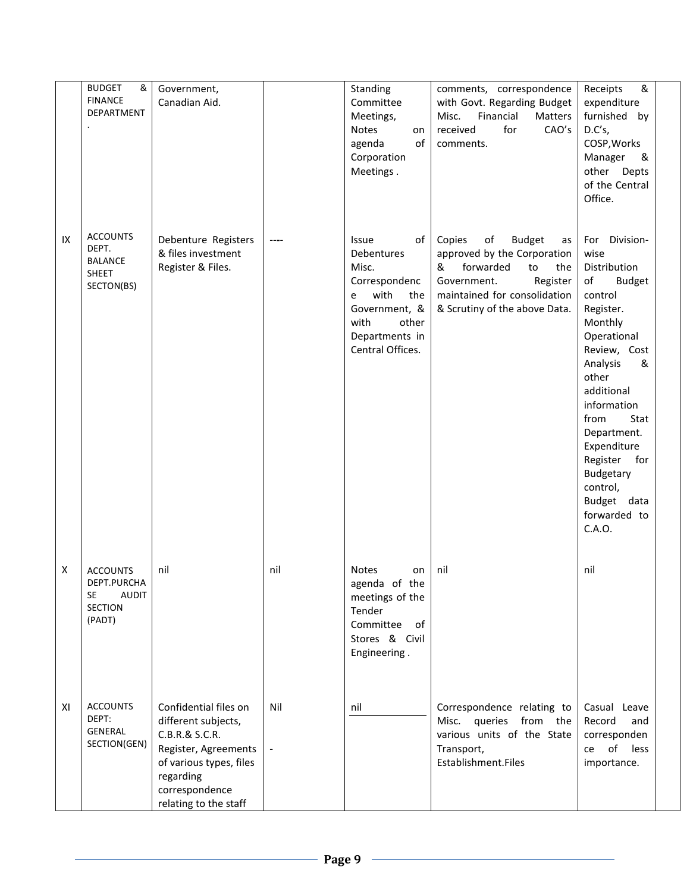|    | <b>BUDGET</b><br>&<br><b>FINANCE</b><br>DEPARTMENT                                      | Government,<br>Canadian Aid.                                                                                                                                              |     | Standing<br>Committee<br>Meetings,<br>Notes<br>on<br>of<br>agenda<br>Corporation<br>Meetings.                                                   | comments, correspondence<br>with Govt. Regarding Budget<br>Financial<br>Misc.<br>Matters<br>for<br>received<br>CAO's<br>comments.                                                             | &<br>Receipts<br>expenditure<br>furnished by<br>D.C's,<br>COSP, Works<br>Manager<br>&<br>other<br>Depts<br>of the Central<br>Office.                                                                                                                                                                                        |  |
|----|-----------------------------------------------------------------------------------------|---------------------------------------------------------------------------------------------------------------------------------------------------------------------------|-----|-------------------------------------------------------------------------------------------------------------------------------------------------|-----------------------------------------------------------------------------------------------------------------------------------------------------------------------------------------------|-----------------------------------------------------------------------------------------------------------------------------------------------------------------------------------------------------------------------------------------------------------------------------------------------------------------------------|--|
| IX | <b>ACCOUNTS</b><br>DEPT.<br><b>BALANCE</b><br>SHEET<br>SECTON(BS)                       | Debenture Registers<br>& files investment<br>Register & Files.                                                                                                            |     | of<br>Issue<br>Debentures<br>Misc.<br>Correspondenc<br>with<br>the<br>e<br>Government, &<br>with<br>other<br>Departments in<br>Central Offices. | Copies<br>of<br><b>Budget</b><br>as<br>approved by the Corporation<br>&<br>forwarded<br>to<br>the<br>Government.<br>Register<br>maintained for consolidation<br>& Scrutiny of the above Data. | Division-<br>For<br>wise<br>Distribution<br>of<br><b>Budget</b><br>control<br>Register.<br>Monthly<br>Operational<br>Review, Cost<br>Analysis<br>&<br>other<br>additional<br>information<br>from<br>Stat<br>Department.<br>Expenditure<br>Register<br>for<br>Budgetary<br>control,<br>Budget data<br>forwarded to<br>C.A.O. |  |
| X  | <b>ACCOUNTS</b><br>DEPT.PURCHA<br><b>SE</b><br><b>AUDIT</b><br><b>SECTION</b><br>(PADT) | nil                                                                                                                                                                       | nil | <b>Notes</b><br>on<br>agenda of the<br>meetings of the<br>Tender<br>Committee<br>of<br>Stores & Civil<br>Engineering.                           | nil                                                                                                                                                                                           | nil                                                                                                                                                                                                                                                                                                                         |  |
| ΧI | <b>ACCOUNTS</b><br>DEPT:<br>GENERAL<br>SECTION(GEN)                                     | Confidential files on<br>different subjects,<br>C.B.R.& S.C.R.<br>Register, Agreements<br>of various types, files<br>regarding<br>correspondence<br>relating to the staff | Nil | nil                                                                                                                                             | Correspondence relating to<br>Misc.<br>queries<br>from the<br>various units of the State<br>Transport,<br>Establishment.Files                                                                 | Casual Leave<br>Record<br>and<br>corresponden<br>of<br>less<br>ce<br>importance.                                                                                                                                                                                                                                            |  |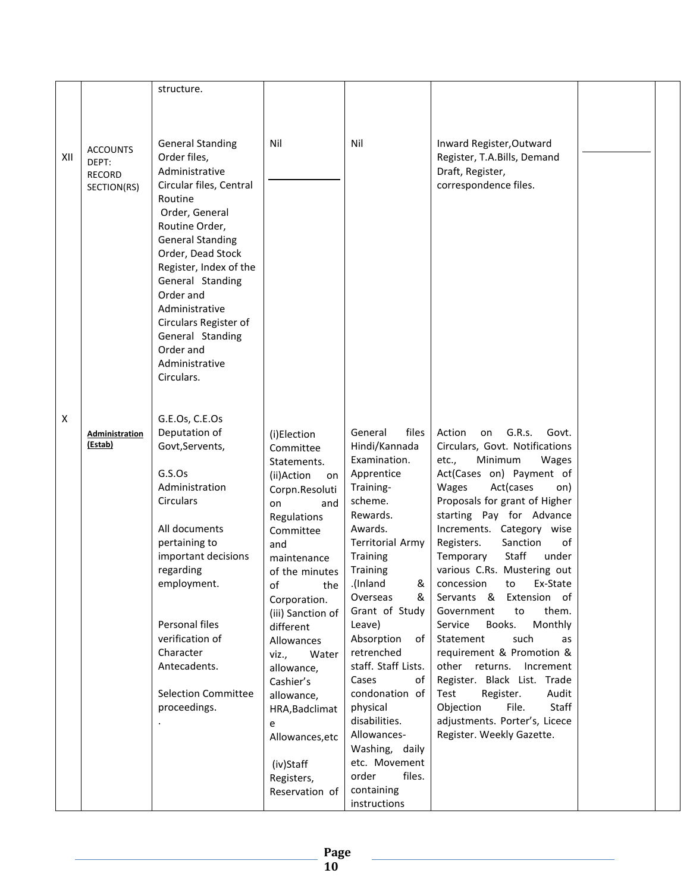|     |                 | structure.                                |                                   |                                  |                                                            |  |
|-----|-----------------|-------------------------------------------|-----------------------------------|----------------------------------|------------------------------------------------------------|--|
|     |                 |                                           |                                   |                                  |                                                            |  |
|     |                 |                                           |                                   |                                  |                                                            |  |
|     |                 |                                           |                                   |                                  |                                                            |  |
|     | <b>ACCOUNTS</b> | <b>General Standing</b>                   | Nil                               | Nil                              | Inward Register, Outward                                   |  |
| XII | DEPT:           | Order files,                              |                                   |                                  | Register, T.A.Bills, Demand                                |  |
|     | <b>RECORD</b>   | Administrative                            |                                   |                                  | Draft, Register,                                           |  |
|     | SECTION(RS)     | Circular files, Central                   |                                   |                                  | correspondence files.                                      |  |
|     |                 | Routine                                   |                                   |                                  |                                                            |  |
|     |                 | Order, General                            |                                   |                                  |                                                            |  |
|     |                 | Routine Order,                            |                                   |                                  |                                                            |  |
|     |                 | <b>General Standing</b>                   |                                   |                                  |                                                            |  |
|     |                 | Order, Dead Stock                         |                                   |                                  |                                                            |  |
|     |                 | Register, Index of the                    |                                   |                                  |                                                            |  |
|     |                 | General Standing                          |                                   |                                  |                                                            |  |
|     |                 | Order and                                 |                                   |                                  |                                                            |  |
|     |                 | Administrative                            |                                   |                                  |                                                            |  |
|     |                 | Circulars Register of<br>General Standing |                                   |                                  |                                                            |  |
|     |                 | Order and                                 |                                   |                                  |                                                            |  |
|     |                 | Administrative                            |                                   |                                  |                                                            |  |
|     |                 | Circulars.                                |                                   |                                  |                                                            |  |
|     |                 |                                           |                                   |                                  |                                                            |  |
|     |                 |                                           |                                   |                                  |                                                            |  |
| X   |                 | G.E.Os, C.E.Os                            |                                   |                                  |                                                            |  |
|     | Administration  | Deputation of                             | (i)Election                       | files<br>General                 | Action<br>G.R.s.<br>on<br>Govt.                            |  |
|     | (Estab)         | Govt, Servents,                           | Committee                         | Hindi/Kannada                    | Circulars, Govt. Notifications                             |  |
|     |                 |                                           | Statements.                       | Examination.                     | Minimum<br>etc.,<br>Wages                                  |  |
|     |                 | G.S.Os                                    | (ii)Action<br>on                  | Apprentice                       | Act(Cases on) Payment of                                   |  |
|     |                 | Administration                            | Corpn.Resoluti                    | Training-                        | Wages<br>Act(cases<br>on)                                  |  |
|     |                 | <b>Circulars</b>                          | and<br>on                         | scheme.                          | Proposals for grant of Higher                              |  |
|     |                 |                                           | Regulations                       | Rewards.                         | starting Pay for Advance                                   |  |
|     |                 | All documents                             | Committee                         | Awards.                          | Increments. Category wise                                  |  |
|     |                 | pertaining to                             | and                               | <b>Territorial Army</b>          | Registers.<br>Sanction<br>of                               |  |
|     |                 | important decisions                       | maintenance                       | Training                         | Staff<br>Temporary<br>under<br>various C.Rs. Mustering out |  |
|     |                 | regarding<br>employment.                  | of the minutes                    | <b>Training</b><br>.(Inland<br>& | concession to<br>Ex-State                                  |  |
|     |                 |                                           | the<br>оt                         | Overseas<br>&                    | Servants & Extension of                                    |  |
|     |                 |                                           | Corporation.<br>(iii) Sanction of | Grant of Study                   | Government<br>to<br>them.                                  |  |
|     |                 | Personal files                            | different                         | Leave)                           | Monthly<br>Service<br>Books.                               |  |
|     |                 | verification of                           | Allowances                        | Absorption<br>of I               | Statement<br>such<br>as                                    |  |
|     |                 | Character                                 | Water<br>viz.,                    | retrenched                       | requirement & Promotion &                                  |  |
|     |                 | Antecadents.                              | allowance,                        | staff. Staff Lists.              | other returns.<br>Increment                                |  |
|     |                 |                                           | Cashier's                         | Cases<br>of                      | Register. Black List. Trade                                |  |
|     |                 | <b>Selection Committee</b>                | allowance,                        | condonation of                   | Test<br>Register.<br>Audit                                 |  |
|     |                 | proceedings.                              | HRA, Badclimat                    | physical                         | Staff<br>Objection<br>File.                                |  |
|     |                 |                                           | e                                 | disabilities.                    | adjustments. Porter's, Licece                              |  |
|     |                 |                                           | Allowances, etc                   | Allowances-                      | Register. Weekly Gazette.                                  |  |
|     |                 |                                           |                                   | Washing, daily                   |                                                            |  |
|     |                 |                                           | (iv)Staff                         | etc. Movement                    |                                                            |  |
|     |                 |                                           | Registers,                        | order<br>files.                  |                                                            |  |
|     |                 |                                           | Reservation of                    | containing                       |                                                            |  |
|     |                 |                                           |                                   | instructions                     |                                                            |  |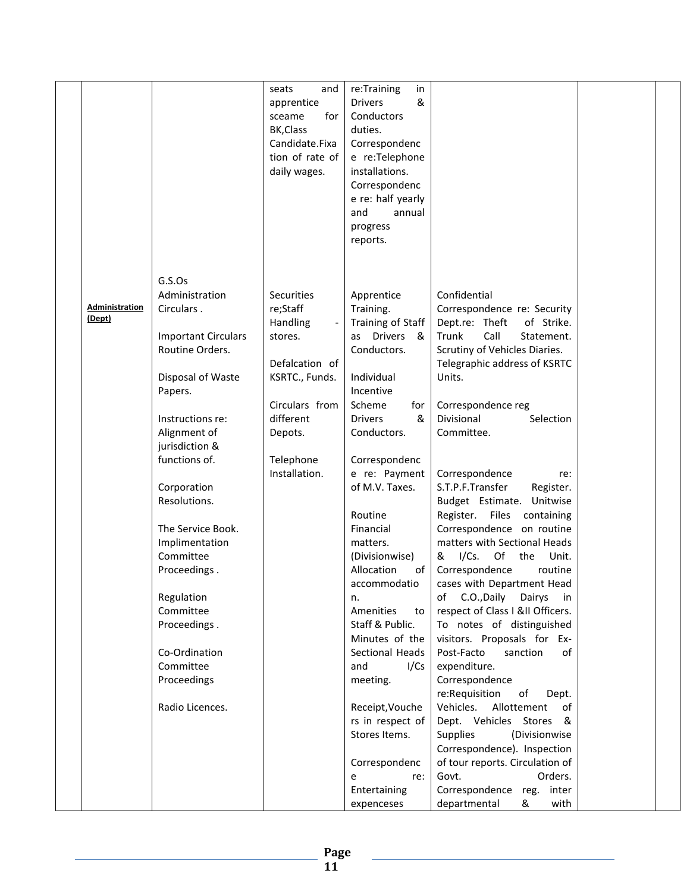|                          |                                                                      | seats<br>and<br>apprentice<br>sceame<br>for<br>BK, Class<br>Candidate.Fixa<br>tion of rate of<br>daily wages. | re:Training<br>in<br>&<br><b>Drivers</b><br>Conductors<br>duties.<br>Correspondenc<br>e re:Telephone<br>installations. |                                                                                                                                                 |  |
|--------------------------|----------------------------------------------------------------------|---------------------------------------------------------------------------------------------------------------|------------------------------------------------------------------------------------------------------------------------|-------------------------------------------------------------------------------------------------------------------------------------------------|--|
|                          |                                                                      |                                                                                                               | Correspondenc<br>e re: half yearly<br>and<br>annual<br>progress<br>reports.                                            |                                                                                                                                                 |  |
| Administration<br>(Dept) | G.S.Os<br>Administration<br>Circulars.<br><b>Important Circulars</b> | Securities<br>re;Staff<br>Handling<br>stores.                                                                 | Apprentice<br>Training.<br>Training of Staff<br>as Drivers<br>- &                                                      | Confidential<br>Correspondence re: Security<br>Dept.re: Theft<br>of Strike.<br>Trunk<br>Call<br>Statement.                                      |  |
|                          | Routine Orders.<br>Disposal of Waste<br>Papers.                      | Defalcation of<br>KSRTC., Funds.<br>Circulars from                                                            | Conductors.<br>Individual<br>Incentive                                                                                 | Scrutiny of Vehicles Diaries.<br>Telegraphic address of KSRTC<br>Units.                                                                         |  |
|                          | Instructions re:<br>Alignment of<br>jurisdiction &<br>functions of.  | different<br>Depots.<br>Telephone                                                                             | Scheme<br>for<br>&<br><b>Drivers</b><br>Conductors.<br>Correspondenc                                                   | Correspondence reg<br>Divisional<br>Selection<br>Committee.                                                                                     |  |
|                          | Corporation<br>Resolutions.                                          | Installation.                                                                                                 | e re: Payment<br>of M.V. Taxes.<br>Routine                                                                             | Correspondence<br>re:<br>S.T.P.F.Transfer<br>Register.<br>Budget Estimate. Unitwise<br>Register. Files containing                               |  |
|                          | The Service Book.<br>Implimentation<br>Committee<br>Proceedings.     |                                                                                                               | Financial<br>matters.<br>(Divisionwise)<br>Allocation<br>of                                                            | Correspondence on routine<br>matters with Sectional Heads<br>& I/Cs. Of the<br>Unit.<br>Correspondence<br>routine                               |  |
|                          | Regulation<br>Committee<br>Proceedings.                              |                                                                                                               | accommodatio<br>n.<br>Amenities<br>to<br>Staff & Public.                                                               | cases with Department Head<br>C.O., Daily<br>Dairys<br>of<br>in<br>respect of Class I &II Officers.<br>To notes of distinguished                |  |
|                          | Co-Ordination<br>Committee<br>Proceedings                            |                                                                                                               | Minutes of the<br>Sectional Heads<br>and<br>I/Cs<br>meeting.                                                           | visitors. Proposals for Ex-<br>Post-Facto<br>sanction<br>of<br>expenditure.<br>Correspondence                                                   |  |
|                          | Radio Licences.                                                      |                                                                                                               | Receipt, Vouche<br>rs in respect of<br>Stores Items.                                                                   | re:Requisition<br>of<br>Dept.<br>Vehicles.<br>Allottement<br>of<br>Dept. Vehicles Stores &<br><b>Supplies</b><br>(Divisionwise                  |  |
|                          |                                                                      |                                                                                                               | Correspondenc<br>re:<br>e<br>Entertaining<br>expenceses                                                                | Correspondence). Inspection<br>of tour reports. Circulation of<br>Govt.<br>Orders.<br>Correspondence reg.<br>inter<br>departmental<br>&<br>with |  |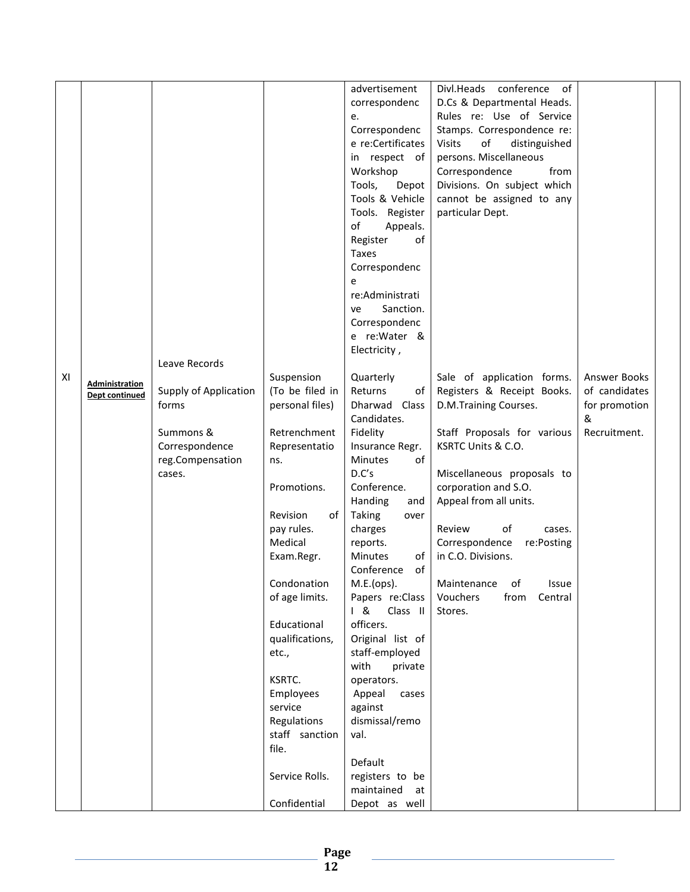|    |                       |                       |                 | advertisement        | Divl.Heads conference<br>of          |               |
|----|-----------------------|-----------------------|-----------------|----------------------|--------------------------------------|---------------|
|    |                       |                       |                 | correspondenc        | D.Cs & Departmental Heads.           |               |
|    |                       |                       |                 | e.                   | Rules re: Use of Service             |               |
|    |                       |                       |                 | Correspondenc        | Stamps. Correspondence re:           |               |
|    |                       |                       |                 | e re:Certificates    | of<br><b>Visits</b><br>distinguished |               |
|    |                       |                       |                 | in respect of        | persons. Miscellaneous               |               |
|    |                       |                       |                 |                      |                                      |               |
|    |                       |                       |                 | Workshop             | Correspondence<br>from               |               |
|    |                       |                       |                 | Tools,<br>Depot      | Divisions. On subject which          |               |
|    |                       |                       |                 | Tools & Vehicle      | cannot be assigned to any            |               |
|    |                       |                       |                 | Tools. Register      | particular Dept.                     |               |
|    |                       |                       |                 | of<br>Appeals.       |                                      |               |
|    |                       |                       |                 | Register<br>οf       |                                      |               |
|    |                       |                       |                 | Taxes                |                                      |               |
|    |                       |                       |                 | Correspondenc        |                                      |               |
|    |                       |                       |                 | e                    |                                      |               |
|    |                       |                       |                 | re:Administrati      |                                      |               |
|    |                       |                       |                 | Sanction.<br>ve      |                                      |               |
|    |                       |                       |                 | Correspondenc        |                                      |               |
|    |                       |                       |                 | e re:Water &         |                                      |               |
|    |                       |                       |                 | Electricity,         |                                      |               |
|    |                       | Leave Records         |                 |                      |                                      |               |
| XI | <b>Administration</b> |                       | Suspension      | Quarterly            | Sale of application forms.           | Answer Books  |
|    | Dept continued        | Supply of Application | (To be filed in | Returns<br>of        | Registers & Receipt Books.           | of candidates |
|    |                       | forms                 | personal files) | Dharwad Class        | D.M.Training Courses.                | for promotion |
|    |                       |                       |                 | Candidates.          |                                      | &             |
|    |                       | Summons &             | Retrenchment    | Fidelity             | Staff Proposals for various          | Recruitment.  |
|    |                       | Correspondence        | Representatio   | Insurance Regr.      | KSRTC Units & C.O.                   |               |
|    |                       | reg.Compensation      | ns.             | <b>Minutes</b><br>οf |                                      |               |
|    |                       | cases.                |                 | D.C's                | Miscellaneous proposals to           |               |
|    |                       |                       | Promotions.     | Conference.          | corporation and S.O.                 |               |
|    |                       |                       |                 | Handing<br>and       | Appeal from all units.               |               |
|    |                       |                       | Revision<br>of  | Taking<br>over       |                                      |               |
|    |                       |                       | pay rules.      | charges              | of<br>Review<br>cases.               |               |
|    |                       |                       | Medical         | reports.             | Correspondence<br>re:Posting         |               |
|    |                       |                       | Exam.Regr.      | <b>Minutes</b><br>of | in C.O. Divisions.                   |               |
|    |                       |                       |                 | of<br>Conference     |                                      |               |
|    |                       |                       | Condonation     | M.E.(ops).           | Maintenance of<br>Issue              |               |
|    |                       |                       | of age limits.  | Papers re:Class      | Vouchers<br>from<br>Central          |               |
|    |                       |                       |                 | 18<br>Class II       | Stores.                              |               |
|    |                       |                       | Educational     | officers.            |                                      |               |
|    |                       |                       | qualifications, | Original list of     |                                      |               |
|    |                       |                       | etc.,           | staff-employed       |                                      |               |
|    |                       |                       |                 | with<br>private      |                                      |               |
|    |                       |                       | KSRTC.          | operators.           |                                      |               |
|    |                       |                       | Employees       | Appeal<br>cases      |                                      |               |
|    |                       |                       | service         | against              |                                      |               |
|    |                       |                       | Regulations     | dismissal/remo       |                                      |               |
|    |                       |                       | staff sanction  | val.                 |                                      |               |
|    |                       |                       | file.           |                      |                                      |               |
|    |                       |                       |                 | Default              |                                      |               |
|    |                       |                       | Service Rolls.  | registers to be      |                                      |               |
|    |                       |                       |                 | maintained<br>at     |                                      |               |
|    |                       |                       | Confidential    | Depot as well        |                                      |               |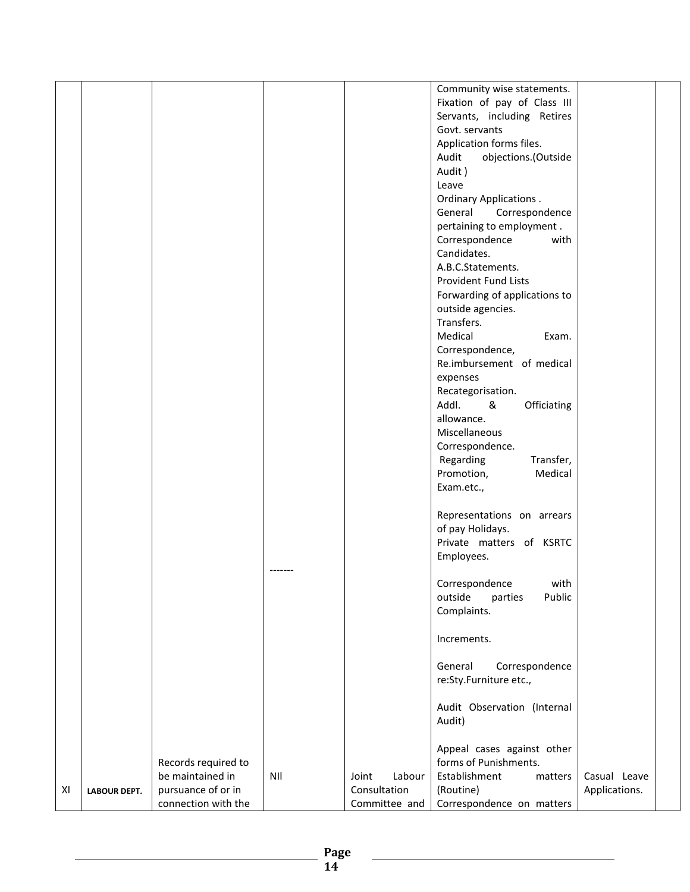|    |                     |                     |     |                 | Community wise statements.    |               |  |
|----|---------------------|---------------------|-----|-----------------|-------------------------------|---------------|--|
|    |                     |                     |     |                 | Fixation of pay of Class III  |               |  |
|    |                     |                     |     |                 | Servants, including Retires   |               |  |
|    |                     |                     |     |                 | Govt. servants                |               |  |
|    |                     |                     |     |                 |                               |               |  |
|    |                     |                     |     |                 | Application forms files.      |               |  |
|    |                     |                     |     |                 | objections.(Outside<br>Audit  |               |  |
|    |                     |                     |     |                 | Audit)                        |               |  |
|    |                     |                     |     |                 | Leave                         |               |  |
|    |                     |                     |     |                 | <b>Ordinary Applications.</b> |               |  |
|    |                     |                     |     |                 | General<br>Correspondence     |               |  |
|    |                     |                     |     |                 | pertaining to employment.     |               |  |
|    |                     |                     |     |                 | Correspondence<br>with        |               |  |
|    |                     |                     |     |                 |                               |               |  |
|    |                     |                     |     |                 | Candidates.                   |               |  |
|    |                     |                     |     |                 | A.B.C.Statements.             |               |  |
|    |                     |                     |     |                 | Provident Fund Lists          |               |  |
|    |                     |                     |     |                 | Forwarding of applications to |               |  |
|    |                     |                     |     |                 | outside agencies.             |               |  |
|    |                     |                     |     |                 | Transfers.                    |               |  |
|    |                     |                     |     |                 | Medical<br>Exam.              |               |  |
|    |                     |                     |     |                 | Correspondence,               |               |  |
|    |                     |                     |     |                 |                               |               |  |
|    |                     |                     |     |                 | Re.imbursement of medical     |               |  |
|    |                     |                     |     |                 | expenses                      |               |  |
|    |                     |                     |     |                 | Recategorisation.             |               |  |
|    |                     |                     |     |                 | Addl.<br>&<br>Officiating     |               |  |
|    |                     |                     |     |                 | allowance.                    |               |  |
|    |                     |                     |     |                 | Miscellaneous                 |               |  |
|    |                     |                     |     |                 | Correspondence.               |               |  |
|    |                     |                     |     |                 | Transfer,                     |               |  |
|    |                     |                     |     |                 | Regarding                     |               |  |
|    |                     |                     |     |                 | Promotion,<br>Medical         |               |  |
|    |                     |                     |     |                 | Exam.etc.,                    |               |  |
|    |                     |                     |     |                 |                               |               |  |
|    |                     |                     |     |                 | Representations on arrears    |               |  |
|    |                     |                     |     |                 | of pay Holidays.              |               |  |
|    |                     |                     |     |                 | Private matters of KSRTC      |               |  |
|    |                     |                     |     |                 | Employees.                    |               |  |
|    |                     |                     |     |                 |                               |               |  |
|    |                     |                     |     |                 | with<br>Correspondence        |               |  |
|    |                     |                     |     |                 |                               |               |  |
|    |                     |                     |     |                 | outside<br>parties<br>Public  |               |  |
|    |                     |                     |     |                 | Complaints.                   |               |  |
|    |                     |                     |     |                 |                               |               |  |
|    |                     |                     |     |                 | Increments.                   |               |  |
|    |                     |                     |     |                 |                               |               |  |
|    |                     |                     |     |                 | General<br>Correspondence     |               |  |
|    |                     |                     |     |                 | re:Sty.Furniture etc.,        |               |  |
|    |                     |                     |     |                 |                               |               |  |
|    |                     |                     |     |                 | Audit Observation (Internal   |               |  |
|    |                     |                     |     |                 | Audit)                        |               |  |
|    |                     |                     |     |                 |                               |               |  |
|    |                     |                     |     |                 |                               |               |  |
|    |                     |                     |     |                 | Appeal cases against other    |               |  |
|    |                     | Records required to |     |                 | forms of Punishments.         |               |  |
|    |                     | be maintained in    | NII | Labour<br>Joint | Establishment<br>matters      | Casual Leave  |  |
| XI | <b>LABOUR DEPT.</b> | pursuance of or in  |     | Consultation    | (Routine)                     | Applications. |  |
|    |                     | connection with the |     | Committee and   | Correspondence on matters     |               |  |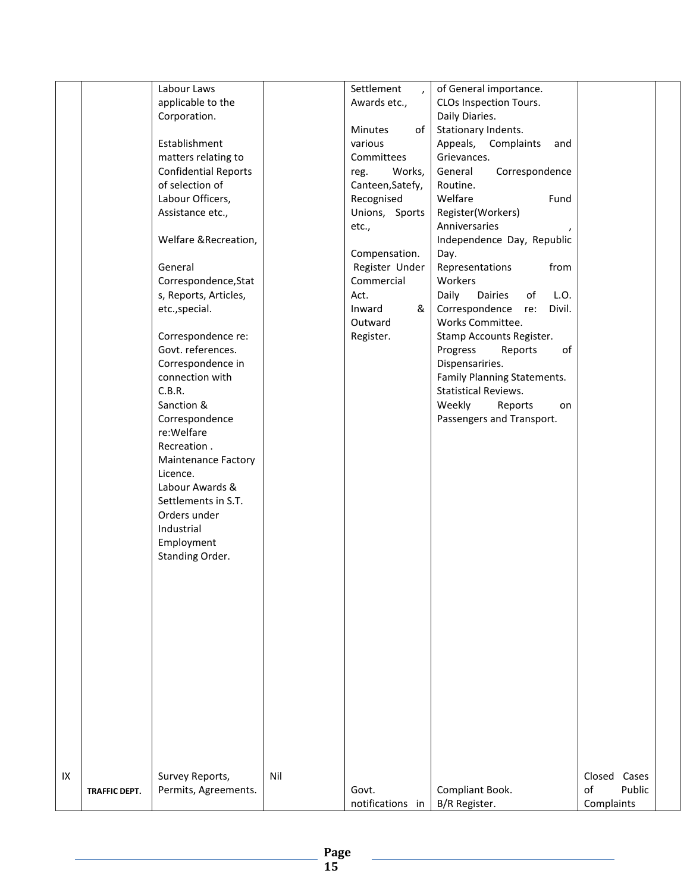|    |                      | Labour Laws                 |     | Settlement       | of General importance.         |                 |
|----|----------------------|-----------------------------|-----|------------------|--------------------------------|-----------------|
|    |                      | applicable to the           |     | $\lambda$        | CLOs Inspection Tours.         |                 |
|    |                      |                             |     | Awards etc.,     | Daily Diaries.                 |                 |
|    |                      | Corporation.                |     | of               |                                |                 |
|    |                      |                             |     | <b>Minutes</b>   | Stationary Indents.            |                 |
|    |                      | Establishment               |     | various          | Appeals, Complaints<br>and     |                 |
|    |                      | matters relating to         |     | Committees       | Grievances.                    |                 |
|    |                      | <b>Confidential Reports</b> |     | Works,<br>reg.   | Correspondence<br>General      |                 |
|    |                      | of selection of             |     | Canteen, Satefy, | Routine.                       |                 |
|    |                      | Labour Officers,            |     | Recognised       | Welfare<br>Fund                |                 |
|    |                      | Assistance etc.,            |     | Unions, Sports   | Register(Workers)              |                 |
|    |                      |                             |     | etc.,            | Anniversaries                  |                 |
|    |                      | Welfare & Recreation,       |     |                  | Independence Day, Republic     |                 |
|    |                      |                             |     | Compensation.    | Day.                           |                 |
|    |                      | General                     |     | Register Under   | from<br>Representations        |                 |
|    |                      | Correspondence, Stat        |     | Commercial       | Workers                        |                 |
|    |                      | s, Reports, Articles,       |     | Act.             | Daily<br>Dairies<br>of<br>L.O. |                 |
|    |                      | etc., special.              |     | &<br>Inward      | Correspondence re:<br>Divil.   |                 |
|    |                      |                             |     | Outward          | Works Committee.               |                 |
|    |                      | Correspondence re:          |     | Register.        | Stamp Accounts Register.       |                 |
|    |                      | Govt. references.           |     |                  | Progress<br>Reports<br>of      |                 |
|    |                      | Correspondence in           |     |                  | Dispensariries.                |                 |
|    |                      | connection with             |     |                  | Family Planning Statements.    |                 |
|    |                      | C.B.R.                      |     |                  | <b>Statistical Reviews.</b>    |                 |
|    |                      | Sanction &                  |     |                  | Weekly<br>Reports<br>on        |                 |
|    |                      | Correspondence              |     |                  | Passengers and Transport.      |                 |
|    |                      | re:Welfare                  |     |                  |                                |                 |
|    |                      | Recreation.                 |     |                  |                                |                 |
|    |                      | <b>Maintenance Factory</b>  |     |                  |                                |                 |
|    |                      | Licence.                    |     |                  |                                |                 |
|    |                      | Labour Awards &             |     |                  |                                |                 |
|    |                      | Settlements in S.T.         |     |                  |                                |                 |
|    |                      | Orders under                |     |                  |                                |                 |
|    |                      | Industrial                  |     |                  |                                |                 |
|    |                      | Employment                  |     |                  |                                |                 |
|    |                      | Standing Order.             |     |                  |                                |                 |
|    |                      |                             |     |                  |                                |                 |
|    |                      |                             |     |                  |                                |                 |
|    |                      |                             |     |                  |                                |                 |
|    |                      |                             |     |                  |                                |                 |
|    |                      |                             |     |                  |                                |                 |
|    |                      |                             |     |                  |                                |                 |
|    |                      |                             |     |                  |                                |                 |
|    |                      |                             |     |                  |                                |                 |
|    |                      |                             |     |                  |                                |                 |
|    |                      |                             |     |                  |                                |                 |
|    |                      |                             |     |                  |                                |                 |
|    |                      |                             |     |                  |                                |                 |
|    |                      |                             |     |                  |                                |                 |
|    |                      |                             |     |                  |                                |                 |
|    |                      |                             |     |                  |                                |                 |
| IX |                      | Survey Reports,             | Nil |                  |                                | Closed<br>Cases |
|    | <b>TRAFFIC DEPT.</b> | Permits, Agreements.        |     | Govt.            | Compliant Book.                | Public<br>of    |
|    |                      |                             |     | notifications in | B/R Register.                  | Complaints      |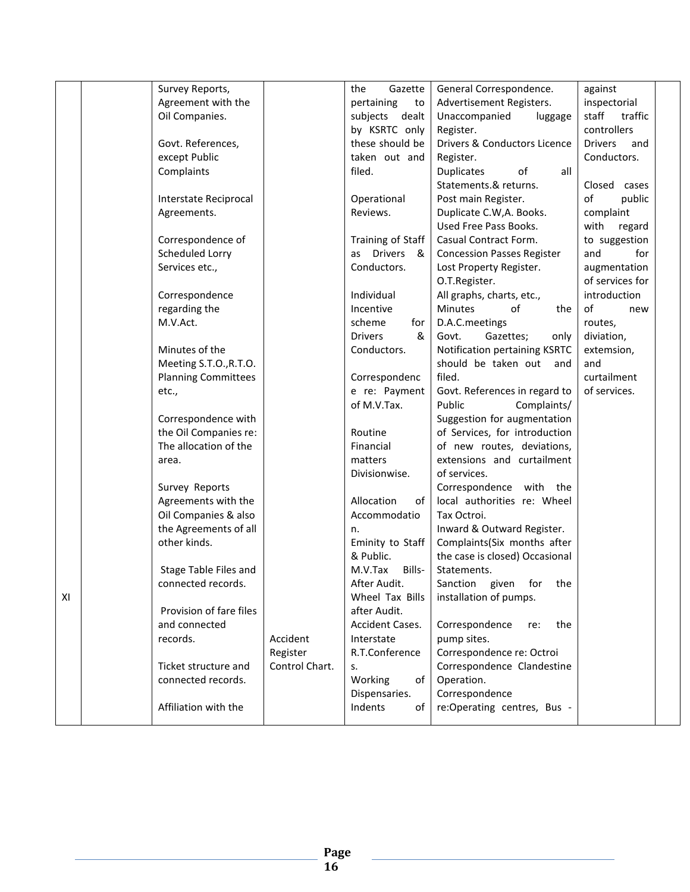|    | Survey Reports,            |                | the<br>Gazette      | General Correspondence.           | against               |  |
|----|----------------------------|----------------|---------------------|-----------------------------------|-----------------------|--|
|    | Agreement with the         |                | pertaining<br>to    | Advertisement Registers.          | inspectorial          |  |
|    | Oil Companies.             |                | subjects dealt      | Unaccompanied<br>luggage          | staff<br>traffic      |  |
|    |                            |                | by KSRTC only       | Register.                         | controllers           |  |
|    | Govt. References,          |                | these should be     | Drivers & Conductors Licence      | <b>Drivers</b><br>and |  |
|    | except Public              |                | taken out and       | Register.                         | Conductors.           |  |
|    | Complaints                 |                | filed.              | <b>Duplicates</b><br>of<br>all    |                       |  |
|    |                            |                |                     | Statements.& returns.             | Closed cases          |  |
|    | Interstate Reciprocal      |                | Operational         | Post main Register.               | of<br>public          |  |
|    | Agreements.                |                | Reviews.            | Duplicate C.W, A. Books.          | complaint             |  |
|    |                            |                |                     | Used Free Pass Books.             | with<br>regard        |  |
|    | Correspondence of          |                | Training of Staff   | Casual Contract Form.             | to suggestion         |  |
|    | Scheduled Lorry            |                | as Drivers<br>_&    | <b>Concession Passes Register</b> | for<br>and            |  |
|    | Services etc.,             |                | Conductors.         | Lost Property Register.           | augmentation          |  |
|    |                            |                |                     | O.T.Register.                     | of services for       |  |
|    | Correspondence             |                | Individual          | All graphs, charts, etc.,         | introduction          |  |
|    | regarding the              |                | Incentive           | Minutes<br>of<br>the              | of<br>new             |  |
|    | M.V.Act.                   |                | scheme<br>for       | D.A.C.meetings                    | routes,               |  |
|    |                            |                | <b>Drivers</b><br>& | Govt.<br>Gazettes;<br>only        | diviation,            |  |
|    | Minutes of the             |                | Conductors.         | Notification pertaining KSRTC     | extemsion,            |  |
|    | Meeting S.T.O., R.T.O.     |                |                     | should be taken out<br>and        | and                   |  |
|    | <b>Planning Committees</b> |                | Correspondenc       | filed.                            | curtailment           |  |
|    | etc.,                      |                | e re: Payment       | Govt. References in regard to     | of services.          |  |
|    |                            |                | of M.V.Tax.         | Public<br>Complaints/             |                       |  |
|    | Correspondence with        |                |                     | Suggestion for augmentation       |                       |  |
|    | the Oil Companies re:      |                | Routine             | of Services, for introduction     |                       |  |
|    | The allocation of the      |                | Financial           | of new routes, deviations,        |                       |  |
|    | area.                      |                | matters             | extensions and curtailment        |                       |  |
|    |                            |                | Divisionwise.       | of services.                      |                       |  |
|    | Survey Reports             |                |                     | Correspondence with the           |                       |  |
|    | Agreements with the        |                | Allocation<br>of    | local authorities re: Wheel       |                       |  |
|    | Oil Companies & also       |                | Accommodatio        | Tax Octroi.                       |                       |  |
|    | the Agreements of all      |                | n.                  | Inward & Outward Register.        |                       |  |
|    | other kinds.               |                | Eminity to Staff    | Complaints(Six months after       |                       |  |
|    |                            |                | & Public.           | the case is closed) Occasional    |                       |  |
|    | Stage Table Files and      |                | M.V.Tax<br>Bills-   | Statements.                       |                       |  |
|    | connected records.         |                | After Audit.        | Sanction given for the            |                       |  |
| XI |                            |                | Wheel Tax Bills     | installation of pumps.            |                       |  |
|    | Provision of fare files    |                | after Audit.        |                                   |                       |  |
|    | and connected              |                | Accident Cases.     | Correspondence<br>the<br>re:      |                       |  |
|    | records.                   | Accident       | Interstate          | pump sites.                       |                       |  |
|    |                            | Register       | R.T.Conference      | Correspondence re: Octroi         |                       |  |
|    | Ticket structure and       | Control Chart. | s.                  | Correspondence Clandestine        |                       |  |
|    | connected records.         |                | Working<br>of       | Operation.                        |                       |  |
|    |                            |                | Dispensaries.       | Correspondence                    |                       |  |
|    | Affiliation with the       |                | Indents<br>of       | re:Operating centres, Bus -       |                       |  |
|    |                            |                |                     |                                   |                       |  |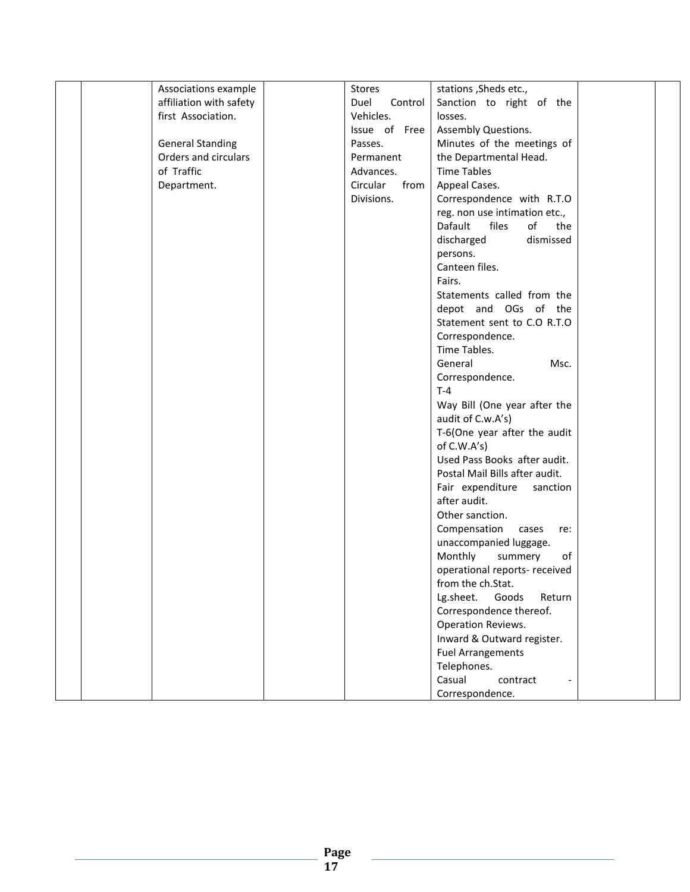| Associations example    | Stores           | stations, Sheds etc.,          |  |
|-------------------------|------------------|--------------------------------|--|
| affiliation with safety | Duel<br>Control  | Sanction to right of the       |  |
| first Association.      | Vehicles.        | losses.                        |  |
|                         | Issue of Free    | Assembly Questions.            |  |
| <b>General Standing</b> | Passes.          | Minutes of the meetings of     |  |
| Orders and circulars    | Permanent        | the Departmental Head.         |  |
| of Traffic              | Advances.        | <b>Time Tables</b>             |  |
| Department.             | Circular<br>from | Appeal Cases.                  |  |
|                         | Divisions.       | Correspondence with R.T.O      |  |
|                         |                  | reg. non use intimation etc.,  |  |
|                         |                  | files<br>of<br>Dafault<br>the  |  |
|                         |                  | discharged<br>dismissed        |  |
|                         |                  | persons.                       |  |
|                         |                  | Canteen files.                 |  |
|                         |                  | Fairs.                         |  |
|                         |                  | Statements called from the     |  |
|                         |                  | depot and OGs of the           |  |
|                         |                  | Statement sent to C.O R.T.O    |  |
|                         |                  | Correspondence.                |  |
|                         |                  | Time Tables.                   |  |
|                         |                  | General<br>Msc.                |  |
|                         |                  | Correspondence.                |  |
|                         |                  | $T-4$                          |  |
|                         |                  | Way Bill (One year after the   |  |
|                         |                  | audit of C.w.A's)              |  |
|                         |                  | T-6(One year after the audit   |  |
|                         |                  | of C.W.A's)                    |  |
|                         |                  | Used Pass Books after audit.   |  |
|                         |                  | Postal Mail Bills after audit. |  |
|                         |                  | Fair expenditure<br>sanction   |  |
|                         |                  | after audit.                   |  |
|                         |                  | Other sanction.                |  |
|                         |                  | Compensation cases<br>re:      |  |
|                         |                  | unaccompanied luggage.         |  |
|                         |                  | Monthly<br>summery<br>of       |  |
|                         |                  | operational reports- received  |  |
|                         |                  | from the ch.Stat.              |  |
|                         |                  | Goods<br>Lg.sheet.<br>Return   |  |
|                         |                  | Correspondence thereof.        |  |
|                         |                  | Operation Reviews.             |  |
|                         |                  | Inward & Outward register.     |  |
|                         |                  | <b>Fuel Arrangements</b>       |  |
|                         |                  | Telephones.                    |  |
|                         |                  | Casual<br>contract             |  |
|                         |                  | Correspondence.                |  |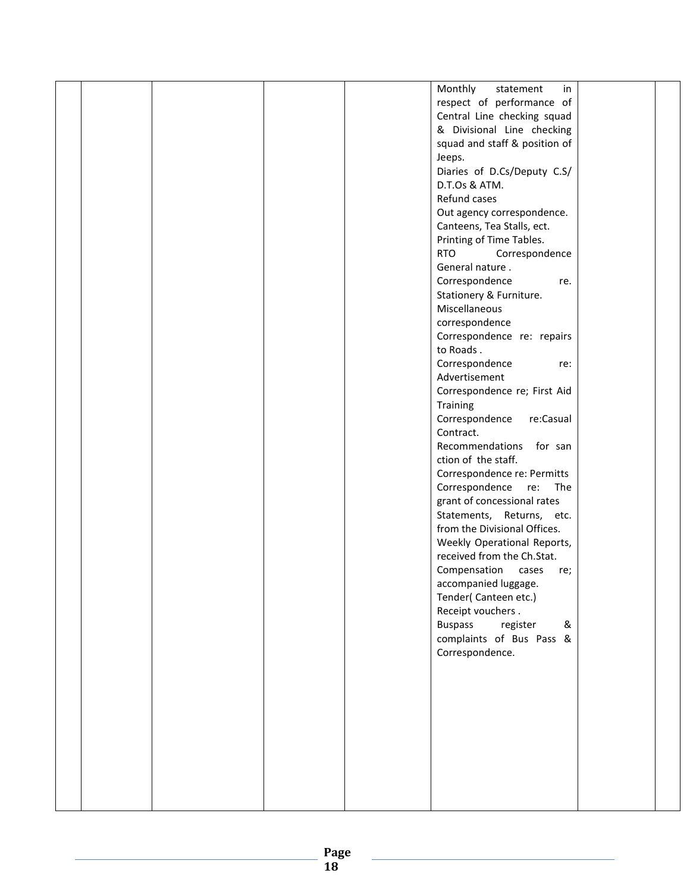|  |  | Monthly<br>statement<br>in      |  |
|--|--|---------------------------------|--|
|  |  | respect of performance of       |  |
|  |  | Central Line checking squad     |  |
|  |  | & Divisional Line checking      |  |
|  |  |                                 |  |
|  |  | squad and staff & position of   |  |
|  |  | Jeeps.                          |  |
|  |  | Diaries of D.Cs/Deputy C.S/     |  |
|  |  | D.T.Os & ATM.                   |  |
|  |  | Refund cases                    |  |
|  |  | Out agency correspondence.      |  |
|  |  | Canteens, Tea Stalls, ect.      |  |
|  |  | Printing of Time Tables.        |  |
|  |  | <b>RTO</b><br>Correspondence    |  |
|  |  | General nature.                 |  |
|  |  | Correspondence<br>re.           |  |
|  |  | Stationery & Furniture.         |  |
|  |  | Miscellaneous                   |  |
|  |  | correspondence                  |  |
|  |  | Correspondence re: repairs      |  |
|  |  | to Roads.                       |  |
|  |  |                                 |  |
|  |  | Correspondence<br>re:           |  |
|  |  | Advertisement                   |  |
|  |  | Correspondence re; First Aid    |  |
|  |  | Training                        |  |
|  |  | Correspondence<br>re:Casual     |  |
|  |  | Contract.                       |  |
|  |  | Recommendations for san         |  |
|  |  | ction of the staff.             |  |
|  |  | Correspondence re: Permitts     |  |
|  |  | Correspondence<br>re:<br>The    |  |
|  |  | grant of concessional rates     |  |
|  |  | Statements, Returns, etc.       |  |
|  |  | from the Divisional Offices.    |  |
|  |  | Weekly Operational Reports,     |  |
|  |  | received from the Ch.Stat.      |  |
|  |  | Compensation<br>cases<br>re;    |  |
|  |  | accompanied luggage.            |  |
|  |  | Tender(Canteen etc.)            |  |
|  |  |                                 |  |
|  |  | Receipt vouchers.               |  |
|  |  | <b>Buspass</b><br>register<br>& |  |
|  |  | complaints of Bus Pass &        |  |
|  |  | Correspondence.                 |  |
|  |  |                                 |  |
|  |  |                                 |  |
|  |  |                                 |  |
|  |  |                                 |  |
|  |  |                                 |  |
|  |  |                                 |  |
|  |  |                                 |  |
|  |  |                                 |  |
|  |  |                                 |  |
|  |  |                                 |  |
|  |  |                                 |  |
|  |  |                                 |  |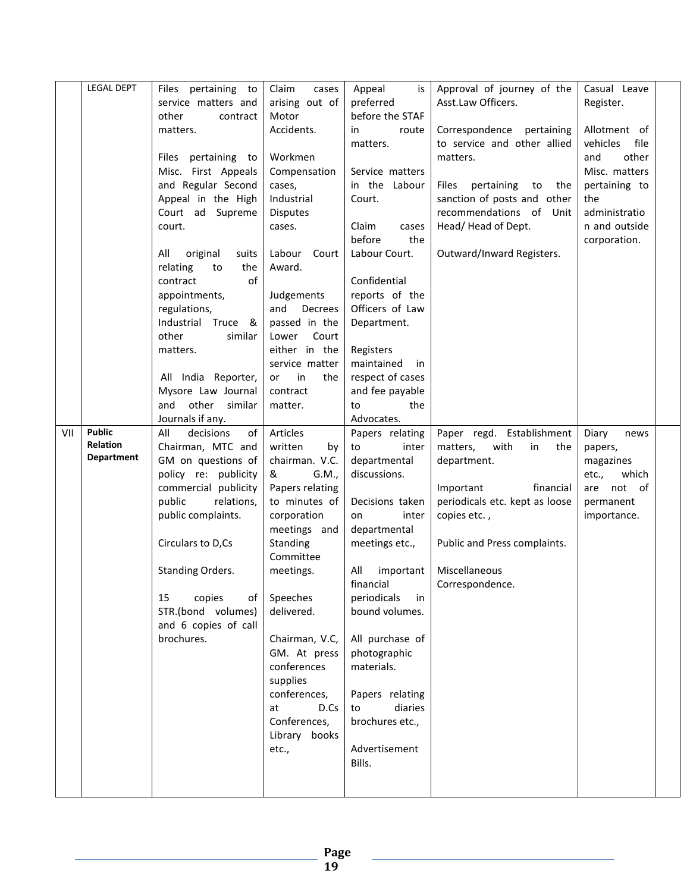|     | <b>LEGAL DEPT</b> | Files pertaining to      | Claim<br>cases        | Appeal<br>is      | Approval of journey of the       | Casual Leave     |  |
|-----|-------------------|--------------------------|-----------------------|-------------------|----------------------------------|------------------|--|
|     |                   | service matters and      | arising out of        | preferred         | Asst.Law Officers.               | Register.        |  |
|     |                   | other<br>contract        | Motor                 | before the STAF   |                                  |                  |  |
|     |                   | matters.                 | Accidents.            | in<br>route       | Correspondence pertaining        | Allotment of     |  |
|     |                   |                          |                       | matters.          | to service and other allied      | vehicles<br>file |  |
|     |                   | Files pertaining to      | Workmen               |                   | matters.                         | and<br>other     |  |
|     |                   | Misc. First Appeals      | Compensation          | Service matters   |                                  | Misc. matters    |  |
|     |                   | and Regular Second       | cases,                | in the Labour     | Files<br>pertaining<br>to<br>the | pertaining to    |  |
|     |                   | Appeal in the High       | Industrial            | Court.            | sanction of posts and other      | the              |  |
|     |                   | Court ad Supreme         | <b>Disputes</b>       |                   | recommendations of Unit          | administratio    |  |
|     |                   | court.                   | cases.                | Claim<br>cases    | Head/Head of Dept.               | n and outside    |  |
|     |                   |                          |                       | the<br>before     |                                  | corporation.     |  |
|     |                   | All<br>original<br>suits | Labour<br>Court       | Labour Court.     | Outward/Inward Registers.        |                  |  |
|     |                   | the<br>relating<br>to    | Award.                |                   |                                  |                  |  |
|     |                   | of<br>contract           |                       | Confidential      |                                  |                  |  |
|     |                   | appointments,            | Judgements            | reports of the    |                                  |                  |  |
|     |                   | regulations,             | and<br>Decrees        | Officers of Law   |                                  |                  |  |
|     |                   | Industrial Truce<br>&    | passed in the         | Department.       |                                  |                  |  |
|     |                   | other<br>similar         | Lower<br>Court        |                   |                                  |                  |  |
|     |                   | matters.                 | either in the         | Registers         |                                  |                  |  |
|     |                   |                          | service matter        | maintained<br>in  |                                  |                  |  |
|     |                   | All India Reporter,      | in<br>or<br>the       | respect of cases  |                                  |                  |  |
|     |                   | Mysore Law Journal       | contract              | and fee payable   |                                  |                  |  |
|     |                   | other similar<br>and     | matter.               | the<br>to         |                                  |                  |  |
|     |                   | Journals if any.         |                       | Advocates.        |                                  |                  |  |
| VII | <b>Public</b>     | All<br>decisions<br>of   | Articles              | Papers relating   | Paper regd. Establishment        | Diary<br>news    |  |
|     | Relation          | Chairman, MTC and        | written<br>by         | inter<br>to       | with<br>in<br>matters,<br>the    | papers,          |  |
|     | <b>Department</b> | GM on questions of       | chairman. V.C.        | departmental      | department.                      | magazines        |  |
|     |                   | policy re: publicity     | &<br>G.M.,            | discussions.      |                                  | etc.,<br>which   |  |
|     |                   | commercial publicity     | Papers relating       |                   | financial<br>Important           | not of<br>are    |  |
|     |                   | public<br>relations,     | to minutes of         | Decisions taken   | periodicals etc. kept as loose   | permanent        |  |
|     |                   |                          |                       |                   |                                  |                  |  |
|     |                   | public complaints.       | corporation           | inter<br>on       |                                  |                  |  |
|     |                   |                          |                       |                   | copies etc.,                     | importance.      |  |
|     |                   | Circulars to D,Cs        | meetings and          | departmental      |                                  |                  |  |
|     |                   |                          | Standing<br>Committee | meetings etc.,    | Public and Press complaints.     |                  |  |
|     |                   | Standing Orders.         | meetings.             | All<br>important  | Miscellaneous                    |                  |  |
|     |                   |                          |                       | financial         |                                  |                  |  |
|     |                   | copies<br>15<br>of       | Speeches              | periodicals<br>in | Correspondence.                  |                  |  |
|     |                   | STR.(bond volumes)       | delivered.            | bound volumes.    |                                  |                  |  |
|     |                   | and 6 copies of call     |                       |                   |                                  |                  |  |
|     |                   | brochures.               | Chairman, V.C,        | All purchase of   |                                  |                  |  |
|     |                   |                          | GM. At press          | photographic      |                                  |                  |  |
|     |                   |                          | conferences           | materials.        |                                  |                  |  |
|     |                   |                          | supplies              |                   |                                  |                  |  |
|     |                   |                          | conferences,          | Papers relating   |                                  |                  |  |
|     |                   |                          | D.Cs<br>at            | diaries<br>to     |                                  |                  |  |
|     |                   |                          | Conferences,          | brochures etc.,   |                                  |                  |  |
|     |                   |                          | Library books         |                   |                                  |                  |  |
|     |                   |                          | etc.,                 | Advertisement     |                                  |                  |  |
|     |                   |                          |                       | Bills.            |                                  |                  |  |
|     |                   |                          |                       |                   |                                  |                  |  |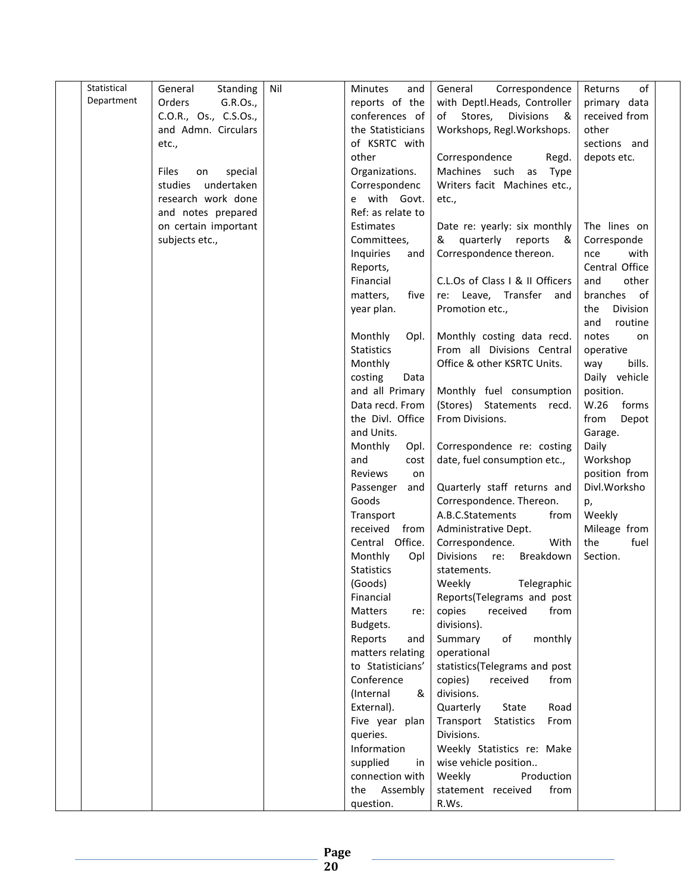| Statistical | General<br>Standing    | Nil | <b>Minutes</b><br>and | Correspondence<br>General              | of<br>Returns   |
|-------------|------------------------|-----|-----------------------|----------------------------------------|-----------------|
| Department  | Orders<br>G.R.Os.,     |     | reports of the        | with Deptl.Heads, Controller           | primary data    |
|             | C.O.R., Os., C.S.Os.,  |     | conferences of        | Stores,<br><b>Divisions</b><br>&<br>of | received from   |
|             | and Admn. Circulars    |     | the Statisticians     | Workshops, Regl. Workshops.            | other           |
|             | etc.,                  |     | of KSRTC with         |                                        | sections and    |
|             |                        |     | other                 | Correspondence<br>Regd.                | depots etc.     |
|             |                        |     |                       |                                        |                 |
|             | Files<br>special<br>on |     | Organizations.        | Machines such<br>as Type               |                 |
|             | studies<br>undertaken  |     | Correspondenc         | Writers facit Machines etc.,           |                 |
|             | research work done     |     | e with Govt.          | etc.,                                  |                 |
|             | and notes prepared     |     | Ref: as relate to     |                                        |                 |
|             | on certain important   |     | Estimates             | Date re: yearly: six monthly           | The lines on    |
|             | subjects etc.,         |     | Committees,           | & quarterly reports<br>- &             | Corresponde     |
|             |                        |     | Inquiries<br>and      | Correspondence thereon.                | with<br>nce     |
|             |                        |     | Reports,              |                                        | Central Office  |
|             |                        |     | Financial             | C.L.Os of Class I & II Officers        | and<br>other    |
|             |                        |     | matters,<br>five      | re: Leave, Transfer and                | branches<br>of  |
|             |                        |     | year plan.            | Promotion etc.,                        | Division<br>the |
|             |                        |     |                       |                                        | and<br>routine  |
|             |                        |     | Monthly<br>Opl.       | Monthly costing data recd.             | notes<br>on     |
|             |                        |     | <b>Statistics</b>     | From all Divisions Central             | operative       |
|             |                        |     | Monthly               | Office & other KSRTC Units.            | bills.<br>way   |
|             |                        |     | costing<br>Data       |                                        | Daily vehicle   |
|             |                        |     | and all Primary       | Monthly fuel consumption               | position.       |
|             |                        |     | Data recd. From       | (Stores) Statements recd.              | W.26<br>forms   |
|             |                        |     | the Divl. Office      | From Divisions.                        | from<br>Depot   |
|             |                        |     | and Units.            |                                        | Garage.         |
|             |                        |     | Monthly<br>Opl.       | Correspondence re: costing             | Daily           |
|             |                        |     | and<br>cost           | date, fuel consumption etc.,           | Workshop        |
|             |                        |     | Reviews<br>on         |                                        | position from   |
|             |                        |     | and<br>Passenger      | Quarterly staff returns and            | Divl.Worksho    |
|             |                        |     | Goods                 | Correspondence. Thereon.               | p,              |
|             |                        |     | Transport             | A.B.C.Statements<br>from               | Weekly          |
|             |                        |     | received<br>from      | Administrative Dept.                   | Mileage from    |
|             |                        |     | Central Office.       | Correspondence.<br>With                | the<br>fuel     |
|             |                        |     |                       | <b>Divisions</b><br>re:<br>Breakdown   | Section.        |
|             |                        |     | Monthly<br>Opl        |                                        |                 |
|             |                        |     | <b>Statistics</b>     | statements.                            |                 |
|             |                        |     | (Goods)               | Weekly<br>Telegraphic                  |                 |
|             |                        |     | Financial             | Reports(Telegrams and post             |                 |
|             |                        |     | Matters<br>re:        | copies<br>received<br>from             |                 |
|             |                        |     | Budgets.              | divisions).                            |                 |
|             |                        |     | Reports<br>and        | Summary<br>оf<br>monthly               |                 |
|             |                        |     | matters relating      | operational                            |                 |
|             |                        |     | to Statisticians'     | statistics(Telegrams and post          |                 |
|             |                        |     | Conference            | copies)<br>received<br>from            |                 |
|             |                        |     | (Internal<br>&        | divisions.                             |                 |
|             |                        |     | External).            | Quarterly<br>Road<br>State             |                 |
|             |                        |     | Five year plan        | Transport<br>From<br>Statistics        |                 |
|             |                        |     | queries.              | Divisions.                             |                 |
|             |                        |     | Information           | Weekly Statistics re: Make             |                 |
|             |                        |     | supplied<br>in        | wise vehicle position                  |                 |
|             |                        |     | connection with       | Weekly<br>Production                   |                 |
|             |                        |     | Assembly<br>the       | statement received<br>from             |                 |
|             |                        |     | question.             | R.Ws.                                  |                 |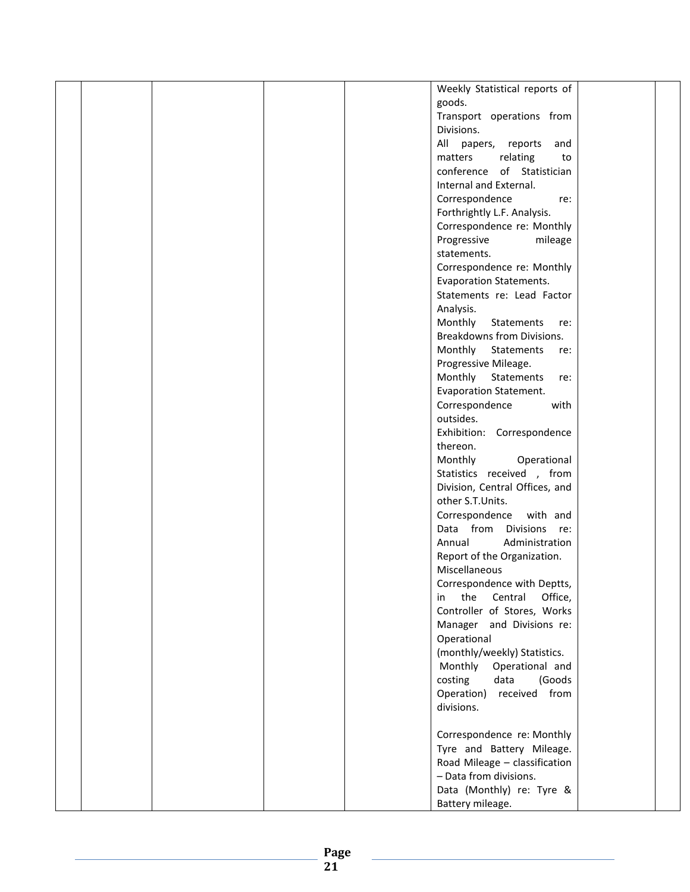| Weekly Statistical reports of         |  |
|---------------------------------------|--|
| goods.                                |  |
| Transport operations from             |  |
| Divisions.                            |  |
| All papers, reports<br>and            |  |
| relating<br>matters<br>to             |  |
| conference of Statistician            |  |
| Internal and External.                |  |
| Correspondence<br>re:                 |  |
| Forthrightly L.F. Analysis.           |  |
| Correspondence re: Monthly            |  |
|                                       |  |
| Progressive<br>mileage<br>statements. |  |
|                                       |  |
| Correspondence re: Monthly            |  |
| <b>Evaporation Statements.</b>        |  |
| Statements re: Lead Factor            |  |
| Analysis.                             |  |
| Monthly<br>Statements<br>re:          |  |
| Breakdowns from Divisions.            |  |
| Monthly<br>Statements<br>re:          |  |
| Progressive Mileage.                  |  |
| Monthly<br>Statements<br>re:          |  |
| <b>Evaporation Statement.</b>         |  |
| Correspondence<br>with                |  |
| outsides.                             |  |
| Exhibition: Correspondence            |  |
| thereon.                              |  |
| Monthly<br>Operational                |  |
| Statistics received, from             |  |
| Division, Central Offices, and        |  |
| other S.T.Units.                      |  |
| Correspondence<br>with and            |  |
| Data from Divisions<br>re:            |  |
| Administration<br>Annual              |  |
| Report of the Organization.           |  |
| Miscellaneous                         |  |
| Correspondence with Deptts,           |  |
| the Central<br>Office,<br>in          |  |
| Controller of Stores, Works           |  |
| Manager and Divisions re:             |  |
| Operational                           |  |
| (monthly/weekly) Statistics.          |  |
| Monthly<br>Operational and            |  |
| costing<br>data<br>(Goods             |  |
| received from<br>Operation)           |  |
| divisions.                            |  |
|                                       |  |
| Correspondence re: Monthly            |  |
| Tyre and Battery Mileage.             |  |
| Road Mileage - classification         |  |
| - Data from divisions.                |  |
| Data (Monthly) re: Tyre &             |  |
| Battery mileage.                      |  |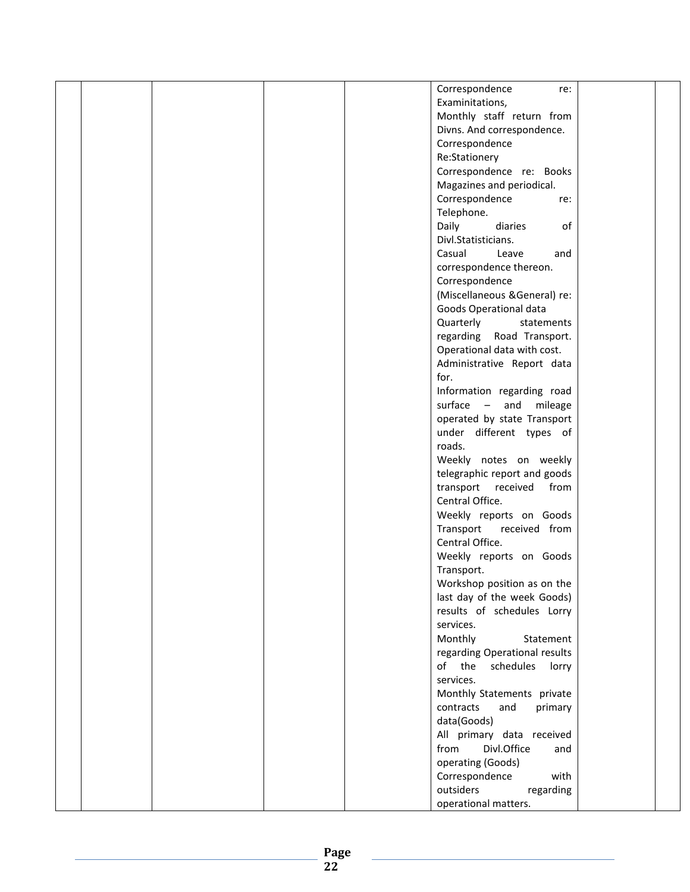|  |  | Correspondence<br>re:         |  |
|--|--|-------------------------------|--|
|  |  | Examinitations,               |  |
|  |  | Monthly staff return from     |  |
|  |  |                               |  |
|  |  | Divns. And correspondence.    |  |
|  |  | Correspondence                |  |
|  |  | Re:Stationery                 |  |
|  |  | Correspondence re: Books      |  |
|  |  | Magazines and periodical.     |  |
|  |  | Correspondence<br>re:         |  |
|  |  | Telephone.                    |  |
|  |  | Daily<br>of<br>diaries        |  |
|  |  | Divl.Statisticians.           |  |
|  |  | Casual<br>Leave<br>and        |  |
|  |  | correspondence thereon.       |  |
|  |  | Correspondence                |  |
|  |  | (Miscellaneous &General) re:  |  |
|  |  |                               |  |
|  |  | Goods Operational data        |  |
|  |  | Quarterly<br>statements       |  |
|  |  | regarding Road Transport.     |  |
|  |  | Operational data with cost.   |  |
|  |  | Administrative Report data    |  |
|  |  | for.                          |  |
|  |  | Information regarding road    |  |
|  |  | surface - and mileage         |  |
|  |  | operated by state Transport   |  |
|  |  | under different types of      |  |
|  |  | roads.                        |  |
|  |  | Weekly notes on weekly        |  |
|  |  | telegraphic report and goods  |  |
|  |  | transport received<br>from    |  |
|  |  | Central Office.               |  |
|  |  | Weekly reports on Goods       |  |
|  |  | Transport received from       |  |
|  |  | Central Office.               |  |
|  |  | Weekly reports on Goods       |  |
|  |  | Transport.                    |  |
|  |  | Workshop position as on the   |  |
|  |  | last day of the week Goods)   |  |
|  |  | results of schedules Lorry    |  |
|  |  |                               |  |
|  |  | services.                     |  |
|  |  | Monthly<br>Statement          |  |
|  |  | regarding Operational results |  |
|  |  | of the schedules<br>lorry     |  |
|  |  | services.                     |  |
|  |  | Monthly Statements private    |  |
|  |  | contracts<br>and<br>primary   |  |
|  |  | data(Goods)                   |  |
|  |  | All primary data received     |  |
|  |  | from<br>Divl.Office<br>and    |  |
|  |  | operating (Goods)             |  |
|  |  | Correspondence<br>with        |  |
|  |  | outsiders<br>regarding        |  |
|  |  | operational matters.          |  |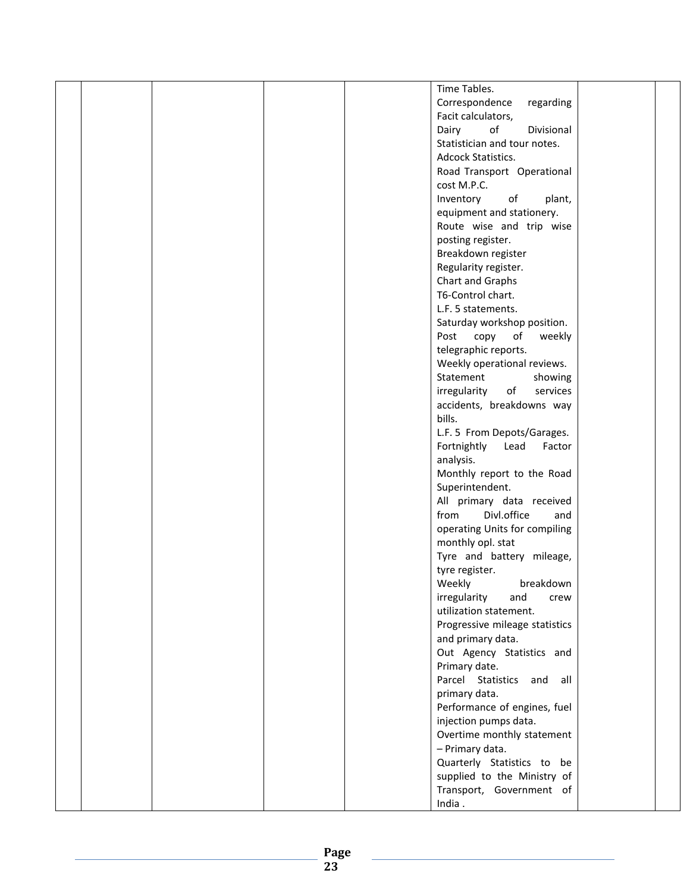|  |  | Time Tables.                   |  |
|--|--|--------------------------------|--|
|  |  | Correspondence<br>regarding    |  |
|  |  | Facit calculators,             |  |
|  |  | of<br>Dairy<br>Divisional      |  |
|  |  | Statistician and tour notes.   |  |
|  |  | Adcock Statistics.             |  |
|  |  |                                |  |
|  |  | Road Transport Operational     |  |
|  |  | cost M.P.C.                    |  |
|  |  | Inventory<br>of<br>plant,      |  |
|  |  | equipment and stationery.      |  |
|  |  | Route wise and trip wise       |  |
|  |  | posting register.              |  |
|  |  | Breakdown register             |  |
|  |  | Regularity register.           |  |
|  |  | Chart and Graphs               |  |
|  |  | T6-Control chart.              |  |
|  |  |                                |  |
|  |  | L.F. 5 statements.             |  |
|  |  | Saturday workshop position.    |  |
|  |  | Post<br>copy<br>of<br>weekly   |  |
|  |  | telegraphic reports.           |  |
|  |  | Weekly operational reviews.    |  |
|  |  | Statement<br>showing           |  |
|  |  | irregularity<br>of<br>services |  |
|  |  | accidents, breakdowns way      |  |
|  |  | bills.                         |  |
|  |  | L.F. 5 From Depots/Garages.    |  |
|  |  |                                |  |
|  |  | Fortnightly<br>Lead<br>Factor  |  |
|  |  | analysis.                      |  |
|  |  | Monthly report to the Road     |  |
|  |  | Superintendent.                |  |
|  |  | All primary data received      |  |
|  |  | Divl.office<br>from<br>and     |  |
|  |  | operating Units for compiling  |  |
|  |  | monthly opl. stat              |  |
|  |  | Tyre and battery mileage,      |  |
|  |  | tyre register.                 |  |
|  |  |                                |  |
|  |  | Weekly<br>breakdown            |  |
|  |  | irregularity<br>and<br>crew    |  |
|  |  | utilization statement.         |  |
|  |  | Progressive mileage statistics |  |
|  |  | and primary data.              |  |
|  |  | Out Agency Statistics and      |  |
|  |  | Primary date.                  |  |
|  |  | Parcel Statistics and all      |  |
|  |  | primary data.                  |  |
|  |  | Performance of engines, fuel   |  |
|  |  | injection pumps data.          |  |
|  |  |                                |  |
|  |  | Overtime monthly statement     |  |
|  |  | - Primary data.                |  |
|  |  | Quarterly Statistics to be     |  |
|  |  | supplied to the Ministry of    |  |
|  |  | Transport, Government of       |  |
|  |  | India.                         |  |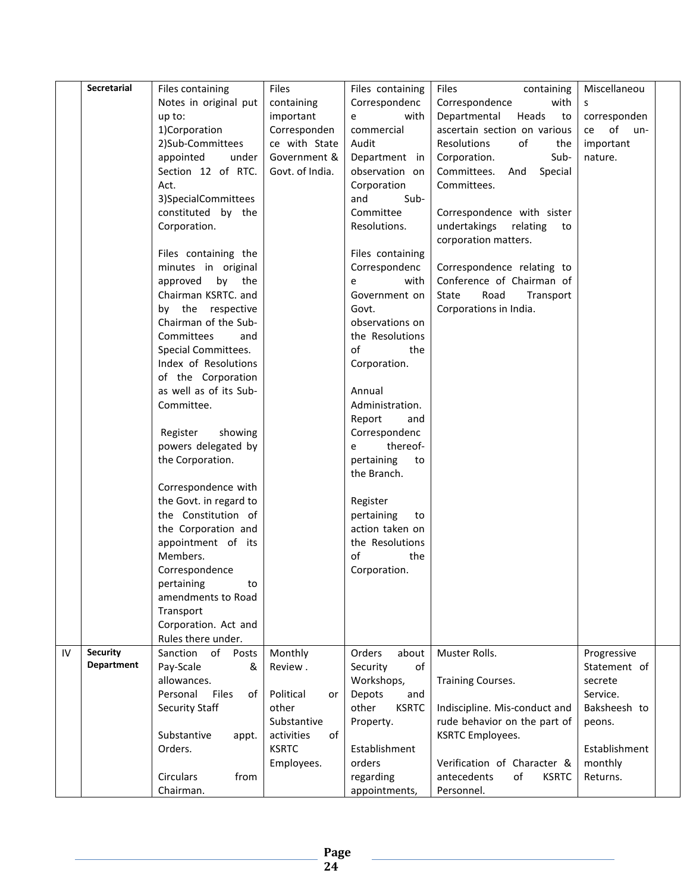|    | Secretarial       | Files containing                     | Files              | Files containing        | <b>Files</b><br>containing        | Miscellaneou                |  |
|----|-------------------|--------------------------------------|--------------------|-------------------------|-----------------------------------|-----------------------------|--|
|    |                   | Notes in original put                | containing         | Correspondenc           | Correspondence<br>with            | S.                          |  |
|    |                   | up to:                               | important          | with<br>e               | Departmental<br>Heads<br>to       | corresponden                |  |
|    |                   | 1)Corporation                        | Corresponden       | commercial              | ascertain section on various      | of un-<br>ce                |  |
|    |                   | 2)Sub-Committees                     | ce with State      | Audit                   | Resolutions<br>of<br>the          | important                   |  |
|    |                   | appointed<br>under                   | Government &       | Department in           | Corporation.<br>Sub-              | nature.                     |  |
|    |                   | Section 12 of RTC.                   | Govt. of India.    | observation on          | Committees. And<br>Special        |                             |  |
|    |                   | Act.                                 |                    | Corporation             | Committees.                       |                             |  |
|    |                   | 3)SpecialCommittees                  |                    | and<br>Sub-             |                                   |                             |  |
|    |                   | constituted by the                   |                    | Committee               | Correspondence with sister        |                             |  |
|    |                   | Corporation.                         |                    | Resolutions.            | undertakings relating<br>to       |                             |  |
|    |                   |                                      |                    |                         | corporation matters.              |                             |  |
|    |                   | Files containing the                 |                    | Files containing        |                                   |                             |  |
|    |                   | minutes in original                  |                    | Correspondenc           | Correspondence relating to        |                             |  |
|    |                   | approved by the                      |                    | with<br>e               | Conference of Chairman of         |                             |  |
|    |                   | Chairman KSRTC. and                  |                    | Government on           | Road<br>State<br>Transport        |                             |  |
|    |                   | by the respective                    |                    | Govt.                   | Corporations in India.            |                             |  |
|    |                   | Chairman of the Sub-                 |                    | observations on         |                                   |                             |  |
|    |                   | Committees<br>and                    |                    | the Resolutions         |                                   |                             |  |
|    |                   | Special Committees.                  |                    | of<br>the               |                                   |                             |  |
|    |                   | Index of Resolutions                 |                    | Corporation.            |                                   |                             |  |
|    |                   | of the Corporation                   |                    |                         |                                   |                             |  |
|    |                   | as well as of its Sub-               |                    | Annual                  |                                   |                             |  |
|    |                   | Committee.                           |                    | Administration.         |                                   |                             |  |
|    |                   |                                      |                    | Report<br>and           |                                   |                             |  |
|    |                   | showing<br>Register                  |                    | Correspondenc           |                                   |                             |  |
|    |                   | powers delegated by                  |                    | thereof-<br>e           |                                   |                             |  |
|    |                   | the Corporation.                     |                    | pertaining<br>to        |                                   |                             |  |
|    |                   |                                      |                    | the Branch.             |                                   |                             |  |
|    |                   | Correspondence with                  |                    |                         |                                   |                             |  |
|    |                   | the Govt. in regard to               |                    | Register                |                                   |                             |  |
|    |                   | the Constitution of                  |                    | pertaining<br>to        |                                   |                             |  |
|    |                   | the Corporation and                  |                    | action taken on         |                                   |                             |  |
|    |                   | appointment of its                   |                    | the Resolutions         |                                   |                             |  |
|    |                   | Members.                             |                    | of<br>the               |                                   |                             |  |
|    |                   | Correspondence                       |                    | Corporation.            |                                   |                             |  |
|    |                   | pertaining<br>to                     |                    |                         |                                   |                             |  |
|    |                   | amendments to Road                   |                    |                         |                                   |                             |  |
|    |                   | Transport                            |                    |                         |                                   |                             |  |
|    |                   | Corporation. Act and                 |                    |                         |                                   |                             |  |
|    | <b>Security</b>   | Rules there under.<br>Sanction<br>of |                    | Orders                  | Muster Rolls.                     |                             |  |
| IV | <b>Department</b> | Posts<br>Pay-Scale<br>&              | Monthly<br>Review. | about<br>Security<br>of |                                   | Progressive<br>Statement of |  |
|    |                   | allowances.                          |                    | Workshops,              | <b>Training Courses.</b>          | secrete                     |  |
|    |                   | Personal<br><b>Files</b><br>of       | Political<br>or    | Depots<br>and           |                                   | Service.                    |  |
|    |                   | Security Staff                       | other              | other<br><b>KSRTC</b>   | Indiscipline. Mis-conduct and     | Baksheesh to                |  |
|    |                   |                                      | Substantive        | Property.               | rude behavior on the part of      | peons.                      |  |
|    |                   | Substantive<br>appt.                 | activities<br>of   |                         | <b>KSRTC Employees.</b>           |                             |  |
|    |                   | Orders.                              | <b>KSRTC</b>       | Establishment           |                                   | Establishment               |  |
|    |                   |                                      | Employees.         | orders                  | Verification of Character &       | monthly                     |  |
|    |                   | Circulars<br>from                    |                    | regarding               | antecedents<br>of<br><b>KSRTC</b> | Returns.                    |  |
|    |                   | Chairman.                            |                    | appointments,           | Personnel.                        |                             |  |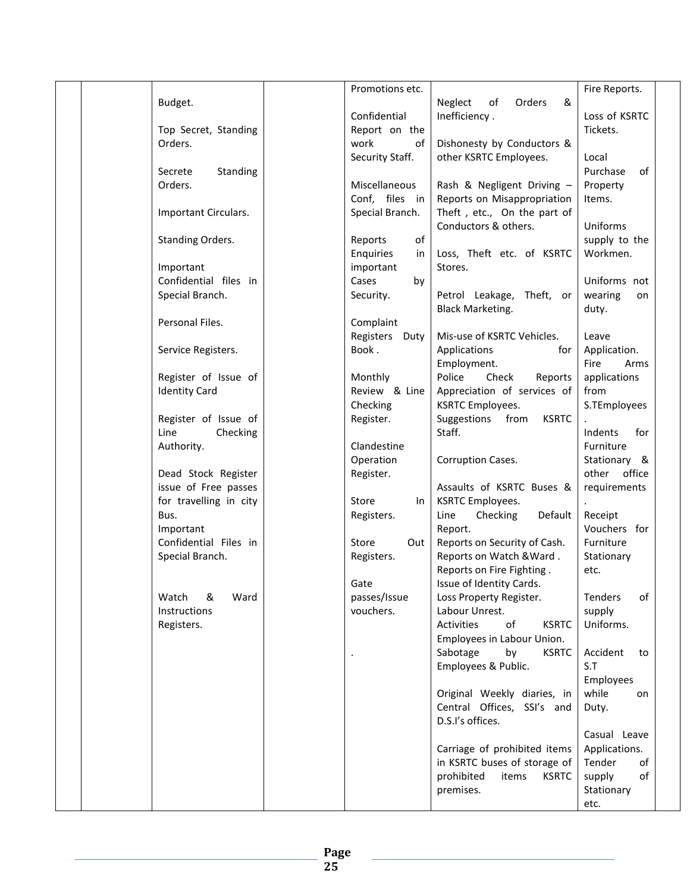|  |                            | Promotions etc. |                                     | Fire Reports.   |
|--|----------------------------|-----------------|-------------------------------------|-----------------|
|  | Budget.                    |                 | Neglect<br>Orders<br>&<br>of        |                 |
|  |                            | Confidential    | Inefficiency.                       | Loss of KSRTC   |
|  | Top Secret, Standing       | Report on the   |                                     | Tickets.        |
|  | Orders.                    | work<br>of      | Dishonesty by Conductors &          |                 |
|  |                            | Security Staff. | other KSRTC Employees.              | Local           |
|  | Secrete<br><b>Standing</b> |                 |                                     | Purchase<br>of  |
|  | Orders.                    | Miscellaneous   | Rash & Negligent Driving -          | Property        |
|  |                            | Conf, files in  |                                     |                 |
|  |                            |                 | Reports on Misappropriation         | Items.          |
|  | Important Circulars.       | Special Branch. | Theft, etc., On the part of         |                 |
|  |                            |                 | Conductors & others.                | Uniforms        |
|  | Standing Orders.           | of<br>Reports   |                                     | supply to the   |
|  |                            | Enquiries<br>in | Loss, Theft etc. of KSRTC           | Workmen.        |
|  | Important                  | important       | Stores.                             |                 |
|  | Confidential files in      | Cases<br>by     |                                     | Uniforms not    |
|  | Special Branch.            | Security.       | Petrol Leakage, Theft, or           | wearing<br>on   |
|  |                            |                 | <b>Black Marketing.</b>             | duty.           |
|  | Personal Files.            | Complaint       |                                     |                 |
|  |                            | Registers Duty  | Mis-use of KSRTC Vehicles.          | Leave           |
|  |                            | Book.           | for I                               |                 |
|  | Service Registers.         |                 | Applications                        | Application.    |
|  |                            |                 | Employment.                         | Fire<br>Arms    |
|  | Register of Issue of       | Monthly         | Police<br>Check<br>Reports          | applications    |
|  | <b>Identity Card</b>       | Review & Line   | Appreciation of services of         | from            |
|  |                            | Checking        | <b>KSRTC Employees.</b>             | S.TEmployees    |
|  | Register of Issue of       | Register.       | Suggestions<br>from<br><b>KSRTC</b> |                 |
|  | Line<br>Checking           |                 | Staff.                              | Indents<br>for  |
|  | Authority.                 | Clandestine     |                                     | Furniture       |
|  |                            | Operation       | Corruption Cases.                   | Stationary &    |
|  | Dead Stock Register        | Register.       |                                     | office<br>other |
|  | issue of Free passes       |                 | Assaults of KSRTC Buses &           | requirements    |
|  | for travelling in city     | Store<br>In     | <b>KSRTC Employees.</b>             |                 |
|  | Bus.                       |                 | Line<br>Checking<br>Default         | Receipt         |
|  |                            | Registers.      |                                     | Vouchers for    |
|  | Important                  |                 | Report.                             |                 |
|  | Confidential Files in      | Out<br>Store    | Reports on Security of Cash.        | Furniture       |
|  | Special Branch.            | Registers.      | Reports on Watch & Ward.            | Stationary      |
|  |                            |                 | Reports on Fire Fighting.           | etc.            |
|  |                            | Gate            | Issue of Identity Cards.            |                 |
|  | &<br>Ward<br>Watch         | passes/Issue    | Loss Property Register.             | Tenders<br>of   |
|  | Instructions               | vouchers.       | Labour Unrest.                      | supply          |
|  | Registers.                 |                 | of<br>Activities<br><b>KSRTC</b>    | Uniforms.       |
|  |                            |                 | Employees in Labour Union.          |                 |
|  |                            |                 | Sabotage<br>by<br><b>KSRTC</b>      | Accident<br>to  |
|  |                            |                 | Employees & Public.                 | S.T             |
|  |                            |                 |                                     | Employees       |
|  |                            |                 | Original Weekly diaries, in         | while           |
|  |                            |                 |                                     | on              |
|  |                            |                 | Central Offices, SSI's and          | Duty.           |
|  |                            |                 | D.S.I's offices.                    |                 |
|  |                            |                 |                                     | Casual Leave    |
|  |                            |                 | Carriage of prohibited items        | Applications.   |
|  |                            |                 | in KSRTC buses of storage of        | Tender<br>of    |
|  |                            |                 | prohibited<br>items<br><b>KSRTC</b> | supply<br>of    |
|  |                            |                 | premises.                           | Stationary      |
|  |                            |                 |                                     | etc.            |
|  |                            |                 |                                     |                 |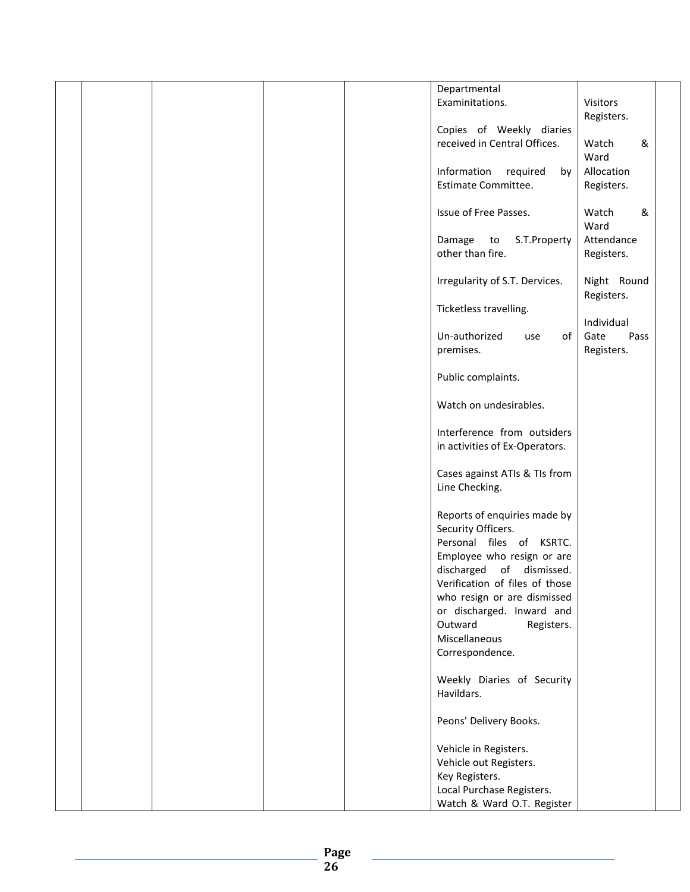|  |  | Departmental                   |              |  |
|--|--|--------------------------------|--------------|--|
|  |  | Examinitations.                | Visitors     |  |
|  |  |                                | Registers.   |  |
|  |  | Copies of Weekly diaries       |              |  |
|  |  | received in Central Offices.   | &<br>Watch   |  |
|  |  |                                |              |  |
|  |  |                                | Ward         |  |
|  |  | Information<br>required<br>by  | Allocation   |  |
|  |  | Estimate Committee.            | Registers.   |  |
|  |  |                                |              |  |
|  |  | Issue of Free Passes.          | &<br>Watch   |  |
|  |  |                                | Ward         |  |
|  |  |                                |              |  |
|  |  | Damage<br>S.T.Property<br>to   | Attendance   |  |
|  |  | other than fire.               | Registers.   |  |
|  |  |                                |              |  |
|  |  | Irregularity of S.T. Dervices. | Night Round  |  |
|  |  |                                | Registers.   |  |
|  |  | Ticketless travelling.         |              |  |
|  |  |                                | Individual   |  |
|  |  |                                |              |  |
|  |  | Un-authorized<br>of<br>use     | Gate<br>Pass |  |
|  |  | premises.                      | Registers.   |  |
|  |  |                                |              |  |
|  |  | Public complaints.             |              |  |
|  |  |                                |              |  |
|  |  | Watch on undesirables.         |              |  |
|  |  |                                |              |  |
|  |  |                                |              |  |
|  |  | Interference from outsiders    |              |  |
|  |  | in activities of Ex-Operators. |              |  |
|  |  |                                |              |  |
|  |  | Cases against ATIs & TIs from  |              |  |
|  |  | Line Checking.                 |              |  |
|  |  |                                |              |  |
|  |  | Reports of enquiries made by   |              |  |
|  |  |                                |              |  |
|  |  | Security Officers.             |              |  |
|  |  | Personal files of KSRTC.       |              |  |
|  |  | Employee who resign or are     |              |  |
|  |  | discharged of dismissed.       |              |  |
|  |  | Verification of files of those |              |  |
|  |  | who resign or are dismissed    |              |  |
|  |  |                                |              |  |
|  |  | or discharged. Inward and      |              |  |
|  |  | Outward<br>Registers.          |              |  |
|  |  | Miscellaneous                  |              |  |
|  |  | Correspondence.                |              |  |
|  |  |                                |              |  |
|  |  | Weekly Diaries of Security     |              |  |
|  |  | Havildars.                     |              |  |
|  |  |                                |              |  |
|  |  |                                |              |  |
|  |  | Peons' Delivery Books.         |              |  |
|  |  |                                |              |  |
|  |  | Vehicle in Registers.          |              |  |
|  |  | Vehicle out Registers.         |              |  |
|  |  | Key Registers.                 |              |  |
|  |  |                                |              |  |
|  |  | Local Purchase Registers.      |              |  |
|  |  | Watch & Ward O.T. Register     |              |  |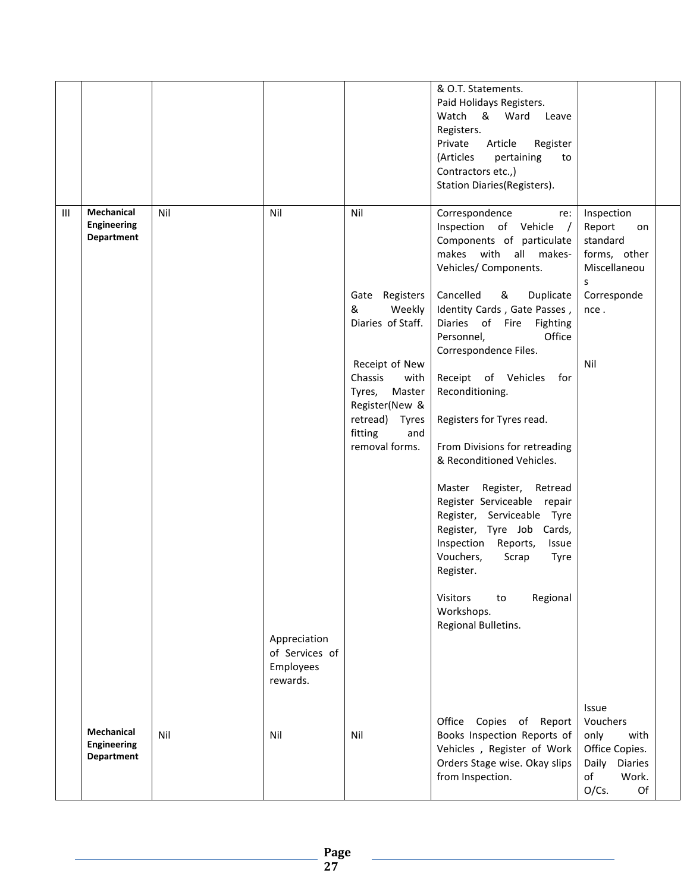|   |                                                              |     |                                                                |                                                                                                                                                                                                      | & O.T. Statements.<br>Paid Holidays Registers.<br>& Ward<br>Watch<br>Leave<br>Registers.<br>Private<br>Article<br>Register<br>(Articles<br>pertaining<br>to<br>Contractors etc.,)<br>Station Diaries(Registers).                                                                                                                                                                                                                                                                                                                                                                                                                                                                               |                                                                                                                 |  |
|---|--------------------------------------------------------------|-----|----------------------------------------------------------------|------------------------------------------------------------------------------------------------------------------------------------------------------------------------------------------------------|------------------------------------------------------------------------------------------------------------------------------------------------------------------------------------------------------------------------------------------------------------------------------------------------------------------------------------------------------------------------------------------------------------------------------------------------------------------------------------------------------------------------------------------------------------------------------------------------------------------------------------------------------------------------------------------------|-----------------------------------------------------------------------------------------------------------------|--|
| Ш | <b>Mechanical</b><br><b>Engineering</b><br><b>Department</b> | Nil | Nil<br>Appreciation<br>of Services of<br>Employees<br>rewards. | Nil<br>Gate Registers<br>&<br>Weekly<br>Diaries of Staff.<br>Receipt of New<br>Chassis<br>with<br>Tyres,<br>Master<br>Register(New &<br>retread)<br><b>Tyres</b><br>fitting<br>and<br>removal forms. | Correspondence<br>re:<br>Inspection of Vehicle /<br>Components of particulate<br>makes with all makes-<br>Vehicles/ Components.<br>Cancelled<br>&<br>Duplicate<br>Identity Cards, Gate Passes,<br>Diaries of Fire Fighting<br>Office<br>Personnel,<br>Correspondence Files.<br>Receipt of Vehicles<br>for<br>Reconditioning.<br>Registers for Tyres read.<br>From Divisions for retreading<br>& Reconditioned Vehicles.<br>Master Register,<br>Retread<br>Register Serviceable repair<br>Register, Serviceable Tyre<br>Register, Tyre Job Cards,<br>Inspection Reports,<br>Issue<br>Vouchers,<br>Scrap<br>Tyre<br>Register.<br>Regional<br>Visitors<br>to<br>Workshops.<br>Regional Bulletins. | Inspection<br>Report<br>on<br>standard<br>forms, other<br>Miscellaneou<br>s<br>Corresponde<br>nce.<br>Nil       |  |
|   | <b>Mechanical</b><br><b>Engineering</b><br><b>Department</b> | Nil | Nil                                                            | Nil                                                                                                                                                                                                  | Office Copies of Report<br>Books Inspection Reports of<br>Vehicles, Register of Work<br>Orders Stage wise. Okay slips<br>from Inspection.                                                                                                                                                                                                                                                                                                                                                                                                                                                                                                                                                      | Issue<br>Vouchers<br>only<br>with<br>Office Copies.<br>Daily<br><b>Diaries</b><br>of<br>Work.<br>$O/Cs$ .<br>Of |  |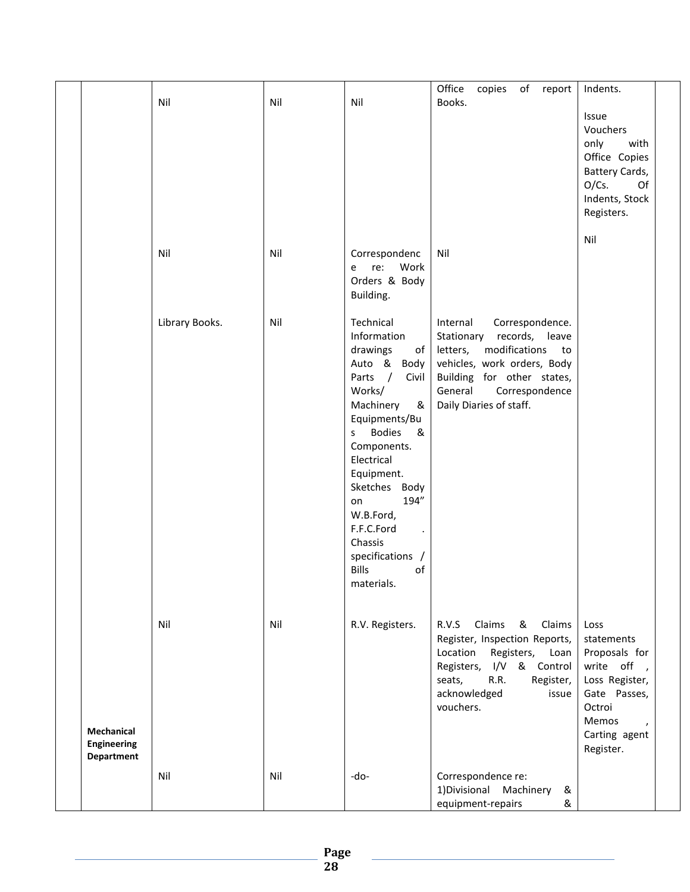|                                         | Nil            | Nil | Nil                                                                                                                                                                                                                                                                                                                                | Office<br>copies of report<br>Books.                                                                                                                                                                                   | Indents.<br>Issue<br>Vouchers<br>only<br>with<br>Office Copies<br>Battery Cards,<br>$O/Cs$ .<br>Of<br>Indents, Stock<br>Registers.<br>Nil |
|-----------------------------------------|----------------|-----|------------------------------------------------------------------------------------------------------------------------------------------------------------------------------------------------------------------------------------------------------------------------------------------------------------------------------------|------------------------------------------------------------------------------------------------------------------------------------------------------------------------------------------------------------------------|-------------------------------------------------------------------------------------------------------------------------------------------|
|                                         | Nil            | Nil | Correspondenc<br>Work<br>re:<br>e<br>Orders & Body<br>Building.                                                                                                                                                                                                                                                                    | Nil                                                                                                                                                                                                                    |                                                                                                                                           |
|                                         | Library Books. | Nil | Technical<br>Information<br>drawings<br>of<br>Auto & Body<br>$\sqrt{ }$<br>Parts<br>Civil<br>Works/<br>Machinery<br>&<br>Equipments/Bu<br><b>Bodies</b><br>&<br>S<br>Components.<br>Electrical<br>Equipment.<br>Sketches Body<br>194"<br>on<br>W.B.Ford,<br>F.F.C.Ford<br>Chassis<br>specifications /<br>Bills<br>of<br>materials. | Internal<br>Correspondence.<br>Stationary<br>records,<br>leave<br>letters,<br>modifications<br>to<br>vehicles, work orders, Body<br>Building for other states,<br>General<br>Correspondence<br>Daily Diaries of staff. |                                                                                                                                           |
| <b>Mechanical</b>                       | Nil            | Nil | R.V. Registers.                                                                                                                                                                                                                                                                                                                    | R.V.S<br>Claims<br>&<br>Claims<br>Register, Inspection Reports,<br>Registers,<br>Location<br>Loan<br>I/V & Control<br>Registers,<br>R.R.<br>seats,<br>Register,<br>acknowledged<br>issue<br>vouchers.                  | Loss<br>statements<br>Proposals for<br>write off,<br>Loss Register,<br>Gate Passes,<br>Octroi<br>Memos<br>$\lambda$<br>Carting agent      |
| <b>Engineering</b><br><b>Department</b> |                |     |                                                                                                                                                                                                                                                                                                                                    |                                                                                                                                                                                                                        | Register.                                                                                                                                 |
|                                         | Nil            | Nil | -do-                                                                                                                                                                                                                                                                                                                               | Correspondence re:<br>1) Divisional<br>Machinery<br>&<br>equipment-repairs<br>&                                                                                                                                        |                                                                                                                                           |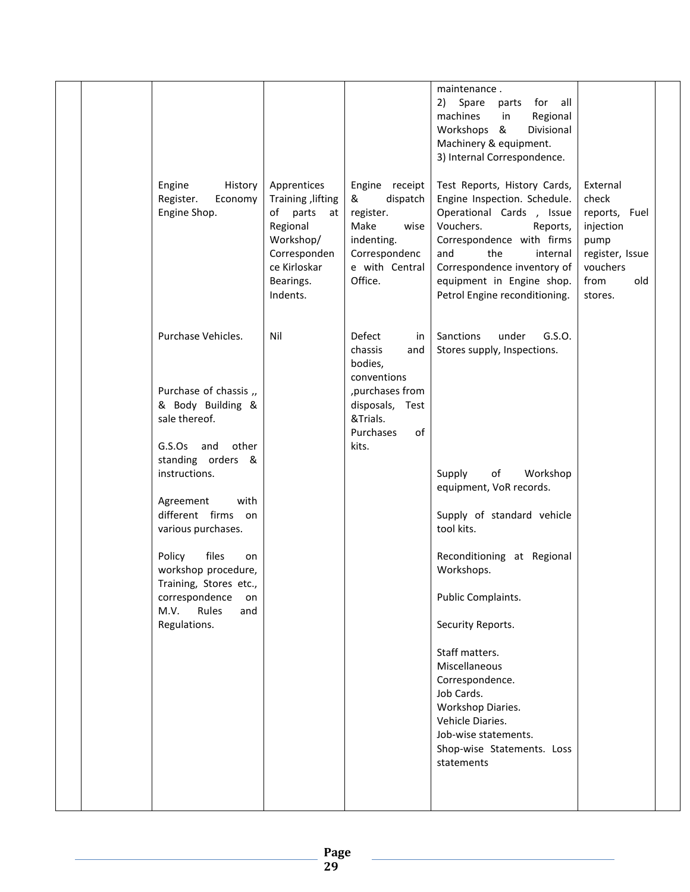|  |                                                                        |                                                                                                                                       |                                                                                                                          | maintenance.<br>for all<br>2)<br>Spare<br>parts                                                                                                                                                                                                                       |                                                                                                                  |  |
|--|------------------------------------------------------------------------|---------------------------------------------------------------------------------------------------------------------------------------|--------------------------------------------------------------------------------------------------------------------------|-----------------------------------------------------------------------------------------------------------------------------------------------------------------------------------------------------------------------------------------------------------------------|------------------------------------------------------------------------------------------------------------------|--|
|  |                                                                        |                                                                                                                                       |                                                                                                                          | machines<br>Regional<br>in<br>Workshops &<br>Divisional<br>Machinery & equipment.<br>3) Internal Correspondence.                                                                                                                                                      |                                                                                                                  |  |
|  | Engine<br>History<br>Register.<br>Economy<br>Engine Shop.              | Apprentices<br>Training , lifting<br>of parts<br>at<br>Regional<br>Workshop/<br>Corresponden<br>ce Kirloskar<br>Bearings.<br>Indents. | Engine receipt<br>dispatch<br>&<br>register.<br>Make<br>wise<br>indenting.<br>Correspondenc<br>e with Central<br>Office. | Test Reports, History Cards,<br>Engine Inspection. Schedule.<br>Operational Cards, Issue<br>Vouchers.<br>Reports,<br>Correspondence with firms<br>the<br>and<br>internal<br>Correspondence inventory of<br>equipment in Engine shop.<br>Petrol Engine reconditioning. | External<br>check<br>reports, Fuel<br>injection<br>pump<br>register, Issue<br>vouchers<br>from<br>old<br>stores. |  |
|  | Purchase Vehicles.                                                     | Nil                                                                                                                                   | Defect<br>in<br>chassis<br>and<br>bodies,<br>conventions                                                                 | Sanctions<br>under<br>G.S.O.<br>Stores supply, Inspections.                                                                                                                                                                                                           |                                                                                                                  |  |
|  | Purchase of chassis ,,<br>& Body Building &<br>sale thereof.           |                                                                                                                                       | , purchases from<br>disposals, Test<br>&Trials.<br>Purchases<br>of                                                       |                                                                                                                                                                                                                                                                       |                                                                                                                  |  |
|  | G.S.Os<br>and<br>other<br>standing orders &<br>instructions.           |                                                                                                                                       | kits.                                                                                                                    | of<br>Workshop<br>Supply<br>equipment, VoR records.                                                                                                                                                                                                                   |                                                                                                                  |  |
|  | with<br>Agreement<br>different firms<br>on<br>various purchases.       |                                                                                                                                       |                                                                                                                          | Supply of standard vehicle<br>tool kits.                                                                                                                                                                                                                              |                                                                                                                  |  |
|  | files<br>Policy<br>on<br>workshop procedure,<br>Training, Stores etc., |                                                                                                                                       |                                                                                                                          | Reconditioning at Regional<br>Workshops.                                                                                                                                                                                                                              |                                                                                                                  |  |
|  | correspondence<br>on<br>M.V.<br>Rules<br>and<br>Regulations.           |                                                                                                                                       |                                                                                                                          | Public Complaints.<br>Security Reports.                                                                                                                                                                                                                               |                                                                                                                  |  |
|  |                                                                        |                                                                                                                                       |                                                                                                                          | Staff matters.<br>Miscellaneous<br>Correspondence.                                                                                                                                                                                                                    |                                                                                                                  |  |
|  |                                                                        |                                                                                                                                       |                                                                                                                          | Job Cards.<br>Workshop Diaries.<br>Vehicle Diaries.<br>Job-wise statements.<br>Shop-wise Statements. Loss<br>statements                                                                                                                                               |                                                                                                                  |  |
|  |                                                                        |                                                                                                                                       |                                                                                                                          |                                                                                                                                                                                                                                                                       |                                                                                                                  |  |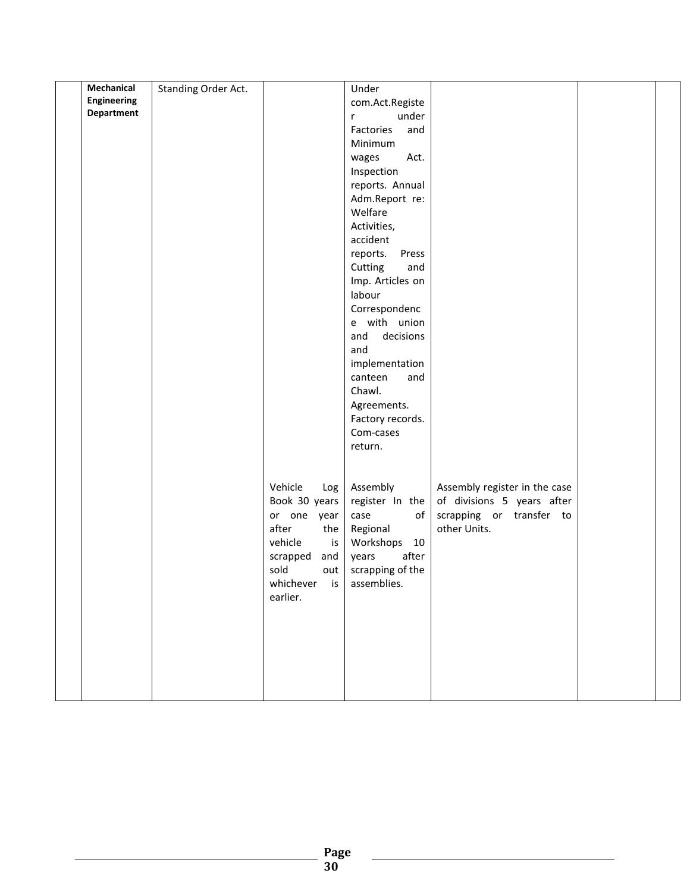| Mechanical         |                     |                 | Under             |                               |  |
|--------------------|---------------------|-----------------|-------------------|-------------------------------|--|
|                    | Standing Order Act. |                 |                   |                               |  |
| <b>Engineering</b> |                     |                 | com.Act.Registe   |                               |  |
| <b>Department</b>  |                     |                 | under<br>r        |                               |  |
|                    |                     |                 | Factories<br>and  |                               |  |
|                    |                     |                 | Minimum           |                               |  |
|                    |                     |                 | Act.<br>wages     |                               |  |
|                    |                     |                 | Inspection        |                               |  |
|                    |                     |                 | reports. Annual   |                               |  |
|                    |                     |                 | Adm.Report re:    |                               |  |
|                    |                     |                 | Welfare           |                               |  |
|                    |                     |                 | Activities,       |                               |  |
|                    |                     |                 | accident          |                               |  |
|                    |                     |                 |                   |                               |  |
|                    |                     |                 | reports.<br>Press |                               |  |
|                    |                     |                 | Cutting<br>and    |                               |  |
|                    |                     |                 | Imp. Articles on  |                               |  |
|                    |                     |                 | labour            |                               |  |
|                    |                     |                 | Correspondenc     |                               |  |
|                    |                     |                 | e with union      |                               |  |
|                    |                     |                 | decisions<br>and  |                               |  |
|                    |                     |                 | and               |                               |  |
|                    |                     |                 | implementation    |                               |  |
|                    |                     |                 | canteen<br>and    |                               |  |
|                    |                     |                 | Chawl.            |                               |  |
|                    |                     |                 | Agreements.       |                               |  |
|                    |                     |                 | Factory records.  |                               |  |
|                    |                     |                 | Com-cases         |                               |  |
|                    |                     |                 | return.           |                               |  |
|                    |                     |                 |                   |                               |  |
|                    |                     |                 |                   |                               |  |
|                    |                     |                 |                   |                               |  |
|                    |                     | Vehicle<br>Log  | Assembly          | Assembly register in the case |  |
|                    |                     | Book 30 years   | register In the   | of divisions 5 years after    |  |
|                    |                     | or one year     | of<br>case        | scrapping or transfer to      |  |
|                    |                     | after<br>the    | Regional          | other Units.                  |  |
|                    |                     | vehicle<br>is   | Workshops 10      |                               |  |
|                    |                     | scrapped<br>and | after<br>years    |                               |  |
|                    |                     | sold<br>out     | scrapping of the  |                               |  |
|                    |                     | whichever is    | assemblies.       |                               |  |
|                    |                     | earlier.        |                   |                               |  |
|                    |                     |                 |                   |                               |  |
|                    |                     |                 |                   |                               |  |
|                    |                     |                 |                   |                               |  |
|                    |                     |                 |                   |                               |  |
|                    |                     |                 |                   |                               |  |
|                    |                     |                 |                   |                               |  |
|                    |                     |                 |                   |                               |  |
|                    |                     |                 |                   |                               |  |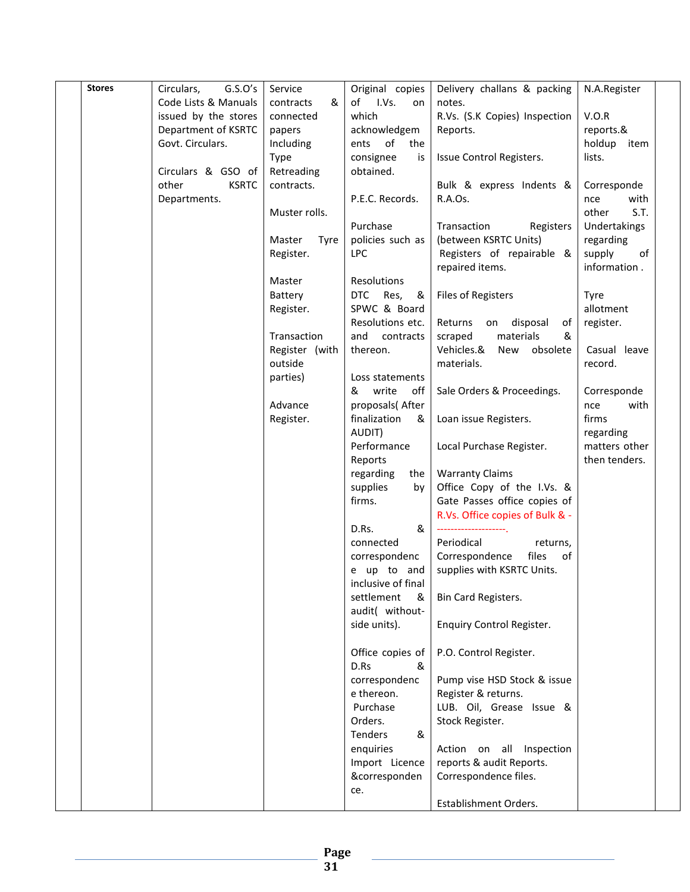| <b>Stores</b> | G.S.O's<br>Circulars, | Service        | Original copies    | Delivery challans & packing      | N.A.Register   |
|---------------|-----------------------|----------------|--------------------|----------------------------------|----------------|
|               | Code Lists & Manuals  | contracts<br>& | of I.Vs.<br>on     | notes.                           |                |
|               | issued by the stores  | connected      | which              | R.Vs. (S.K Copies) Inspection    | V.O.R          |
|               | Department of KSRTC   | papers         | acknowledgem       | Reports.                         | reports.&      |
|               | Govt. Circulars.      | Including      | of<br>ents<br>the  |                                  | holdup<br>item |
|               |                       | Type           | consignee<br>is    | Issue Control Registers.         | lists.         |
|               | Circulars & GSO of    | Retreading     | obtained.          |                                  |                |
|               | other<br><b>KSRTC</b> | contracts.     |                    | Bulk & express Indents &         | Corresponde    |
|               | Departments.          |                | P.E.C. Records.    | R.A.Os.                          | with<br>nce    |
|               |                       | Muster rolls.  |                    |                                  | S.T.<br>other  |
|               |                       |                |                    |                                  |                |
|               |                       |                | Purchase           | Transaction<br>Registers         | Undertakings   |
|               |                       | Master<br>Tyre | policies such as   | (between KSRTC Units)            | regarding      |
|               |                       | Register.      | <b>LPC</b>         | Registers of repairable &        | of<br>supply   |
|               |                       |                |                    | repaired items.                  | information.   |
|               |                       | Master         | Resolutions        |                                  |                |
|               |                       | Battery        | DTC Res,<br>&      | <b>Files of Registers</b>        | Tyre           |
|               |                       | Register.      | SPWC & Board       |                                  | allotment      |
|               |                       |                | Resolutions etc.   | Returns<br>disposal<br>on<br>of  | register.      |
|               |                       | Transaction    | and<br>contracts   | materials<br>scraped<br>&        |                |
|               |                       | Register (with | thereon.           | Vehicles.&<br>obsolete<br>New    | Casual leave   |
|               |                       | outside        |                    | materials.                       | record.        |
|               |                       | parties)       | Loss statements    |                                  |                |
|               |                       |                | write<br>off<br>&  | Sale Orders & Proceedings.       | Corresponde    |
|               |                       | Advance        | proposals(After    |                                  | with<br>nce    |
|               |                       | Register.      | finalization<br>&  | Loan issue Registers.            | firms          |
|               |                       |                | AUDIT)             |                                  | regarding      |
|               |                       |                | Performance        | Local Purchase Register.         | matters other  |
|               |                       |                |                    |                                  |                |
|               |                       |                | Reports            |                                  | then tenders.  |
|               |                       |                | regarding<br>the   | <b>Warranty Claims</b>           |                |
|               |                       |                | supplies<br>by     | Office Copy of the I.Vs. &       |                |
|               |                       |                | firms.             | Gate Passes office copies of     |                |
|               |                       |                |                    | R.Vs. Office copies of Bulk & -  |                |
|               |                       |                | D.Rs.<br>&         |                                  |                |
|               |                       |                | connected          | Periodical<br>returns,           |                |
|               |                       |                | correspondenc      | Correspondence<br>files<br>of    |                |
|               |                       |                | e up to and        | supplies with KSRTC Units.       |                |
|               |                       |                | inclusive of final |                                  |                |
|               |                       |                | settlement<br>&    | Bin Card Registers.              |                |
|               |                       |                | audit( without-    |                                  |                |
|               |                       |                | side units).       | <b>Enquiry Control Register.</b> |                |
|               |                       |                |                    |                                  |                |
|               |                       |                | Office copies of   | P.O. Control Register.           |                |
|               |                       |                | D.Rs<br>&          |                                  |                |
|               |                       |                | correspondenc      | Pump vise HSD Stock & issue      |                |
|               |                       |                | e thereon.         | Register & returns.              |                |
|               |                       |                | Purchase           | LUB. Oil, Grease Issue &         |                |
|               |                       |                | Orders.            | Stock Register.                  |                |
|               |                       |                | Tenders<br>&       |                                  |                |
|               |                       |                | enquiries          | Action on all Inspection         |                |
|               |                       |                | Import Licence     | reports & audit Reports.         |                |
|               |                       |                | &corresponden      | Correspondence files.            |                |
|               |                       |                |                    |                                  |                |
|               |                       |                | ce.                | Establishment Orders.            |                |
|               |                       |                |                    |                                  |                |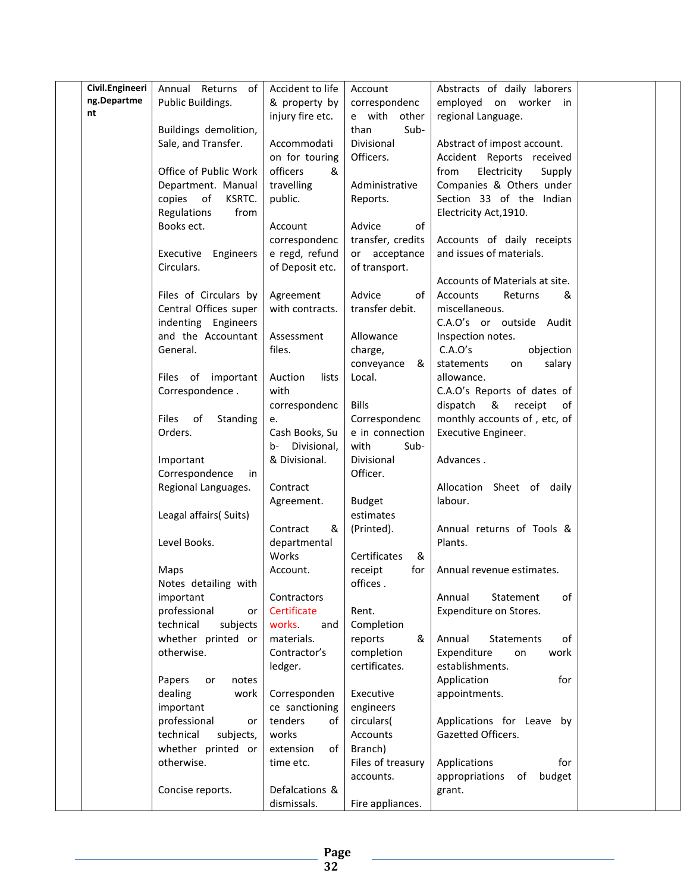| ng.Departme<br>Public Buildings.<br>& property by<br>correspondenc<br>employed on worker in<br>nt<br>injury fire etc.<br>e with other<br>regional Language.<br>Sub-<br>Buildings demolition,<br>than<br>Divisional<br>Sale, and Transfer.<br>Accommodati<br>Abstract of impost account.<br>Officers.<br>on for touring<br>Accident Reports received<br>&<br>Office of Public Work<br>officers<br>from<br>Electricity<br>Supply<br>Companies & Others under<br>Department. Manual<br>travelling<br>Administrative<br>Section 33 of the Indian<br>copies of<br>KSRTC.<br>public.<br>Reports.<br>Regulations<br>from<br>Electricity Act, 1910.<br>Books ect.<br>Advice<br>of<br>Account<br>transfer, credits<br>Accounts of daily receipts<br>correspondenc<br>e regd, refund<br>Executive Engineers<br>or acceptance<br>and issues of materials.<br>Circulars.<br>of Deposit etc.<br>of transport.<br>Accounts of Materials at site.<br>Files of Circulars by<br>Advice<br>of<br>Accounts<br>Agreement<br>Returns<br>&<br>Central Offices super<br>with contracts.<br>transfer debit.<br>miscellaneous.<br>indenting Engineers<br>C.A.O's or outside Audit<br>and the Accountant<br>Allowance<br>Assessment<br>Inspection notes.<br>General.<br>C.A.O's<br>objection<br>files.<br>charge,<br>&<br>conveyance<br>statements<br>salary<br>on<br>Files of important<br>Auction<br>Local.<br>lists<br>allowance.<br>Correspondence.<br>with<br>C.A.O's Reports of dates of<br>dispatch<br>correspondenc<br><b>Bills</b><br>&<br>receipt<br>of<br>monthly accounts of, etc, of<br>Files<br>of<br>Correspondenc<br>Standing<br>e.<br>Orders.<br>Cash Books, Su<br>e in connection<br>Executive Engineer.<br>Divisional,<br>with<br>Sub-<br>b-<br>& Divisional.<br>Divisional<br>Advances.<br>Important<br>Officer.<br>Correspondence<br>in<br>Regional Languages.<br>Contract<br>Allocation Sheet of daily<br>labour.<br>Agreement.<br><b>Budget</b><br>estimates<br>Leagal affairs(Suits)<br>Contract<br>&<br>(Printed).<br>Annual returns of Tools &<br>Level Books.<br>departmental<br>Plants.<br>Works<br>&<br>Certificates<br>Account.<br>receipt<br>for<br>Annual revenue estimates.<br>Maps<br>offices.<br>Notes detailing with<br>оf<br>important<br>Contractors<br>Annual<br>Statement<br>professional<br>Certificate<br>Rent.<br>Expenditure on Stores.<br>or<br>technical<br>subjects<br>works.<br>Completion<br>and<br>whether printed or<br>reports<br>Annual<br>of<br>materials.<br>&<br>Statements<br>completion<br>otherwise.<br>Contractor's<br>Expenditure<br>work<br>on<br>certificates.<br>ledger.<br>establishments.<br>Application<br>for<br>Papers<br>notes<br>or<br>dealing<br>Corresponden<br>Executive<br>appointments.<br>work<br>important<br>ce sanctioning<br>engineers<br>professional<br>tenders<br>of<br>circulars(<br>Applications for Leave by<br>or<br>technical<br>works<br>Accounts<br>Gazetted Officers.<br>subjects,<br>whether printed or<br>Branch)<br>extension<br>of<br>otherwise.<br>Files of treasury<br>Applications<br>time etc.<br>for<br>budget<br>accounts.<br>appropriations<br>of<br>Concise reports.<br>Defalcations &<br>grant. | Civil.Engineeri | Annual Returns<br>of l | Accident to life | Account          | Abstracts of daily laborers |  |
|--------------------------------------------------------------------------------------------------------------------------------------------------------------------------------------------------------------------------------------------------------------------------------------------------------------------------------------------------------------------------------------------------------------------------------------------------------------------------------------------------------------------------------------------------------------------------------------------------------------------------------------------------------------------------------------------------------------------------------------------------------------------------------------------------------------------------------------------------------------------------------------------------------------------------------------------------------------------------------------------------------------------------------------------------------------------------------------------------------------------------------------------------------------------------------------------------------------------------------------------------------------------------------------------------------------------------------------------------------------------------------------------------------------------------------------------------------------------------------------------------------------------------------------------------------------------------------------------------------------------------------------------------------------------------------------------------------------------------------------------------------------------------------------------------------------------------------------------------------------------------------------------------------------------------------------------------------------------------------------------------------------------------------------------------------------------------------------------------------------------------------------------------------------------------------------------------------------------------------------------------------------------------------------------------------------------------------------------------------------------------------------------------------------------------------------------------------------------------------------------------------------------------------------------------------------------------------------------------------------------------------------------------------------------------------------------------------------------------------------------------------------------------------------------------------------------------------------------------------------------------------------------------------------------------------------------------------------------------------------------------------------------------------------------------------------------------------------------------------------------------------------------------------------------------------|-----------------|------------------------|------------------|------------------|-----------------------------|--|
|                                                                                                                                                                                                                                                                                                                                                                                                                                                                                                                                                                                                                                                                                                                                                                                                                                                                                                                                                                                                                                                                                                                                                                                                                                                                                                                                                                                                                                                                                                                                                                                                                                                                                                                                                                                                                                                                                                                                                                                                                                                                                                                                                                                                                                                                                                                                                                                                                                                                                                                                                                                                                                                                                                                                                                                                                                                                                                                                                                                                                                                                                                                                                                                |                 |                        |                  |                  |                             |  |
|                                                                                                                                                                                                                                                                                                                                                                                                                                                                                                                                                                                                                                                                                                                                                                                                                                                                                                                                                                                                                                                                                                                                                                                                                                                                                                                                                                                                                                                                                                                                                                                                                                                                                                                                                                                                                                                                                                                                                                                                                                                                                                                                                                                                                                                                                                                                                                                                                                                                                                                                                                                                                                                                                                                                                                                                                                                                                                                                                                                                                                                                                                                                                                                |                 |                        |                  |                  |                             |  |
|                                                                                                                                                                                                                                                                                                                                                                                                                                                                                                                                                                                                                                                                                                                                                                                                                                                                                                                                                                                                                                                                                                                                                                                                                                                                                                                                                                                                                                                                                                                                                                                                                                                                                                                                                                                                                                                                                                                                                                                                                                                                                                                                                                                                                                                                                                                                                                                                                                                                                                                                                                                                                                                                                                                                                                                                                                                                                                                                                                                                                                                                                                                                                                                |                 |                        |                  |                  |                             |  |
|                                                                                                                                                                                                                                                                                                                                                                                                                                                                                                                                                                                                                                                                                                                                                                                                                                                                                                                                                                                                                                                                                                                                                                                                                                                                                                                                                                                                                                                                                                                                                                                                                                                                                                                                                                                                                                                                                                                                                                                                                                                                                                                                                                                                                                                                                                                                                                                                                                                                                                                                                                                                                                                                                                                                                                                                                                                                                                                                                                                                                                                                                                                                                                                |                 |                        |                  |                  |                             |  |
|                                                                                                                                                                                                                                                                                                                                                                                                                                                                                                                                                                                                                                                                                                                                                                                                                                                                                                                                                                                                                                                                                                                                                                                                                                                                                                                                                                                                                                                                                                                                                                                                                                                                                                                                                                                                                                                                                                                                                                                                                                                                                                                                                                                                                                                                                                                                                                                                                                                                                                                                                                                                                                                                                                                                                                                                                                                                                                                                                                                                                                                                                                                                                                                |                 |                        |                  |                  |                             |  |
|                                                                                                                                                                                                                                                                                                                                                                                                                                                                                                                                                                                                                                                                                                                                                                                                                                                                                                                                                                                                                                                                                                                                                                                                                                                                                                                                                                                                                                                                                                                                                                                                                                                                                                                                                                                                                                                                                                                                                                                                                                                                                                                                                                                                                                                                                                                                                                                                                                                                                                                                                                                                                                                                                                                                                                                                                                                                                                                                                                                                                                                                                                                                                                                |                 |                        |                  |                  |                             |  |
|                                                                                                                                                                                                                                                                                                                                                                                                                                                                                                                                                                                                                                                                                                                                                                                                                                                                                                                                                                                                                                                                                                                                                                                                                                                                                                                                                                                                                                                                                                                                                                                                                                                                                                                                                                                                                                                                                                                                                                                                                                                                                                                                                                                                                                                                                                                                                                                                                                                                                                                                                                                                                                                                                                                                                                                                                                                                                                                                                                                                                                                                                                                                                                                |                 |                        |                  |                  |                             |  |
|                                                                                                                                                                                                                                                                                                                                                                                                                                                                                                                                                                                                                                                                                                                                                                                                                                                                                                                                                                                                                                                                                                                                                                                                                                                                                                                                                                                                                                                                                                                                                                                                                                                                                                                                                                                                                                                                                                                                                                                                                                                                                                                                                                                                                                                                                                                                                                                                                                                                                                                                                                                                                                                                                                                                                                                                                                                                                                                                                                                                                                                                                                                                                                                |                 |                        |                  |                  |                             |  |
|                                                                                                                                                                                                                                                                                                                                                                                                                                                                                                                                                                                                                                                                                                                                                                                                                                                                                                                                                                                                                                                                                                                                                                                                                                                                                                                                                                                                                                                                                                                                                                                                                                                                                                                                                                                                                                                                                                                                                                                                                                                                                                                                                                                                                                                                                                                                                                                                                                                                                                                                                                                                                                                                                                                                                                                                                                                                                                                                                                                                                                                                                                                                                                                |                 |                        |                  |                  |                             |  |
|                                                                                                                                                                                                                                                                                                                                                                                                                                                                                                                                                                                                                                                                                                                                                                                                                                                                                                                                                                                                                                                                                                                                                                                                                                                                                                                                                                                                                                                                                                                                                                                                                                                                                                                                                                                                                                                                                                                                                                                                                                                                                                                                                                                                                                                                                                                                                                                                                                                                                                                                                                                                                                                                                                                                                                                                                                                                                                                                                                                                                                                                                                                                                                                |                 |                        |                  |                  |                             |  |
|                                                                                                                                                                                                                                                                                                                                                                                                                                                                                                                                                                                                                                                                                                                                                                                                                                                                                                                                                                                                                                                                                                                                                                                                                                                                                                                                                                                                                                                                                                                                                                                                                                                                                                                                                                                                                                                                                                                                                                                                                                                                                                                                                                                                                                                                                                                                                                                                                                                                                                                                                                                                                                                                                                                                                                                                                                                                                                                                                                                                                                                                                                                                                                                |                 |                        |                  |                  |                             |  |
|                                                                                                                                                                                                                                                                                                                                                                                                                                                                                                                                                                                                                                                                                                                                                                                                                                                                                                                                                                                                                                                                                                                                                                                                                                                                                                                                                                                                                                                                                                                                                                                                                                                                                                                                                                                                                                                                                                                                                                                                                                                                                                                                                                                                                                                                                                                                                                                                                                                                                                                                                                                                                                                                                                                                                                                                                                                                                                                                                                                                                                                                                                                                                                                |                 |                        |                  |                  |                             |  |
|                                                                                                                                                                                                                                                                                                                                                                                                                                                                                                                                                                                                                                                                                                                                                                                                                                                                                                                                                                                                                                                                                                                                                                                                                                                                                                                                                                                                                                                                                                                                                                                                                                                                                                                                                                                                                                                                                                                                                                                                                                                                                                                                                                                                                                                                                                                                                                                                                                                                                                                                                                                                                                                                                                                                                                                                                                                                                                                                                                                                                                                                                                                                                                                |                 |                        |                  |                  |                             |  |
|                                                                                                                                                                                                                                                                                                                                                                                                                                                                                                                                                                                                                                                                                                                                                                                                                                                                                                                                                                                                                                                                                                                                                                                                                                                                                                                                                                                                                                                                                                                                                                                                                                                                                                                                                                                                                                                                                                                                                                                                                                                                                                                                                                                                                                                                                                                                                                                                                                                                                                                                                                                                                                                                                                                                                                                                                                                                                                                                                                                                                                                                                                                                                                                |                 |                        |                  |                  |                             |  |
|                                                                                                                                                                                                                                                                                                                                                                                                                                                                                                                                                                                                                                                                                                                                                                                                                                                                                                                                                                                                                                                                                                                                                                                                                                                                                                                                                                                                                                                                                                                                                                                                                                                                                                                                                                                                                                                                                                                                                                                                                                                                                                                                                                                                                                                                                                                                                                                                                                                                                                                                                                                                                                                                                                                                                                                                                                                                                                                                                                                                                                                                                                                                                                                |                 |                        |                  |                  |                             |  |
|                                                                                                                                                                                                                                                                                                                                                                                                                                                                                                                                                                                                                                                                                                                                                                                                                                                                                                                                                                                                                                                                                                                                                                                                                                                                                                                                                                                                                                                                                                                                                                                                                                                                                                                                                                                                                                                                                                                                                                                                                                                                                                                                                                                                                                                                                                                                                                                                                                                                                                                                                                                                                                                                                                                                                                                                                                                                                                                                                                                                                                                                                                                                                                                |                 |                        |                  |                  |                             |  |
|                                                                                                                                                                                                                                                                                                                                                                                                                                                                                                                                                                                                                                                                                                                                                                                                                                                                                                                                                                                                                                                                                                                                                                                                                                                                                                                                                                                                                                                                                                                                                                                                                                                                                                                                                                                                                                                                                                                                                                                                                                                                                                                                                                                                                                                                                                                                                                                                                                                                                                                                                                                                                                                                                                                                                                                                                                                                                                                                                                                                                                                                                                                                                                                |                 |                        |                  |                  |                             |  |
|                                                                                                                                                                                                                                                                                                                                                                                                                                                                                                                                                                                                                                                                                                                                                                                                                                                                                                                                                                                                                                                                                                                                                                                                                                                                                                                                                                                                                                                                                                                                                                                                                                                                                                                                                                                                                                                                                                                                                                                                                                                                                                                                                                                                                                                                                                                                                                                                                                                                                                                                                                                                                                                                                                                                                                                                                                                                                                                                                                                                                                                                                                                                                                                |                 |                        |                  |                  |                             |  |
|                                                                                                                                                                                                                                                                                                                                                                                                                                                                                                                                                                                                                                                                                                                                                                                                                                                                                                                                                                                                                                                                                                                                                                                                                                                                                                                                                                                                                                                                                                                                                                                                                                                                                                                                                                                                                                                                                                                                                                                                                                                                                                                                                                                                                                                                                                                                                                                                                                                                                                                                                                                                                                                                                                                                                                                                                                                                                                                                                                                                                                                                                                                                                                                |                 |                        |                  |                  |                             |  |
|                                                                                                                                                                                                                                                                                                                                                                                                                                                                                                                                                                                                                                                                                                                                                                                                                                                                                                                                                                                                                                                                                                                                                                                                                                                                                                                                                                                                                                                                                                                                                                                                                                                                                                                                                                                                                                                                                                                                                                                                                                                                                                                                                                                                                                                                                                                                                                                                                                                                                                                                                                                                                                                                                                                                                                                                                                                                                                                                                                                                                                                                                                                                                                                |                 |                        |                  |                  |                             |  |
|                                                                                                                                                                                                                                                                                                                                                                                                                                                                                                                                                                                                                                                                                                                                                                                                                                                                                                                                                                                                                                                                                                                                                                                                                                                                                                                                                                                                                                                                                                                                                                                                                                                                                                                                                                                                                                                                                                                                                                                                                                                                                                                                                                                                                                                                                                                                                                                                                                                                                                                                                                                                                                                                                                                                                                                                                                                                                                                                                                                                                                                                                                                                                                                |                 |                        |                  |                  |                             |  |
|                                                                                                                                                                                                                                                                                                                                                                                                                                                                                                                                                                                                                                                                                                                                                                                                                                                                                                                                                                                                                                                                                                                                                                                                                                                                                                                                                                                                                                                                                                                                                                                                                                                                                                                                                                                                                                                                                                                                                                                                                                                                                                                                                                                                                                                                                                                                                                                                                                                                                                                                                                                                                                                                                                                                                                                                                                                                                                                                                                                                                                                                                                                                                                                |                 |                        |                  |                  |                             |  |
|                                                                                                                                                                                                                                                                                                                                                                                                                                                                                                                                                                                                                                                                                                                                                                                                                                                                                                                                                                                                                                                                                                                                                                                                                                                                                                                                                                                                                                                                                                                                                                                                                                                                                                                                                                                                                                                                                                                                                                                                                                                                                                                                                                                                                                                                                                                                                                                                                                                                                                                                                                                                                                                                                                                                                                                                                                                                                                                                                                                                                                                                                                                                                                                |                 |                        |                  |                  |                             |  |
|                                                                                                                                                                                                                                                                                                                                                                                                                                                                                                                                                                                                                                                                                                                                                                                                                                                                                                                                                                                                                                                                                                                                                                                                                                                                                                                                                                                                                                                                                                                                                                                                                                                                                                                                                                                                                                                                                                                                                                                                                                                                                                                                                                                                                                                                                                                                                                                                                                                                                                                                                                                                                                                                                                                                                                                                                                                                                                                                                                                                                                                                                                                                                                                |                 |                        |                  |                  |                             |  |
|                                                                                                                                                                                                                                                                                                                                                                                                                                                                                                                                                                                                                                                                                                                                                                                                                                                                                                                                                                                                                                                                                                                                                                                                                                                                                                                                                                                                                                                                                                                                                                                                                                                                                                                                                                                                                                                                                                                                                                                                                                                                                                                                                                                                                                                                                                                                                                                                                                                                                                                                                                                                                                                                                                                                                                                                                                                                                                                                                                                                                                                                                                                                                                                |                 |                        |                  |                  |                             |  |
|                                                                                                                                                                                                                                                                                                                                                                                                                                                                                                                                                                                                                                                                                                                                                                                                                                                                                                                                                                                                                                                                                                                                                                                                                                                                                                                                                                                                                                                                                                                                                                                                                                                                                                                                                                                                                                                                                                                                                                                                                                                                                                                                                                                                                                                                                                                                                                                                                                                                                                                                                                                                                                                                                                                                                                                                                                                                                                                                                                                                                                                                                                                                                                                |                 |                        |                  |                  |                             |  |
|                                                                                                                                                                                                                                                                                                                                                                                                                                                                                                                                                                                                                                                                                                                                                                                                                                                                                                                                                                                                                                                                                                                                                                                                                                                                                                                                                                                                                                                                                                                                                                                                                                                                                                                                                                                                                                                                                                                                                                                                                                                                                                                                                                                                                                                                                                                                                                                                                                                                                                                                                                                                                                                                                                                                                                                                                                                                                                                                                                                                                                                                                                                                                                                |                 |                        |                  |                  |                             |  |
|                                                                                                                                                                                                                                                                                                                                                                                                                                                                                                                                                                                                                                                                                                                                                                                                                                                                                                                                                                                                                                                                                                                                                                                                                                                                                                                                                                                                                                                                                                                                                                                                                                                                                                                                                                                                                                                                                                                                                                                                                                                                                                                                                                                                                                                                                                                                                                                                                                                                                                                                                                                                                                                                                                                                                                                                                                                                                                                                                                                                                                                                                                                                                                                |                 |                        |                  |                  |                             |  |
|                                                                                                                                                                                                                                                                                                                                                                                                                                                                                                                                                                                                                                                                                                                                                                                                                                                                                                                                                                                                                                                                                                                                                                                                                                                                                                                                                                                                                                                                                                                                                                                                                                                                                                                                                                                                                                                                                                                                                                                                                                                                                                                                                                                                                                                                                                                                                                                                                                                                                                                                                                                                                                                                                                                                                                                                                                                                                                                                                                                                                                                                                                                                                                                |                 |                        |                  |                  |                             |  |
|                                                                                                                                                                                                                                                                                                                                                                                                                                                                                                                                                                                                                                                                                                                                                                                                                                                                                                                                                                                                                                                                                                                                                                                                                                                                                                                                                                                                                                                                                                                                                                                                                                                                                                                                                                                                                                                                                                                                                                                                                                                                                                                                                                                                                                                                                                                                                                                                                                                                                                                                                                                                                                                                                                                                                                                                                                                                                                                                                                                                                                                                                                                                                                                |                 |                        |                  |                  |                             |  |
|                                                                                                                                                                                                                                                                                                                                                                                                                                                                                                                                                                                                                                                                                                                                                                                                                                                                                                                                                                                                                                                                                                                                                                                                                                                                                                                                                                                                                                                                                                                                                                                                                                                                                                                                                                                                                                                                                                                                                                                                                                                                                                                                                                                                                                                                                                                                                                                                                                                                                                                                                                                                                                                                                                                                                                                                                                                                                                                                                                                                                                                                                                                                                                                |                 |                        |                  |                  |                             |  |
|                                                                                                                                                                                                                                                                                                                                                                                                                                                                                                                                                                                                                                                                                                                                                                                                                                                                                                                                                                                                                                                                                                                                                                                                                                                                                                                                                                                                                                                                                                                                                                                                                                                                                                                                                                                                                                                                                                                                                                                                                                                                                                                                                                                                                                                                                                                                                                                                                                                                                                                                                                                                                                                                                                                                                                                                                                                                                                                                                                                                                                                                                                                                                                                |                 |                        |                  |                  |                             |  |
|                                                                                                                                                                                                                                                                                                                                                                                                                                                                                                                                                                                                                                                                                                                                                                                                                                                                                                                                                                                                                                                                                                                                                                                                                                                                                                                                                                                                                                                                                                                                                                                                                                                                                                                                                                                                                                                                                                                                                                                                                                                                                                                                                                                                                                                                                                                                                                                                                                                                                                                                                                                                                                                                                                                                                                                                                                                                                                                                                                                                                                                                                                                                                                                |                 |                        |                  |                  |                             |  |
|                                                                                                                                                                                                                                                                                                                                                                                                                                                                                                                                                                                                                                                                                                                                                                                                                                                                                                                                                                                                                                                                                                                                                                                                                                                                                                                                                                                                                                                                                                                                                                                                                                                                                                                                                                                                                                                                                                                                                                                                                                                                                                                                                                                                                                                                                                                                                                                                                                                                                                                                                                                                                                                                                                                                                                                                                                                                                                                                                                                                                                                                                                                                                                                |                 |                        |                  |                  |                             |  |
|                                                                                                                                                                                                                                                                                                                                                                                                                                                                                                                                                                                                                                                                                                                                                                                                                                                                                                                                                                                                                                                                                                                                                                                                                                                                                                                                                                                                                                                                                                                                                                                                                                                                                                                                                                                                                                                                                                                                                                                                                                                                                                                                                                                                                                                                                                                                                                                                                                                                                                                                                                                                                                                                                                                                                                                                                                                                                                                                                                                                                                                                                                                                                                                |                 |                        |                  |                  |                             |  |
|                                                                                                                                                                                                                                                                                                                                                                                                                                                                                                                                                                                                                                                                                                                                                                                                                                                                                                                                                                                                                                                                                                                                                                                                                                                                                                                                                                                                                                                                                                                                                                                                                                                                                                                                                                                                                                                                                                                                                                                                                                                                                                                                                                                                                                                                                                                                                                                                                                                                                                                                                                                                                                                                                                                                                                                                                                                                                                                                                                                                                                                                                                                                                                                |                 |                        |                  |                  |                             |  |
|                                                                                                                                                                                                                                                                                                                                                                                                                                                                                                                                                                                                                                                                                                                                                                                                                                                                                                                                                                                                                                                                                                                                                                                                                                                                                                                                                                                                                                                                                                                                                                                                                                                                                                                                                                                                                                                                                                                                                                                                                                                                                                                                                                                                                                                                                                                                                                                                                                                                                                                                                                                                                                                                                                                                                                                                                                                                                                                                                                                                                                                                                                                                                                                |                 |                        |                  |                  |                             |  |
|                                                                                                                                                                                                                                                                                                                                                                                                                                                                                                                                                                                                                                                                                                                                                                                                                                                                                                                                                                                                                                                                                                                                                                                                                                                                                                                                                                                                                                                                                                                                                                                                                                                                                                                                                                                                                                                                                                                                                                                                                                                                                                                                                                                                                                                                                                                                                                                                                                                                                                                                                                                                                                                                                                                                                                                                                                                                                                                                                                                                                                                                                                                                                                                |                 |                        |                  |                  |                             |  |
|                                                                                                                                                                                                                                                                                                                                                                                                                                                                                                                                                                                                                                                                                                                                                                                                                                                                                                                                                                                                                                                                                                                                                                                                                                                                                                                                                                                                                                                                                                                                                                                                                                                                                                                                                                                                                                                                                                                                                                                                                                                                                                                                                                                                                                                                                                                                                                                                                                                                                                                                                                                                                                                                                                                                                                                                                                                                                                                                                                                                                                                                                                                                                                                |                 |                        |                  |                  |                             |  |
|                                                                                                                                                                                                                                                                                                                                                                                                                                                                                                                                                                                                                                                                                                                                                                                                                                                                                                                                                                                                                                                                                                                                                                                                                                                                                                                                                                                                                                                                                                                                                                                                                                                                                                                                                                                                                                                                                                                                                                                                                                                                                                                                                                                                                                                                                                                                                                                                                                                                                                                                                                                                                                                                                                                                                                                                                                                                                                                                                                                                                                                                                                                                                                                |                 |                        |                  |                  |                             |  |
|                                                                                                                                                                                                                                                                                                                                                                                                                                                                                                                                                                                                                                                                                                                                                                                                                                                                                                                                                                                                                                                                                                                                                                                                                                                                                                                                                                                                                                                                                                                                                                                                                                                                                                                                                                                                                                                                                                                                                                                                                                                                                                                                                                                                                                                                                                                                                                                                                                                                                                                                                                                                                                                                                                                                                                                                                                                                                                                                                                                                                                                                                                                                                                                |                 |                        |                  |                  |                             |  |
|                                                                                                                                                                                                                                                                                                                                                                                                                                                                                                                                                                                                                                                                                                                                                                                                                                                                                                                                                                                                                                                                                                                                                                                                                                                                                                                                                                                                                                                                                                                                                                                                                                                                                                                                                                                                                                                                                                                                                                                                                                                                                                                                                                                                                                                                                                                                                                                                                                                                                                                                                                                                                                                                                                                                                                                                                                                                                                                                                                                                                                                                                                                                                                                |                 |                        |                  |                  |                             |  |
|                                                                                                                                                                                                                                                                                                                                                                                                                                                                                                                                                                                                                                                                                                                                                                                                                                                                                                                                                                                                                                                                                                                                                                                                                                                                                                                                                                                                                                                                                                                                                                                                                                                                                                                                                                                                                                                                                                                                                                                                                                                                                                                                                                                                                                                                                                                                                                                                                                                                                                                                                                                                                                                                                                                                                                                                                                                                                                                                                                                                                                                                                                                                                                                |                 |                        |                  |                  |                             |  |
|                                                                                                                                                                                                                                                                                                                                                                                                                                                                                                                                                                                                                                                                                                                                                                                                                                                                                                                                                                                                                                                                                                                                                                                                                                                                                                                                                                                                                                                                                                                                                                                                                                                                                                                                                                                                                                                                                                                                                                                                                                                                                                                                                                                                                                                                                                                                                                                                                                                                                                                                                                                                                                                                                                                                                                                                                                                                                                                                                                                                                                                                                                                                                                                |                 |                        |                  |                  |                             |  |
|                                                                                                                                                                                                                                                                                                                                                                                                                                                                                                                                                                                                                                                                                                                                                                                                                                                                                                                                                                                                                                                                                                                                                                                                                                                                                                                                                                                                                                                                                                                                                                                                                                                                                                                                                                                                                                                                                                                                                                                                                                                                                                                                                                                                                                                                                                                                                                                                                                                                                                                                                                                                                                                                                                                                                                                                                                                                                                                                                                                                                                                                                                                                                                                |                 |                        |                  |                  |                             |  |
|                                                                                                                                                                                                                                                                                                                                                                                                                                                                                                                                                                                                                                                                                                                                                                                                                                                                                                                                                                                                                                                                                                                                                                                                                                                                                                                                                                                                                                                                                                                                                                                                                                                                                                                                                                                                                                                                                                                                                                                                                                                                                                                                                                                                                                                                                                                                                                                                                                                                                                                                                                                                                                                                                                                                                                                                                                                                                                                                                                                                                                                                                                                                                                                |                 |                        |                  |                  |                             |  |
|                                                                                                                                                                                                                                                                                                                                                                                                                                                                                                                                                                                                                                                                                                                                                                                                                                                                                                                                                                                                                                                                                                                                                                                                                                                                                                                                                                                                                                                                                                                                                                                                                                                                                                                                                                                                                                                                                                                                                                                                                                                                                                                                                                                                                                                                                                                                                                                                                                                                                                                                                                                                                                                                                                                                                                                                                                                                                                                                                                                                                                                                                                                                                                                |                 |                        |                  |                  |                             |  |
|                                                                                                                                                                                                                                                                                                                                                                                                                                                                                                                                                                                                                                                                                                                                                                                                                                                                                                                                                                                                                                                                                                                                                                                                                                                                                                                                                                                                                                                                                                                                                                                                                                                                                                                                                                                                                                                                                                                                                                                                                                                                                                                                                                                                                                                                                                                                                                                                                                                                                                                                                                                                                                                                                                                                                                                                                                                                                                                                                                                                                                                                                                                                                                                |                 |                        |                  |                  |                             |  |
|                                                                                                                                                                                                                                                                                                                                                                                                                                                                                                                                                                                                                                                                                                                                                                                                                                                                                                                                                                                                                                                                                                                                                                                                                                                                                                                                                                                                                                                                                                                                                                                                                                                                                                                                                                                                                                                                                                                                                                                                                                                                                                                                                                                                                                                                                                                                                                                                                                                                                                                                                                                                                                                                                                                                                                                                                                                                                                                                                                                                                                                                                                                                                                                |                 |                        |                  |                  |                             |  |
|                                                                                                                                                                                                                                                                                                                                                                                                                                                                                                                                                                                                                                                                                                                                                                                                                                                                                                                                                                                                                                                                                                                                                                                                                                                                                                                                                                                                                                                                                                                                                                                                                                                                                                                                                                                                                                                                                                                                                                                                                                                                                                                                                                                                                                                                                                                                                                                                                                                                                                                                                                                                                                                                                                                                                                                                                                                                                                                                                                                                                                                                                                                                                                                |                 |                        | dismissals.      | Fire appliances. |                             |  |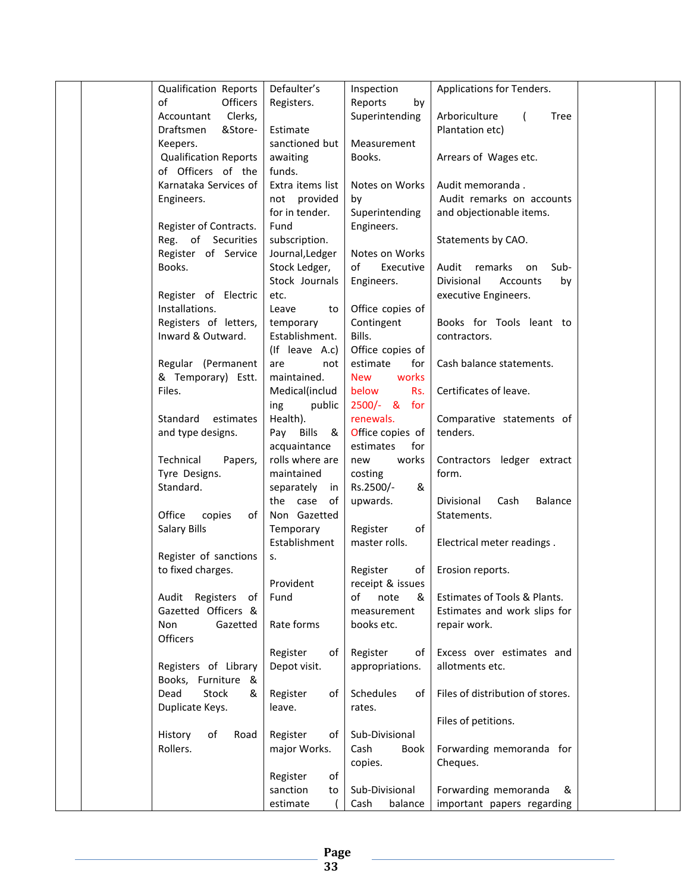| <b>Qualification Reports</b>       | Defaulter's      | Inspection          | Applications for Tenders.                      |  |
|------------------------------------|------------------|---------------------|------------------------------------------------|--|
| of<br>Officers                     | Registers.       | Reports<br>by       |                                                |  |
| Clerks,<br>Accountant              |                  | Superintending      | Arboriculture<br><b>Tree</b><br>$\overline{ }$ |  |
| Draftsmen<br>&Store-               | Estimate         |                     | Plantation etc)                                |  |
| Keepers.                           | sanctioned but   | Measurement         |                                                |  |
| <b>Qualification Reports</b>       | awaiting         | Books.              | Arrears of Wages etc.                          |  |
| of Officers of the                 | funds.           |                     |                                                |  |
| Karnataka Services of              | Extra items list | Notes on Works      | Audit memoranda.                               |  |
| Engineers.                         | not provided     | by                  | Audit remarks on accounts                      |  |
|                                    | for in tender.   | Superintending      | and objectionable items.                       |  |
| Register of Contracts.             | Fund             | Engineers.          |                                                |  |
| Reg. of Securities                 | subscription.    |                     | Statements by CAO.                             |  |
| Register of Service                | Journal, Ledger  | Notes on Works      |                                                |  |
| Books.                             | Stock Ledger,    | of<br>Executive     | Audit remarks<br>Sub-<br>on                    |  |
|                                    | Stock Journals   | Engineers.          | Divisional<br>Accounts<br>by                   |  |
| Register of Electric               | etc.             |                     | executive Engineers.                           |  |
| Installations.                     | Leave<br>to      | Office copies of    |                                                |  |
| Registers of letters,              | temporary        | Contingent          | Books for Tools leant to                       |  |
| Inward & Outward.                  | Establishment.   | Bills.              | contractors.                                   |  |
|                                    | (If leave A.c)   | Office copies of    |                                                |  |
| Regular (Permanent                 | are<br>not       | estimate<br>for     | Cash balance statements.                       |  |
| & Temporary) Estt.                 | maintained.      | works<br><b>New</b> |                                                |  |
| Files.                             | Medical(includ   | below<br>Rs.        | Certificates of leave.                         |  |
|                                    | public<br>ing    | 2500/- & for        |                                                |  |
| Standard<br>estimates              | Health).         | renewals.           | Comparative statements of                      |  |
| and type designs.                  | Pay Bills &      | Office copies of    | tenders.                                       |  |
|                                    | acquaintance     | estimates<br>for    |                                                |  |
| Technical<br>Papers,               | rolls where are  | works<br>new        | Contractors ledger extract                     |  |
| Tyre Designs.                      | maintained       | costing             | form.                                          |  |
| Standard.                          | separately<br>in | Rs.2500/-<br>&      |                                                |  |
|                                    | the case of      | upwards.            | Divisional<br><b>Balance</b><br>Cash           |  |
| Office<br>copies<br>of             | Non Gazetted     |                     | Statements.                                    |  |
| Salary Bills                       | Temporary        | Register<br>οf      |                                                |  |
|                                    | Establishment    | master rolls.       | Electrical meter readings.                     |  |
| Register of sanctions              | S.               |                     |                                                |  |
| to fixed charges.                  |                  | Register<br>of I    | Erosion reports.                               |  |
|                                    | Provident        | receipt & issues    |                                                |  |
| Audit Registers of                 | Fund             | note<br>οf<br>&     | Estimates of Tools & Plants.                   |  |
| Gazetted Officers &                |                  | measurement         | Estimates and work slips for                   |  |
| Non<br>Gazetted<br><b>Officers</b> | Rate forms       | books etc.          | repair work.                                   |  |
|                                    | Register<br>of I | Register<br>of      | Excess over estimates and                      |  |
| Registers of Library               | Depot visit.     | appropriations.     | allotments etc.                                |  |
| Books, Furniture &                 |                  |                     |                                                |  |
| Stock<br>Dead<br>&                 | Register<br>of l | Schedules<br>of     | Files of distribution of stores.               |  |
| Duplicate Keys.                    | leave.           | rates.              |                                                |  |
|                                    |                  |                     | Files of petitions.                            |  |
| History<br>of<br>Road              | Register<br>of l | Sub-Divisional      |                                                |  |
| Rollers.                           | major Works.     | Cash<br>Book        | Forwarding memoranda for                       |  |
|                                    |                  | copies.             | Cheques.                                       |  |
|                                    | of<br>Register   |                     |                                                |  |
|                                    | sanction<br>to   | Sub-Divisional      | Forwarding memoranda<br>&                      |  |
|                                    | estimate         | balance<br>Cash     | important papers regarding                     |  |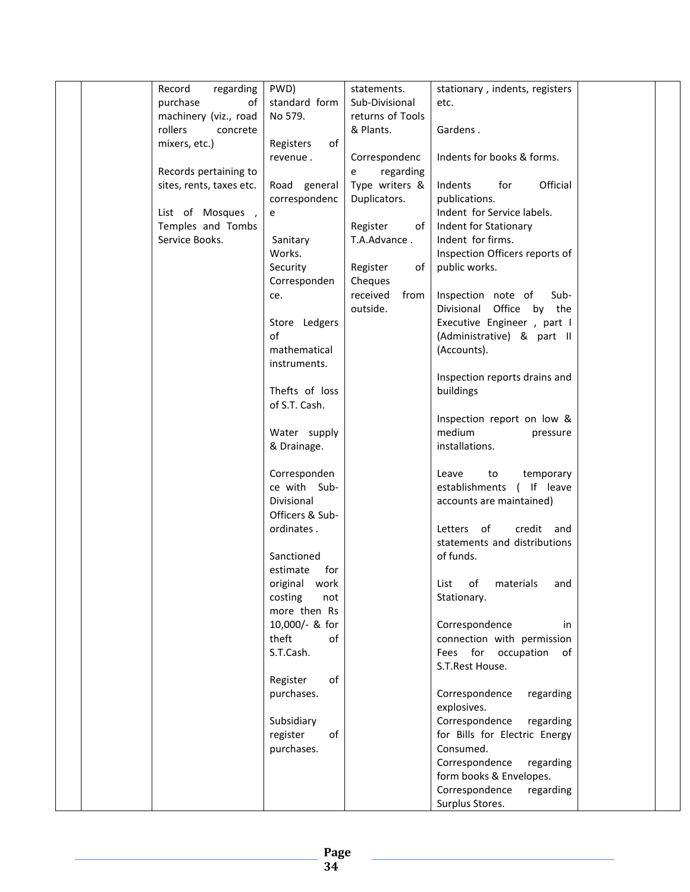| Record<br>regarding      | PWD)            | statements.      | stationary, indents, registers |  |
|--------------------------|-----------------|------------------|--------------------------------|--|
| purchase<br>of           | standard form   | Sub-Divisional   | etc.                           |  |
| machinery (viz., road    | No 579.         | returns of Tools |                                |  |
| rollers<br>concrete      |                 | & Plants.        | Gardens.                       |  |
| mixers, etc.)            | Registers<br>of |                  |                                |  |
|                          | revenue.        | Correspondenc    | Indents for books & forms.     |  |
| Records pertaining to    |                 | regarding<br>e   |                                |  |
| sites, rents, taxes etc. | Road general    | Type writers &   | Official<br>Indents<br>for     |  |
|                          | correspondenc   | Duplicators.     | publications.                  |  |
| List of Mosques,         | e               |                  | Indent for Service labels.     |  |
| Temples and Tombs        |                 | Register<br>of   | Indent for Stationary          |  |
| Service Books.           | Sanitary        | T.A.Advance.     | Indent for firms.              |  |
|                          | Works.          |                  | Inspection Officers reports of |  |
|                          | Security        | Register<br>of   | public works.                  |  |
|                          | Corresponden    | Cheques          |                                |  |
|                          | ce.             | received<br>from | Inspection note of<br>Sub-     |  |
|                          |                 | outside.         | Divisional Office by the       |  |
|                          | Store Ledgers   |                  | Executive Engineer, part I     |  |
|                          | of              |                  | (Administrative) & part II     |  |
|                          | mathematical    |                  | (Accounts).                    |  |
|                          | instruments.    |                  |                                |  |
|                          |                 |                  | Inspection reports drains and  |  |
|                          | Thefts of loss  |                  | buildings                      |  |
|                          | of S.T. Cash.   |                  |                                |  |
|                          |                 |                  | Inspection report on low &     |  |
|                          | Water supply    |                  | medium<br>pressure             |  |
|                          | & Drainage.     |                  | installations.                 |  |
|                          |                 |                  |                                |  |
|                          | Corresponden    |                  | to<br>Leave<br>temporary       |  |
|                          | ce with Sub-    |                  | establishments (If leave       |  |
|                          | Divisional      |                  | accounts are maintained)       |  |
|                          | Officers & Sub- |                  |                                |  |
|                          | ordinates.      |                  | Letters of<br>credit and       |  |
|                          |                 |                  | statements and distributions   |  |
|                          | Sanctioned      |                  | of funds.                      |  |
|                          | estimate<br>for |                  |                                |  |
|                          | original work   |                  | List of materials and          |  |
|                          | costing<br>not  |                  | Stationary.                    |  |
|                          | more then Rs    |                  |                                |  |
|                          | 10,000/- & for  |                  | Correspondence<br>in           |  |
|                          | theft<br>of     |                  | connection with permission     |  |
|                          | S.T.Cash.       |                  | Fees for occupation of         |  |
|                          |                 |                  | S.T.Rest House.                |  |
|                          | Register<br>of  |                  |                                |  |
|                          | purchases.      |                  | Correspondence<br>regarding    |  |
|                          |                 |                  | explosives.                    |  |
|                          | Subsidiary      |                  | Correspondence<br>regarding    |  |
|                          | register<br>of  |                  | for Bills for Electric Energy  |  |
|                          | purchases.      |                  | Consumed.                      |  |
|                          |                 |                  | Correspondence<br>regarding    |  |
|                          |                 |                  | form books & Envelopes.        |  |
|                          |                 |                  | Correspondence<br>regarding    |  |
|                          |                 |                  | Surplus Stores.                |  |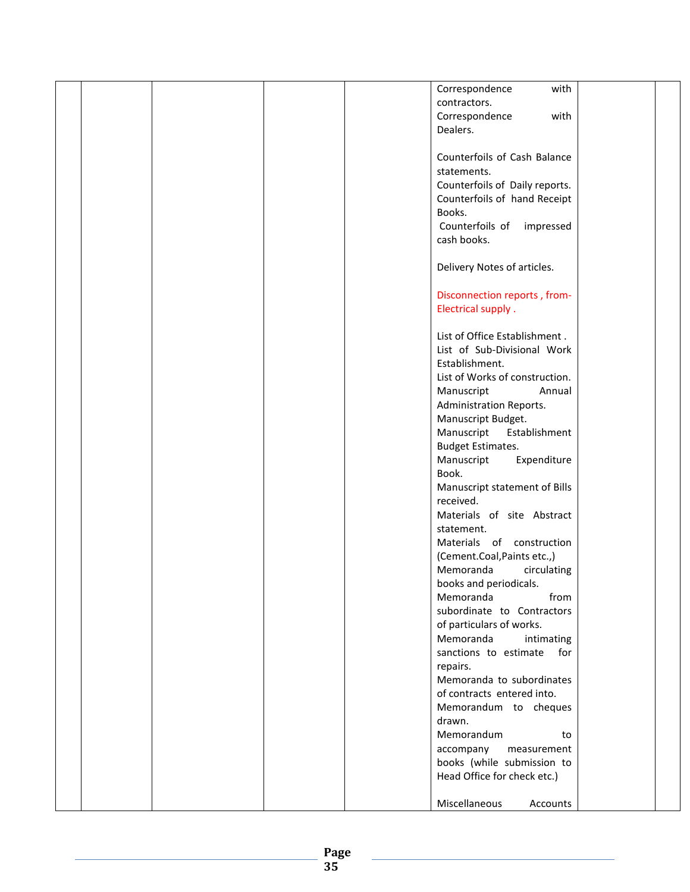| contractors.<br>Correspondence<br>with<br>Dealers.<br>Counterfoils of Cash Balance<br>statements.<br>Counterfoils of Daily reports.<br>Counterfoils of hand Receipt<br>Books.<br>Counterfoils of<br>impressed<br>cash books.<br>Delivery Notes of articles.<br>Disconnection reports, from-<br>Electrical supply.<br>List of Office Establishment.<br>List of Sub-Divisional Work<br>Establishment.<br>List of Works of construction.<br>Manuscript<br>Annual<br>Administration Reports.<br>Manuscript Budget.<br>Establishment<br>Manuscript<br><b>Budget Estimates.</b><br>Expenditure<br>Manuscript<br>Book.<br>Manuscript statement of Bills<br>received.<br>Materials of site Abstract<br>statement.<br>Materials of construction<br>(Cement.Coal, Paints etc.,)<br>Memoranda<br>circulating<br>books and periodicals.<br>Memoranda<br>from<br>subordinate to Contractors<br>of particulars of works.<br>Memoranda<br>intimating<br>sanctions to estimate for<br>repairs.<br>Memoranda to subordinates<br>of contracts entered into.<br>Memorandum to cheques<br>drawn.<br>Memorandum<br>to<br>accompany<br>measurement<br>books (while submission to<br>Head Office for check etc.)<br>Miscellaneous<br>Accounts |  |  |  |                        |  |
|------------------------------------------------------------------------------------------------------------------------------------------------------------------------------------------------------------------------------------------------------------------------------------------------------------------------------------------------------------------------------------------------------------------------------------------------------------------------------------------------------------------------------------------------------------------------------------------------------------------------------------------------------------------------------------------------------------------------------------------------------------------------------------------------------------------------------------------------------------------------------------------------------------------------------------------------------------------------------------------------------------------------------------------------------------------------------------------------------------------------------------------------------------------------------------------------------------------------|--|--|--|------------------------|--|
|                                                                                                                                                                                                                                                                                                                                                                                                                                                                                                                                                                                                                                                                                                                                                                                                                                                                                                                                                                                                                                                                                                                                                                                                                        |  |  |  | Correspondence<br>with |  |
|                                                                                                                                                                                                                                                                                                                                                                                                                                                                                                                                                                                                                                                                                                                                                                                                                                                                                                                                                                                                                                                                                                                                                                                                                        |  |  |  |                        |  |
|                                                                                                                                                                                                                                                                                                                                                                                                                                                                                                                                                                                                                                                                                                                                                                                                                                                                                                                                                                                                                                                                                                                                                                                                                        |  |  |  |                        |  |
|                                                                                                                                                                                                                                                                                                                                                                                                                                                                                                                                                                                                                                                                                                                                                                                                                                                                                                                                                                                                                                                                                                                                                                                                                        |  |  |  |                        |  |
|                                                                                                                                                                                                                                                                                                                                                                                                                                                                                                                                                                                                                                                                                                                                                                                                                                                                                                                                                                                                                                                                                                                                                                                                                        |  |  |  |                        |  |
|                                                                                                                                                                                                                                                                                                                                                                                                                                                                                                                                                                                                                                                                                                                                                                                                                                                                                                                                                                                                                                                                                                                                                                                                                        |  |  |  |                        |  |
|                                                                                                                                                                                                                                                                                                                                                                                                                                                                                                                                                                                                                                                                                                                                                                                                                                                                                                                                                                                                                                                                                                                                                                                                                        |  |  |  |                        |  |
|                                                                                                                                                                                                                                                                                                                                                                                                                                                                                                                                                                                                                                                                                                                                                                                                                                                                                                                                                                                                                                                                                                                                                                                                                        |  |  |  |                        |  |
|                                                                                                                                                                                                                                                                                                                                                                                                                                                                                                                                                                                                                                                                                                                                                                                                                                                                                                                                                                                                                                                                                                                                                                                                                        |  |  |  |                        |  |
|                                                                                                                                                                                                                                                                                                                                                                                                                                                                                                                                                                                                                                                                                                                                                                                                                                                                                                                                                                                                                                                                                                                                                                                                                        |  |  |  |                        |  |
|                                                                                                                                                                                                                                                                                                                                                                                                                                                                                                                                                                                                                                                                                                                                                                                                                                                                                                                                                                                                                                                                                                                                                                                                                        |  |  |  |                        |  |
|                                                                                                                                                                                                                                                                                                                                                                                                                                                                                                                                                                                                                                                                                                                                                                                                                                                                                                                                                                                                                                                                                                                                                                                                                        |  |  |  |                        |  |
|                                                                                                                                                                                                                                                                                                                                                                                                                                                                                                                                                                                                                                                                                                                                                                                                                                                                                                                                                                                                                                                                                                                                                                                                                        |  |  |  |                        |  |
|                                                                                                                                                                                                                                                                                                                                                                                                                                                                                                                                                                                                                                                                                                                                                                                                                                                                                                                                                                                                                                                                                                                                                                                                                        |  |  |  |                        |  |
|                                                                                                                                                                                                                                                                                                                                                                                                                                                                                                                                                                                                                                                                                                                                                                                                                                                                                                                                                                                                                                                                                                                                                                                                                        |  |  |  |                        |  |
|                                                                                                                                                                                                                                                                                                                                                                                                                                                                                                                                                                                                                                                                                                                                                                                                                                                                                                                                                                                                                                                                                                                                                                                                                        |  |  |  |                        |  |
|                                                                                                                                                                                                                                                                                                                                                                                                                                                                                                                                                                                                                                                                                                                                                                                                                                                                                                                                                                                                                                                                                                                                                                                                                        |  |  |  |                        |  |
|                                                                                                                                                                                                                                                                                                                                                                                                                                                                                                                                                                                                                                                                                                                                                                                                                                                                                                                                                                                                                                                                                                                                                                                                                        |  |  |  |                        |  |
|                                                                                                                                                                                                                                                                                                                                                                                                                                                                                                                                                                                                                                                                                                                                                                                                                                                                                                                                                                                                                                                                                                                                                                                                                        |  |  |  |                        |  |
|                                                                                                                                                                                                                                                                                                                                                                                                                                                                                                                                                                                                                                                                                                                                                                                                                                                                                                                                                                                                                                                                                                                                                                                                                        |  |  |  |                        |  |
|                                                                                                                                                                                                                                                                                                                                                                                                                                                                                                                                                                                                                                                                                                                                                                                                                                                                                                                                                                                                                                                                                                                                                                                                                        |  |  |  |                        |  |
|                                                                                                                                                                                                                                                                                                                                                                                                                                                                                                                                                                                                                                                                                                                                                                                                                                                                                                                                                                                                                                                                                                                                                                                                                        |  |  |  |                        |  |
|                                                                                                                                                                                                                                                                                                                                                                                                                                                                                                                                                                                                                                                                                                                                                                                                                                                                                                                                                                                                                                                                                                                                                                                                                        |  |  |  |                        |  |
|                                                                                                                                                                                                                                                                                                                                                                                                                                                                                                                                                                                                                                                                                                                                                                                                                                                                                                                                                                                                                                                                                                                                                                                                                        |  |  |  |                        |  |
|                                                                                                                                                                                                                                                                                                                                                                                                                                                                                                                                                                                                                                                                                                                                                                                                                                                                                                                                                                                                                                                                                                                                                                                                                        |  |  |  |                        |  |
|                                                                                                                                                                                                                                                                                                                                                                                                                                                                                                                                                                                                                                                                                                                                                                                                                                                                                                                                                                                                                                                                                                                                                                                                                        |  |  |  |                        |  |
|                                                                                                                                                                                                                                                                                                                                                                                                                                                                                                                                                                                                                                                                                                                                                                                                                                                                                                                                                                                                                                                                                                                                                                                                                        |  |  |  |                        |  |
|                                                                                                                                                                                                                                                                                                                                                                                                                                                                                                                                                                                                                                                                                                                                                                                                                                                                                                                                                                                                                                                                                                                                                                                                                        |  |  |  |                        |  |
|                                                                                                                                                                                                                                                                                                                                                                                                                                                                                                                                                                                                                                                                                                                                                                                                                                                                                                                                                                                                                                                                                                                                                                                                                        |  |  |  |                        |  |
|                                                                                                                                                                                                                                                                                                                                                                                                                                                                                                                                                                                                                                                                                                                                                                                                                                                                                                                                                                                                                                                                                                                                                                                                                        |  |  |  |                        |  |
|                                                                                                                                                                                                                                                                                                                                                                                                                                                                                                                                                                                                                                                                                                                                                                                                                                                                                                                                                                                                                                                                                                                                                                                                                        |  |  |  |                        |  |
|                                                                                                                                                                                                                                                                                                                                                                                                                                                                                                                                                                                                                                                                                                                                                                                                                                                                                                                                                                                                                                                                                                                                                                                                                        |  |  |  |                        |  |
|                                                                                                                                                                                                                                                                                                                                                                                                                                                                                                                                                                                                                                                                                                                                                                                                                                                                                                                                                                                                                                                                                                                                                                                                                        |  |  |  |                        |  |
|                                                                                                                                                                                                                                                                                                                                                                                                                                                                                                                                                                                                                                                                                                                                                                                                                                                                                                                                                                                                                                                                                                                                                                                                                        |  |  |  |                        |  |
|                                                                                                                                                                                                                                                                                                                                                                                                                                                                                                                                                                                                                                                                                                                                                                                                                                                                                                                                                                                                                                                                                                                                                                                                                        |  |  |  |                        |  |
|                                                                                                                                                                                                                                                                                                                                                                                                                                                                                                                                                                                                                                                                                                                                                                                                                                                                                                                                                                                                                                                                                                                                                                                                                        |  |  |  |                        |  |
|                                                                                                                                                                                                                                                                                                                                                                                                                                                                                                                                                                                                                                                                                                                                                                                                                                                                                                                                                                                                                                                                                                                                                                                                                        |  |  |  |                        |  |
|                                                                                                                                                                                                                                                                                                                                                                                                                                                                                                                                                                                                                                                                                                                                                                                                                                                                                                                                                                                                                                                                                                                                                                                                                        |  |  |  |                        |  |
|                                                                                                                                                                                                                                                                                                                                                                                                                                                                                                                                                                                                                                                                                                                                                                                                                                                                                                                                                                                                                                                                                                                                                                                                                        |  |  |  |                        |  |
|                                                                                                                                                                                                                                                                                                                                                                                                                                                                                                                                                                                                                                                                                                                                                                                                                                                                                                                                                                                                                                                                                                                                                                                                                        |  |  |  |                        |  |
|                                                                                                                                                                                                                                                                                                                                                                                                                                                                                                                                                                                                                                                                                                                                                                                                                                                                                                                                                                                                                                                                                                                                                                                                                        |  |  |  |                        |  |
|                                                                                                                                                                                                                                                                                                                                                                                                                                                                                                                                                                                                                                                                                                                                                                                                                                                                                                                                                                                                                                                                                                                                                                                                                        |  |  |  |                        |  |
|                                                                                                                                                                                                                                                                                                                                                                                                                                                                                                                                                                                                                                                                                                                                                                                                                                                                                                                                                                                                                                                                                                                                                                                                                        |  |  |  |                        |  |
|                                                                                                                                                                                                                                                                                                                                                                                                                                                                                                                                                                                                                                                                                                                                                                                                                                                                                                                                                                                                                                                                                                                                                                                                                        |  |  |  |                        |  |
|                                                                                                                                                                                                                                                                                                                                                                                                                                                                                                                                                                                                                                                                                                                                                                                                                                                                                                                                                                                                                                                                                                                                                                                                                        |  |  |  |                        |  |
|                                                                                                                                                                                                                                                                                                                                                                                                                                                                                                                                                                                                                                                                                                                                                                                                                                                                                                                                                                                                                                                                                                                                                                                                                        |  |  |  |                        |  |
|                                                                                                                                                                                                                                                                                                                                                                                                                                                                                                                                                                                                                                                                                                                                                                                                                                                                                                                                                                                                                                                                                                                                                                                                                        |  |  |  |                        |  |
|                                                                                                                                                                                                                                                                                                                                                                                                                                                                                                                                                                                                                                                                                                                                                                                                                                                                                                                                                                                                                                                                                                                                                                                                                        |  |  |  |                        |  |
|                                                                                                                                                                                                                                                                                                                                                                                                                                                                                                                                                                                                                                                                                                                                                                                                                                                                                                                                                                                                                                                                                                                                                                                                                        |  |  |  |                        |  |
|                                                                                                                                                                                                                                                                                                                                                                                                                                                                                                                                                                                                                                                                                                                                                                                                                                                                                                                                                                                                                                                                                                                                                                                                                        |  |  |  |                        |  |
|                                                                                                                                                                                                                                                                                                                                                                                                                                                                                                                                                                                                                                                                                                                                                                                                                                                                                                                                                                                                                                                                                                                                                                                                                        |  |  |  |                        |  |
|                                                                                                                                                                                                                                                                                                                                                                                                                                                                                                                                                                                                                                                                                                                                                                                                                                                                                                                                                                                                                                                                                                                                                                                                                        |  |  |  |                        |  |
|                                                                                                                                                                                                                                                                                                                                                                                                                                                                                                                                                                                                                                                                                                                                                                                                                                                                                                                                                                                                                                                                                                                                                                                                                        |  |  |  |                        |  |
|                                                                                                                                                                                                                                                                                                                                                                                                                                                                                                                                                                                                                                                                                                                                                                                                                                                                                                                                                                                                                                                                                                                                                                                                                        |  |  |  |                        |  |
|                                                                                                                                                                                                                                                                                                                                                                                                                                                                                                                                                                                                                                                                                                                                                                                                                                                                                                                                                                                                                                                                                                                                                                                                                        |  |  |  |                        |  |
|                                                                                                                                                                                                                                                                                                                                                                                                                                                                                                                                                                                                                                                                                                                                                                                                                                                                                                                                                                                                                                                                                                                                                                                                                        |  |  |  |                        |  |
|                                                                                                                                                                                                                                                                                                                                                                                                                                                                                                                                                                                                                                                                                                                                                                                                                                                                                                                                                                                                                                                                                                                                                                                                                        |  |  |  |                        |  |
|                                                                                                                                                                                                                                                                                                                                                                                                                                                                                                                                                                                                                                                                                                                                                                                                                                                                                                                                                                                                                                                                                                                                                                                                                        |  |  |  |                        |  |
|                                                                                                                                                                                                                                                                                                                                                                                                                                                                                                                                                                                                                                                                                                                                                                                                                                                                                                                                                                                                                                                                                                                                                                                                                        |  |  |  |                        |  |
|                                                                                                                                                                                                                                                                                                                                                                                                                                                                                                                                                                                                                                                                                                                                                                                                                                                                                                                                                                                                                                                                                                                                                                                                                        |  |  |  |                        |  |
|                                                                                                                                                                                                                                                                                                                                                                                                                                                                                                                                                                                                                                                                                                                                                                                                                                                                                                                                                                                                                                                                                                                                                                                                                        |  |  |  |                        |  |
|                                                                                                                                                                                                                                                                                                                                                                                                                                                                                                                                                                                                                                                                                                                                                                                                                                                                                                                                                                                                                                                                                                                                                                                                                        |  |  |  |                        |  |
|                                                                                                                                                                                                                                                                                                                                                                                                                                                                                                                                                                                                                                                                                                                                                                                                                                                                                                                                                                                                                                                                                                                                                                                                                        |  |  |  |                        |  |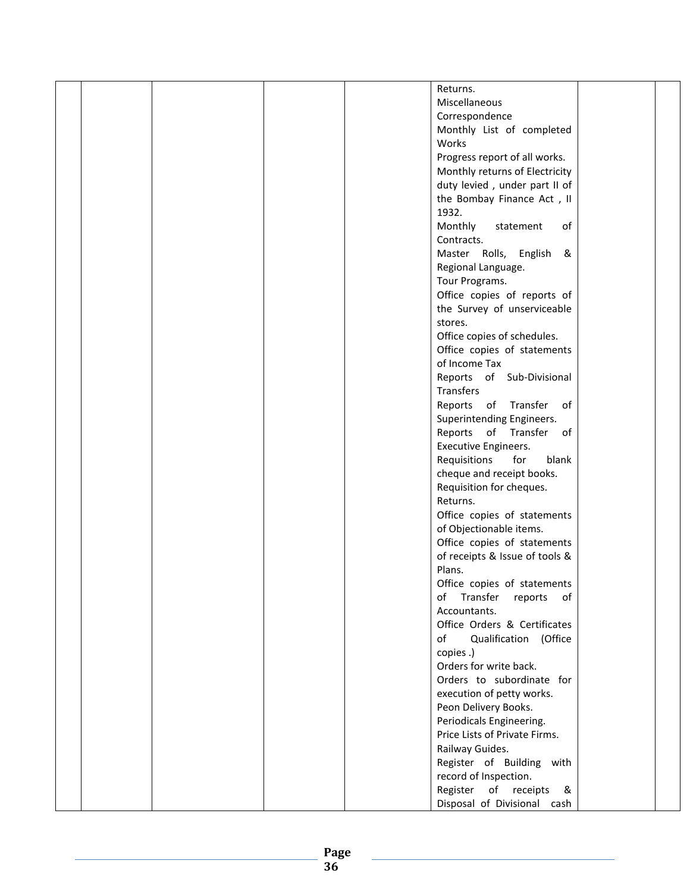|  |  | Returns.                       |  |
|--|--|--------------------------------|--|
|  |  | Miscellaneous                  |  |
|  |  |                                |  |
|  |  | Correspondence                 |  |
|  |  | Monthly List of completed      |  |
|  |  | Works                          |  |
|  |  | Progress report of all works.  |  |
|  |  | Monthly returns of Electricity |  |
|  |  | duty levied, under part II of  |  |
|  |  | the Bombay Finance Act, II     |  |
|  |  | 1932.                          |  |
|  |  | Monthly<br>statement<br>of     |  |
|  |  | Contracts.                     |  |
|  |  | Master Rolls, English &        |  |
|  |  | Regional Language.             |  |
|  |  | Tour Programs.                 |  |
|  |  | Office copies of reports of    |  |
|  |  |                                |  |
|  |  | the Survey of unserviceable    |  |
|  |  | stores.                        |  |
|  |  | Office copies of schedules.    |  |
|  |  | Office copies of statements    |  |
|  |  | of Income Tax                  |  |
|  |  | Reports of Sub-Divisional      |  |
|  |  | Transfers                      |  |
|  |  | Reports of Transfer of         |  |
|  |  | Superintending Engineers.      |  |
|  |  | Reports of Transfer of         |  |
|  |  | <b>Executive Engineers.</b>    |  |
|  |  | Requisitions<br>for<br>blank   |  |
|  |  | cheque and receipt books.      |  |
|  |  | Requisition for cheques.       |  |
|  |  | Returns.                       |  |
|  |  | Office copies of statements    |  |
|  |  | of Objectionable items.        |  |
|  |  | Office copies of statements    |  |
|  |  | of receipts & Issue of tools & |  |
|  |  | Plans.                         |  |
|  |  | Office copies of statements    |  |
|  |  | Transfer reports<br>of<br>of   |  |
|  |  | Accountants.                   |  |
|  |  | Office Orders & Certificates   |  |
|  |  |                                |  |
|  |  | of<br>Qualification (Office    |  |
|  |  | copies.)                       |  |
|  |  | Orders for write back.         |  |
|  |  | Orders to subordinate for      |  |
|  |  | execution of petty works.      |  |
|  |  | Peon Delivery Books.           |  |
|  |  | Periodicals Engineering.       |  |
|  |  | Price Lists of Private Firms.  |  |
|  |  | Railway Guides.                |  |
|  |  | Register of Building with      |  |
|  |  | record of Inspection.          |  |
|  |  | Register of receipts<br>8      |  |
|  |  | Disposal of Divisional cash    |  |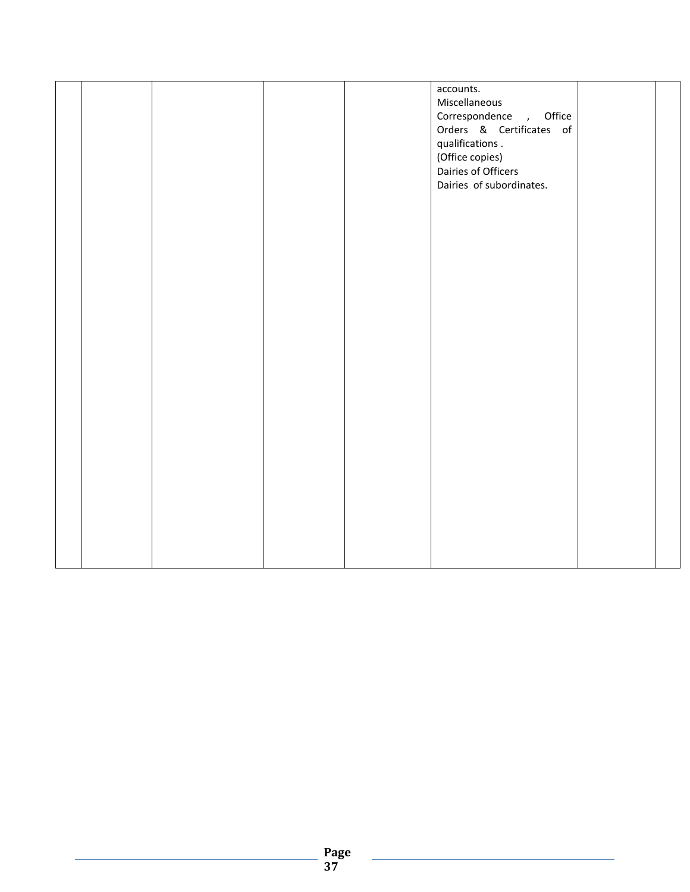|  |  | accounts.<br>Miscellaneous<br>Correspondence, Office<br>Orders & Certificates of<br>qualifications.<br>(Office copies)<br>Dairies of Officers<br>Dairies of subordinates. |  |
|--|--|---------------------------------------------------------------------------------------------------------------------------------------------------------------------------|--|
|  |  |                                                                                                                                                                           |  |
|  |  |                                                                                                                                                                           |  |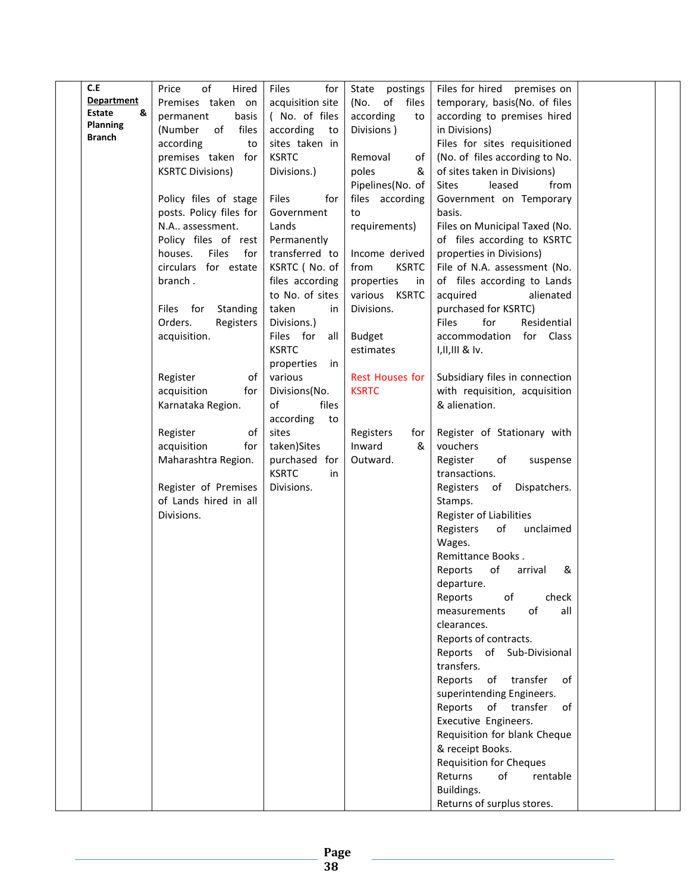| C.E               | of<br>Hired<br>Price           | Files<br>for       | State<br>postings      | Files for hired premises on                               |  |
|-------------------|--------------------------------|--------------------|------------------------|-----------------------------------------------------------|--|
| <b>Department</b> | Premises taken on              | acquisition site   | (No.<br>of files       | temporary, basis(No. of files                             |  |
| &<br>Estate       | permanent<br>basis             | (No. of files      | according<br>to        | according to premises hired                               |  |
| <b>Planning</b>   | (Number<br>of<br>files         | according<br>to    | Divisions)             | in Divisions)                                             |  |
| <b>Branch</b>     | according<br>to                | sites taken in     |                        | Files for sites requisitioned                             |  |
|                   | premises taken for             | <b>KSRTC</b>       | Removal<br>of          | (No. of files according to No.                            |  |
|                   | <b>KSRTC Divisions)</b>        | Divisions.)        | poles<br>&             | of sites taken in Divisions)                              |  |
|                   |                                |                    | Pipelines(No. of       | leased<br><b>Sites</b><br>from                            |  |
|                   | Policy files of stage          | Files<br>for       | files according        | Government on Temporary                                   |  |
|                   | posts. Policy files for        | Government         | to                     | basis.                                                    |  |
|                   | N.A assessment.                | Lands              | requirements)          | Files on Municipal Taxed (No.                             |  |
|                   | Policy files of rest           | Permanently        |                        | of files according to KSRTC                               |  |
|                   | <b>Files</b><br>houses.<br>for | transferred to     | Income derived         | properties in Divisions)                                  |  |
|                   | circulars for estate           | KSRTC (No. of      | from<br><b>KSRTC</b>   | File of N.A. assessment (No.                              |  |
|                   | branch.                        | files according    | properties<br>in       | of files according to Lands                               |  |
|                   |                                | to No. of sites    | various KSRTC          | acquired<br>alienated                                     |  |
|                   | Files for<br>Standing          | taken<br>in        | Divisions.             | purchased for KSRTC)                                      |  |
|                   | Orders.<br>Registers           | Divisions.)        |                        | for<br>Residential<br>Files                               |  |
|                   | acquisition.                   | Files for<br>all   | <b>Budget</b>          | for Class<br>accommodation                                |  |
|                   |                                | <b>KSRTC</b>       | estimates              | $I,II,III$ & Iv.                                          |  |
|                   |                                | properties<br>in   |                        |                                                           |  |
|                   | Register<br>of                 | various            | <b>Rest Houses for</b> | Subsidiary files in connection                            |  |
|                   | acquisition<br>for             | Divisions(No.      | <b>KSRTC</b>           | with requisition, acquisition                             |  |
|                   | Karnataka Region.              | of<br>files        |                        | & alienation.                                             |  |
|                   |                                | according<br>to    |                        |                                                           |  |
|                   | of<br>Register                 | sites              | Registers<br>for       | Register of Stationary with                               |  |
|                   | acquisition<br>for             | taken)Sites        | Inward<br>&            | vouchers                                                  |  |
|                   | Maharashtra Region.            | purchased for      | Outward.               | Register<br>of<br>suspense                                |  |
|                   |                                | <b>KSRTC</b><br>in |                        | transactions.                                             |  |
|                   | Register of Premises           | Divisions.         |                        | Dispatchers.<br>Registers of                              |  |
|                   | of Lands hired in all          |                    |                        | Stamps.                                                   |  |
|                   | Divisions.                     |                    |                        | Register of Liabilities                                   |  |
|                   |                                |                    |                        | Registers<br>of<br>unclaimed                              |  |
|                   |                                |                    |                        | Wages.                                                    |  |
|                   |                                |                    |                        | Remittance Books.                                         |  |
|                   |                                |                    |                        | of<br>&<br>Reports<br>arrival                             |  |
|                   |                                |                    |                        | departure.                                                |  |
|                   |                                |                    |                        | check<br>of<br>Reports                                    |  |
|                   |                                |                    |                        | of<br>all<br>measurements                                 |  |
|                   |                                |                    |                        | clearances.                                               |  |
|                   |                                |                    |                        | Reports of contracts.                                     |  |
|                   |                                |                    |                        | Reports of Sub-Divisional<br>transfers.                   |  |
|                   |                                |                    |                        | Reports<br>of transfer<br>of                              |  |
|                   |                                |                    |                        |                                                           |  |
|                   |                                |                    |                        | superintending Engineers.<br>Reports<br>of transfer<br>of |  |
|                   |                                |                    |                        | Executive Engineers.                                      |  |
|                   |                                |                    |                        | Requisition for blank Cheque                              |  |
|                   |                                |                    |                        | & receipt Books.                                          |  |
|                   |                                |                    |                        | <b>Requisition for Cheques</b>                            |  |
|                   |                                |                    |                        | of<br>Returns<br>rentable                                 |  |
|                   |                                |                    |                        | Buildings.                                                |  |
|                   |                                |                    |                        | Returns of surplus stores.                                |  |
|                   |                                |                    |                        |                                                           |  |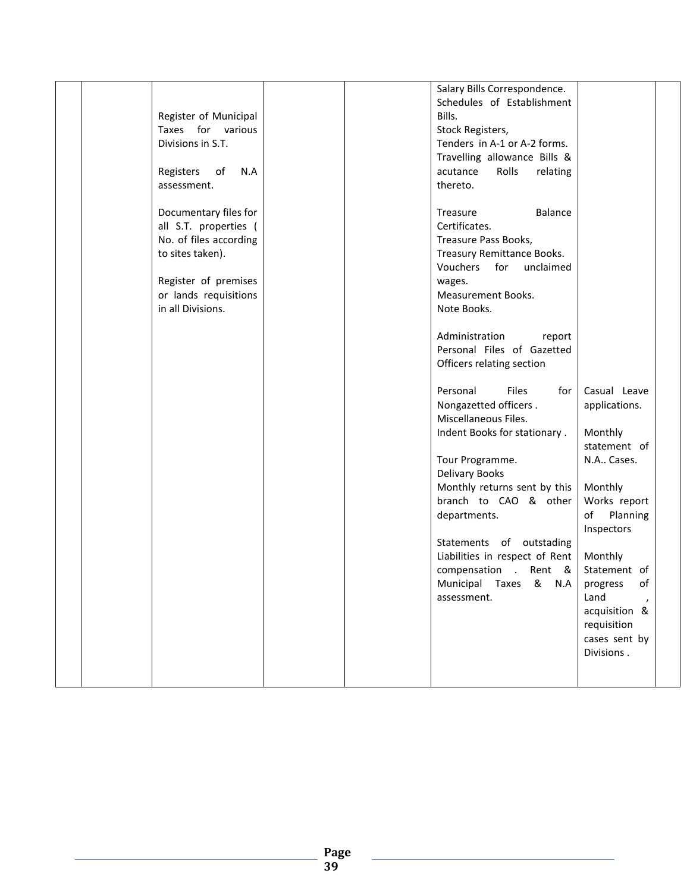| Register of Municipal<br>Taxes for various<br>Divisions in S.T.<br>Registers<br>N.A<br>of<br>assessment.                                                           | Schedules of Establishment<br>Bills.<br>Stock Registers,<br>Tenders in A-1 or A-2 forms.<br>Travelling allowance Bills &<br>Rolls<br>acutance<br>relating<br>thereto.                                                                                                                                                                                                                                                                                                                                                                                                                                                                                                                                                                                                                                                                                                            |
|--------------------------------------------------------------------------------------------------------------------------------------------------------------------|----------------------------------------------------------------------------------------------------------------------------------------------------------------------------------------------------------------------------------------------------------------------------------------------------------------------------------------------------------------------------------------------------------------------------------------------------------------------------------------------------------------------------------------------------------------------------------------------------------------------------------------------------------------------------------------------------------------------------------------------------------------------------------------------------------------------------------------------------------------------------------|
| Documentary files for<br>all S.T. properties (<br>No. of files according<br>to sites taken).<br>Register of premises<br>or lands requisitions<br>in all Divisions. | Balance<br>Treasure<br>Certificates.<br>Treasure Pass Books,<br>Treasury Remittance Books.<br>Vouchers<br>for unclaimed<br>wages.<br>Measurement Books.<br>Note Books.<br>Administration<br>report<br>Personal Files of Gazetted<br>Officers relating section<br>Files<br>Personal<br>for<br>Casual Leave<br>Nongazetted officers.<br>applications.<br>Miscellaneous Files.<br>Indent Books for stationary.<br>Monthly<br>statement of<br>Tour Programme.<br>N.A Cases.<br>Delivary Books<br>Monthly returns sent by this<br>Monthly<br>branch to CAO & other<br>Works report<br>departments.<br>of<br>Planning<br>Inspectors<br>Statements of outstading<br>Liabilities in respect of Rent<br>Monthly<br>compensation . Rent &<br>Statement of<br>Municipal Taxes & N.A<br>of<br>progress<br>Land<br>assessment.<br>acquisition &<br>requisition<br>cases sent by<br>Divisions. |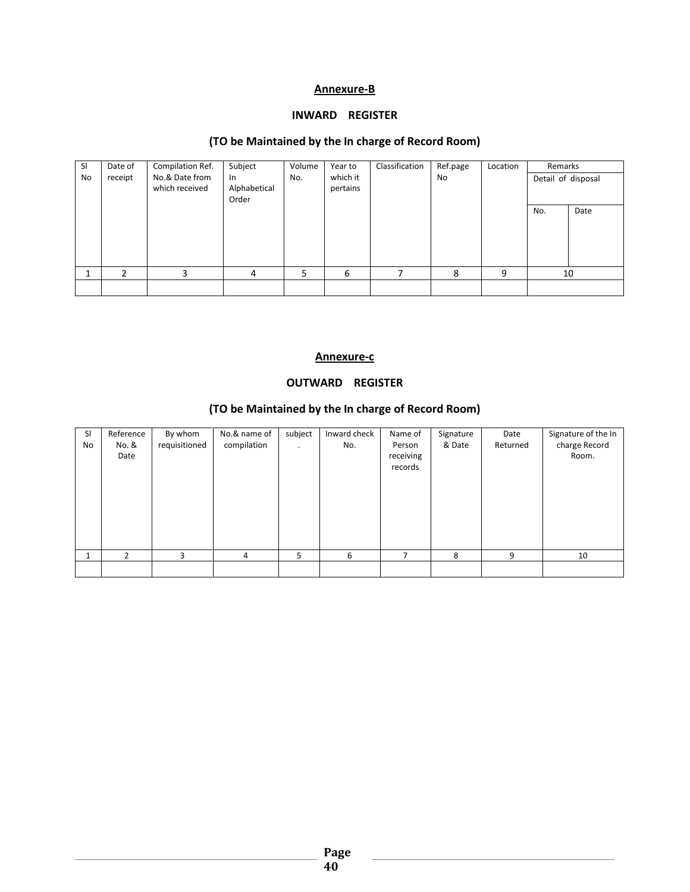### Annexure-B

### INWARD REGISTER

# (TO be Maintained by the In charge of Record Room)

| SI<br><b>No</b> | Date of<br>receipt | Compilation Ref.<br>No.& Date from<br>which received | Subject<br>$\ln$<br>Alphabetical<br>Order | Volume<br>No. | Year to<br>which it<br>pertains | Classification | Ref.page<br>No | Location | Remarks<br>Detail of disposal |      |
|-----------------|--------------------|------------------------------------------------------|-------------------------------------------|---------------|---------------------------------|----------------|----------------|----------|-------------------------------|------|
|                 |                    |                                                      |                                           |               |                                 |                |                |          | No.                           | Date |
|                 | 2                  | 3                                                    | 4                                         | 5             | 6                               |                | 8              | 9        |                               | 10   |
|                 |                    |                                                      |                                           |               |                                 |                |                |          |                               |      |

#### Annexure-c

### OUTWARD REGISTER

### (TO be Maintained by the In charge of Record Room)

| SI<br>No | Reference<br>No. &<br>Date | By whom<br>requisitioned | No.& name of<br>compilation | subject<br>$\bullet$ | Inward check<br>No. | Name of<br>Person<br>receiving<br>records | Signature<br>& Date | Date<br>Returned | Signature of the In<br>charge Record<br>Room. |
|----------|----------------------------|--------------------------|-----------------------------|----------------------|---------------------|-------------------------------------------|---------------------|------------------|-----------------------------------------------|
|          | 2                          | 3                        | 4                           | 5                    | 6                   | 7                                         | 8                   | 9                | 10                                            |
|          |                            |                          |                             |                      |                     |                                           |                     |                  |                                               |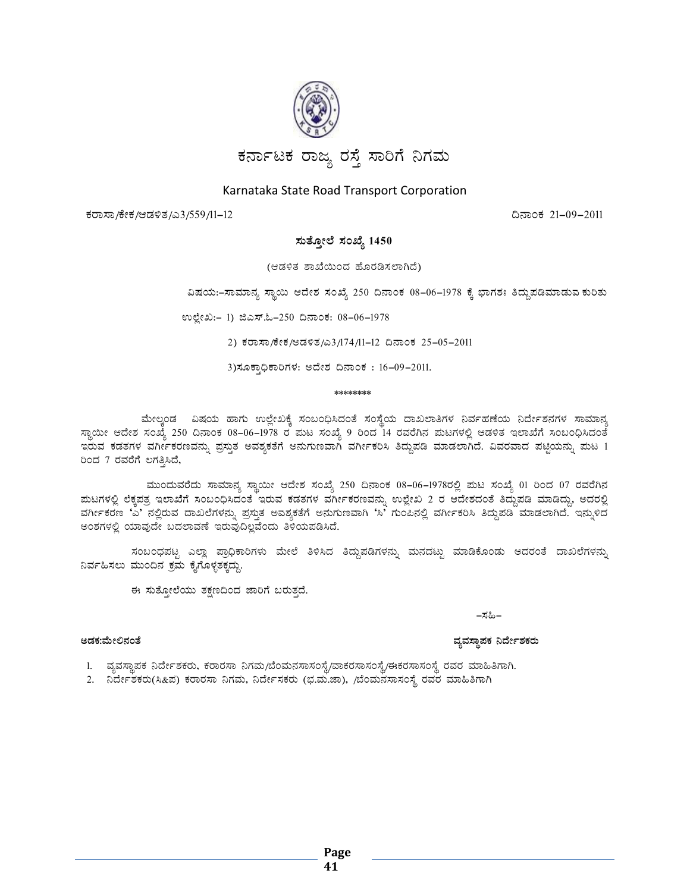

# Karnataka State Road Transport Corporation

ಕರಾಸಾ/ಕೇಕ/ಆಡಳಿತ/ಎ3/559/11–12

ದಿನಾಂಕ 21-09-2011

### ಸುತ್ತೋಲೆ ಸಂಖ್ಯೆ 1450

(ಆಡಳಿತ ಶಾಖೆಯಿಂದ ಹೊರಡಿಸಲಾಗಿದೆ)

ವಿಷಯ:-ಸಾಮಾನ್ಯ ಸ್ಥಾಯಿ ಆದೇಶ ಸಂಖ್ಯೆ 250 ದಿನಾಂಕ 08-06-1978 ಕ್ಕೆ ಭಾಗಶಃ ತಿದ್ದುಪಡಿಮಾಡುವ ಕುರಿತು

ಉಲ್ಲೇಖ:- 1) ಜಿಎಸ್.ಓ-250 ದಿನಾಂಕ: 08-06-1978

2) ಕರಾಸಾ/ಕೇಕ/ಅಡಳಿತ/ಎ3/174/11-12 ದಿನಾಂಕ 25-05-2011

3) ಸೂಕ್ಕಾಧಿಕಾರಿಗಳ: ಅದೇಶ ದಿನಾಂಕ: 16-09-2011.

\*\*\*\*\*\*\*\*

ಮೇಲ್ವಂಡ ವಿಷಯ ಹಾಗು ಉಲ್ಲೇಖಕ್ಕೆ ಸಂಬಂಧಿಸಿದಂತೆ ಸಂಸ್ಥೆಯ ದಾಖಲಾತಿಗಳ ನಿರ್ವಹಣೆಯ ನಿರ್ದೇಶನಗಳ ಸಾಮಾನ್ಯ ಸ್ಥಾಯೀ ಆದೇಶ ಸಂಖ್ಯೆ 250 ದಿನಾಂಕ 08–06–1978 ರ ಮಟ ಸಂಖ್ಯೆ 9 ರಿಂದ 14 ರವರೆಗಿನ ಮಟಗಳಲ್ಲಿ ಆಡಳಿತ ಇಲಾಖೆಗೆ ಸಂಬಂಧಿಸಿದಂತೆ ಇರುವ ಕಡತಗಳ ವರ್ಗೀಕರಣವನ್ನು ಪ್ರಸ್ತುತ ಅವಶ್ಯಕತೆಗೆ ಅನುಗುಣವಾಗಿ ವರ್ಗೀಕರಿಸಿ ತಿದ್ದುಪಡಿ ಮಾಡಲಾಗಿದೆ. ವಿವರವಾದ ಪಟ್ಟಿಯನ್ನು ಮಟ 1 ರಿಂದ 7 ರವರೆಗೆ ಲಗತ್ತಿಸಿದೆ,

ಮುಂದುವರೆದು ಸಾಮಾನ್ಯ ಸ್ಥಾಯೀ ಆದೇಶ ಸಂಖ್ಯೆ 250 ದಿನಾಂಕ 08–06–1978ರಲ್ಲಿ ಮಟ ಸಂಖ್ಯೆ 01 ರಿಂದ 07 ರವರೆಗಿನ ಮಟಗಳಲ್ಲಿ ಲೆಕ್ಕಪತ್ರ ಇಲಾಖೆಗೆ ಸಂಬಂಧಿಸಿದಂತೆ ಇರುವ ಕಡತಗಳ ವರ್ಗೀಕರಣವನ್ನು ಉಲ್ಲೇಖ 2 ರ ಆದೇಶದಂತೆ ತಿದ್ದುಪಡಿ ಮಾಡಿದ್ದು, ಅದರಲ್ಲಿ ರ್ವರ್ಗಿಕರಣ 'ಎ' ನಲ್ಲಿರುವ ದಾಖಲೆಗಳನ್ನು ಪ್ರಸ್ತುತ ಅವಶ್ಯಕತೆಗೆ ಅನುಗುಣವಾಗಿ 'ಸಿ' ಗುಂಪಿನಲ್ಲಿ ವರ್ಗೀಕರಿಸಿ ತಿದ್ದುಪಡಿ ಮಾಡಲಾಗಿದೆ. ಇನ್ನುಳಿದ ಅಂಶಗಳಲ್ಲಿ ಯಾವುದೇ ಬದಲಾವಣೆ ಇರುವುದಿಲ್ಲವೆಂದು ತಿಳಿಯಪಡಿಸಿದೆ.

ಸಂಬಂಧಪಟ್ಟ ಎಲ್ಲಾ ಪ್ರಾಧಿಕಾರಿಗಳು ಮೇಲೆ ತಿಳಿಸಿದ ತಿದ್ದುಪಡಿಗಳನ್ನು ಮನದಟ್ಟು ಮಾಡಿಕೊಂಡು ಅದರಂತೆ ದಾಖಲೆಗಳನ್ನು ನಿರ್ವಹಿಸಲು ಮುಂದಿನ ಕ್ರಮ ಕೈಗೊಳ್ಳತಕ್ಕದ್ದು.

ಈ ಸುತ್ತೋಲೆಯು ತಕ್ಷಣದಿಂದ ಜಾರಿಗೆ ಬರುತ್ತದೆ.

–ಸಹಿ–

#### ಅಡಕ:ಮೇಲಿನಂತೆ

#### ವ್ಯವಸ್ಥಾಪಕ ನಿರ್ದೇಶಕರು

1. ವ್ಯವಸ್ಥಾಪಕ ನಿರ್ದೇಶಕರು, ಕರಾರಸಾ ನಿಗಮ/ಬೆಂಮನಸಾಸಂಸ್ಥೆ/ವಾಕರಸಾಸಂಸ್ಥೆ/ಈಕರಸಾಸಂಸ್ಥೆ ರವರ ಮಾಹಿತಿಗಾಗಿ.

2. ನಿರ್ದೇಶಕರು(ಸಿ&ಪ) ಕರಾರಸಾ ನಿಗಮ, ನಿರ್ದೇಸಕರು (ಭ.ಮ.ಜಾ), /ಬೆಂಮನಸಾಸಂಸ್ಥೆ ರವರ ಮಾಹಿತಿಗಾಗಿ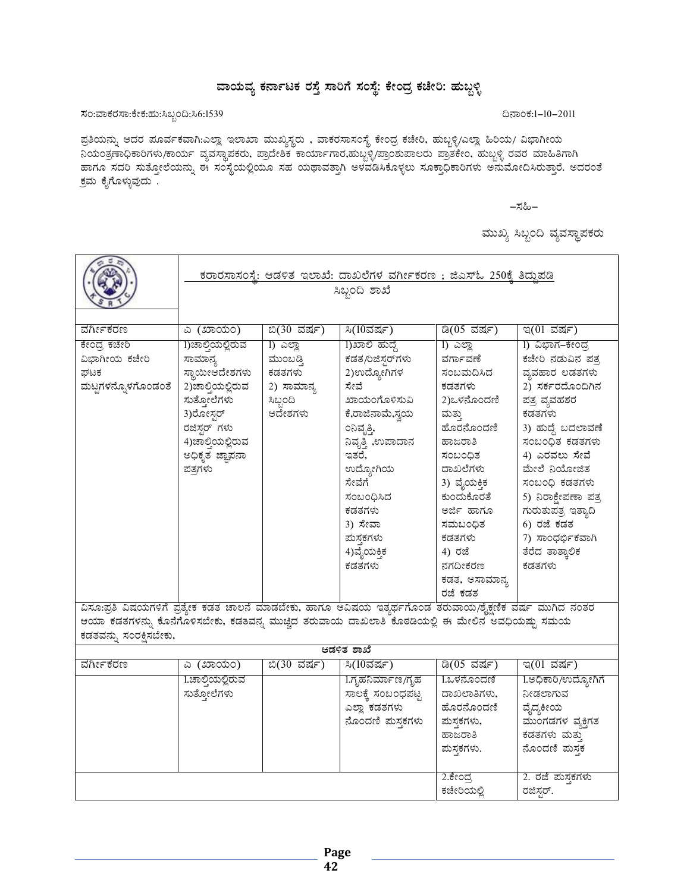# ವಾಯವ್ಯ ಕರ್ನಾಟಕ ರಸ್ತೆ ಸಾರಿಗೆ ಸಂಸ್ಥೆ: ಕೇಂದ್ರ ಕಚೇರಿ: ಹುಬ್ಬಳ್ಳಿ

# ಸಂ:ವಾಕರಸಾ:ಕೇಕ:ಹು:ಸಿಬ್ಬಂದಿ:ಸಿ6:1539

ಪ್ರತಿಯನ್ನು ಆದರ ಪೂರ್ವಕವಾಗಿ:ಎಲ್ಲಾ ಇಲಾಖಾ ಮುಖ್ಯಸ್ಥರು , ವಾಕರಸಾಸಂಸ್ಥೆ ಕೇಂದ್ರ ಕಚೇರಿ, ಹುಬ್ಬಳ್ಳಿ/ಎಲ್ಲಾ ಹಿರಿಯ/ ವಿಭಾಗೀಯ ನಿಯಂತ್ರಣಾಧಿಕಾರಿಗಳು/ಕಾರ್ಯ ವ್ಯವಸ್ಥಾಪಕರು, ಪ್ರಾದೇಶಿಕ ಕಾರ್ಯಾಗಾರ,ಹುಬ್ಬಳಿ/ಪ್ರಾಂಶುಪಾಲರು ಪ್ರಾತಕೇಂ, ಹುಬ್ಬಳ್ಳಿ ರವರ ಮಾಹಿತಿಗಾಗಿ ಹಾಗೂ ಸದರಿ ಸುತ್ತೋಲೆಯನ್ನು ಈ ಸಂಸ್ಥೆಯಲ್ಲಿಯೂ ಸಹ ಯಥಾವತ್ತಾಗಿ ಅಳವಡಿಸಿಕೊಳ್ಳಲು ಸೂಕ್ತಾಧಿಕಾರಿಗಳು ಅನುಮೋದಿಸಿರುತ್ತಾರೆ. ಅದರಂತೆ ಕ್ರಮ ಕೈಗೊಳ್ಳುವುದು .

–ಸಹಿ–

ಮುಖ್ಯ ಸಿಬ್ಬಂದಿ ವ್ಯವಸ್ಥಾಪಕರು

|                                                                                                         | <u>ಕರಾರಸಾಸಂಸ್ಥೆ: ಆಡಳಿತ ಇಲಾಖೆ: ದಾಖಲೆಗಳ ವರ್ಗೀಕರಣ ; ಜಿಎಸ್ಓ 250ಕ್ಕೆ ತಿದ್ದುಪಡಿ</u> |                |                      |                 |                     |  |  |  |
|---------------------------------------------------------------------------------------------------------|-------------------------------------------------------------------------------|----------------|----------------------|-----------------|---------------------|--|--|--|
|                                                                                                         | ಸಿಬ್ಬಂದಿ ಶಾಖೆ                                                                 |                |                      |                 |                     |  |  |  |
|                                                                                                         |                                                                               |                |                      |                 |                     |  |  |  |
|                                                                                                         |                                                                               |                |                      |                 |                     |  |  |  |
| <u>ವರ್ಗೀಕರಣ</u>                                                                                         | <u>ಎ (ಖಾಯಂ)</u>                                                               | ಬಿ(30 ವರ್ಷ)    | ಸಿ $(10\vec{a}$ ರ್ಷ) | ಡಿ(05 ವರ್ಷ)     | ಇ(01 ವರ್ಷ)          |  |  |  |
| ಕೇಂದ್ರ ಕಚೇರಿ                                                                                            | 1)ಚಾಲ್ತಿಯಲ್ಲಿರುವ                                                              | <u>)</u> ಎಲ್ಲಾ | 1)ಖಾಲಿ ಹುದ್ದೆ        | <u>1) ಎಲ್ಲಾ</u> | 1) ವಿಭಾಗ–ಕೇಂದ್ರ     |  |  |  |
| ವಿಭಾಗೀಯ ಕಚೇರಿ                                                                                           | ಸಾಮಾನ್ಯ                                                                       | ಮುಂಬಡಿ         | ಕಡತ/ರಿಜಿಸ್ಸರ್ಗಳು     | ವರ್ಗಾವಣೆ        | ಕಚೇರಿ ನಡುವಿನ ಪತ್ತ   |  |  |  |
| ಘಟಕ                                                                                                     | ಸ್ಥಾಯೀಆದೇಶಗಳು                                                                 | ಕಡತಗಳು         | 2)ಉದ್ಯೋಗಿಗಳ          | ಸಂಬಮದಿಸಿದ       | ವ್ಯವಹಾರ ಲಡತಗಳು      |  |  |  |
| ಮಟ್ಟಗಳನ್ನೊಳಗೊಂಡಂತೆ                                                                                      | 2)ಚಾಲ್ತಿಯಲ್ಲಿರುವ                                                              | 2) ಸಾಮಾನ್ಯ     | ಸೇವೆ                 | ಕಡತಗಳು          | 2) ಸರ್ಕರದೊಂದಿಗಿನ    |  |  |  |
|                                                                                                         | ಸುತ್ತೋಲೆಗಳು                                                                   | ಸಿಬ್ಬಂದಿ       | ಖಾಯಂಗೊಳಿಸುವಿ         | 2)ಒಳನೊಂದಣಿ      | ಪತ್ರ ವ್ಯವಹಶರ        |  |  |  |
|                                                                                                         | 3)ರೋಸ್ಗರ್                                                                     | ಆದೇಶಗಳು        | ಕೆ,ರಾಜಿನಾಮೆ,ಸ್ವಯ     | ಮತು             | ಕಡತಗಳು              |  |  |  |
|                                                                                                         | ರಜಿಸ್ಗರ್ ಗಳು                                                                  |                | ಂನಿವೃತ್ತಿ,           | ಹೊರನೊಂದಣಿ       | 3) ಹುದ್ದೆ ಬದಲಾವಣೆ   |  |  |  |
|                                                                                                         | 4)ಚಾಲ್ತಿಯಲ್ಲಿರುವ                                                              |                | ನಿವೃತ್ತಿ ,ಉಪಾದಾನ     | ಹಾಜರಾತಿ         | ಸಂಬಂಧಿತ ಕಡತಗಳು      |  |  |  |
|                                                                                                         | ಅಧಿಕೃತ ಜ್ಞಾಪನಾ                                                                |                | ಇತರೆ.                | ಸಂಬಂಧಿತ         | 4) ಎರವಲು ಸೇವೆ       |  |  |  |
|                                                                                                         | ಪತ್ರಗಳು                                                                       |                | ಉದ್ಯೋಗಿಯ             | ದಾಖಲೆಗಳು        | ಮೇಲೆ ನಿಯೋಜಿತ        |  |  |  |
|                                                                                                         |                                                                               |                | ಸೇವೆಗೆ               | 3) ವೈಯಕ್ತಿಕ     | ಸಂಬಂಧಿ ಕಡತಗಳು       |  |  |  |
|                                                                                                         |                                                                               |                | ಸಂಬಂದಿಸಿದ            | ಕುಂದುಕೊರತೆ      | 5) ನಿರಾಕ್ಷೇಪಣಾ ಪತ್ರ |  |  |  |
|                                                                                                         |                                                                               |                | ಕಡತಗಳು               | ಅರ್ಜಿ ಹಾಗೂ      | ಗುರುತುಪತ್ರ ಇತ್ಯಾದಿ  |  |  |  |
|                                                                                                         |                                                                               |                | 3) ಸೇವಾ              | ಸಮಬಂಧಿತ         | 6) ರಜೆ ಕಡತ          |  |  |  |
|                                                                                                         |                                                                               |                | ಮಸ್ತಕಗಳು             | ಕಡತಗಳು          | 7) ಸಾಂಧರ್ಭಿಕವಾಗಿ    |  |  |  |
|                                                                                                         |                                                                               |                | 4)ವೈಯಕ್ತಿಕ           | 4) ರಜೆ          | ತೆರೆದ ತಾತ್ಕಾಲಿಕ     |  |  |  |
|                                                                                                         |                                                                               |                | ಕಡತಗಳು               | ನಗದೀಕರಣ         | ಕಡತಗಳು              |  |  |  |
|                                                                                                         |                                                                               |                |                      | ಕಡತ, ಅಸಾಮಾನ್ಯ   |                     |  |  |  |
|                                                                                                         |                                                                               |                |                      | ರಜೆ ಕಡತ         |                     |  |  |  |
| ವಿಸೂ:ಪ್ರತಿ ವಿಷಯಗಳಿಗೆ ಪ್ರತ್ಯೇಕ ಕಡತ ಚಾಲನೆ ಮಾಡಬೇಕು, ಹಾಗೂ ಆವಿಷಯ ಇತ್ಯರ್ಥಗೊಂಡ ತರುವಾಯ/ಶೈಕ್ಷಣಿಕ ವರ್ಷ ಮುಗಿದ ನಂತರ |                                                                               |                |                      |                 |                     |  |  |  |
| ಆಯಾ ಕಡತಗಳನ್ನು ಕೊನೆಗೊಳಿಸಬೇಕು, ಕಡತವನ್ನ ಮುಚ್ಚಿದ ತರುವಾಯ ದಾಖಲಾತಿ ಕೊಠಡಿಯಲ್ಲಿ ಈ ಮೇಲಿನ ಅವಧಿಯಷ್ಟು ಸಮಯ            |                                                                               |                |                      |                 |                     |  |  |  |
| ಕಡತವನ್ನು ಸಂರಕ್ಷಿಸಬೇಕು,                                                                                  |                                                                               |                |                      |                 |                     |  |  |  |
|                                                                                                         |                                                                               |                | ಆಡಳಿತ ಶಾಖೆ           |                 |                     |  |  |  |
| ವರ್ಗೀಕರಣ                                                                                                | <u>ಎ (ಖಾಯಂ)</u>                                                               | ಬಿ(30 ವರ್ಷ)    | ಸಿ(10ವರ್ಷ)           | ಡಿ(05 ವರ್ಷ)     | ಇ(01 ವರ್ಷ)          |  |  |  |
|                                                                                                         | 1.ಚಾಲ್ಷಿಯಲ್ಲಿರುವ                                                              |                | 1.ಗೃಹನಿರ್ಮಾಣ/ಗೃಹ     | 1.ಒಳನೊಂದಣಿ      | 1.ಅಧಿಕಾರಿ/ಉದ್ಯೋಗಿಗೆ |  |  |  |
|                                                                                                         | ಸುತ್ತೋಲೆಗಳು                                                                   |                | ಸಾಲಕ್ಕೆ ಸಂಬಂಧಪಟ್ಟ    | ದಾಖಲಾತಿಗಳು.     | ನೀಡಲಾಗುವ            |  |  |  |
|                                                                                                         |                                                                               |                | ಎಲ್ಲಾ ಕಡತಗಳು         | ಹೊರನೊಂದಣಿ       | ವೈದ್ಯಕೀಯ            |  |  |  |
|                                                                                                         |                                                                               |                | ನೊಂದಣಿ ಮಸ್ತಕಗಳು      | ಮಸ್ತಕಗಳು,       | ಮುಂಗಡಗಳ ವ್ಯಕ್ತಿಗತ   |  |  |  |
|                                                                                                         |                                                                               |                |                      | ಹಾಜರಾತಿ         | ಕಡತಗಳು ಮತ್ತು        |  |  |  |
|                                                                                                         |                                                                               |                |                      | ಮಸ್ತಕಗಳು.       | ನೊಂದಣಿ ಮಸ್ತಕ        |  |  |  |
|                                                                                                         |                                                                               |                |                      | 2.ಕೇಂದ್ರ        | 2. ರಜೆ ಮಸ್ತಕಗಳು     |  |  |  |
|                                                                                                         |                                                                               |                |                      | ಕಚೇರಿಯಲ್ಲಿ      | ರಜಿಸರ್.             |  |  |  |

#### ದಿನಾಂಕ:1–10–2011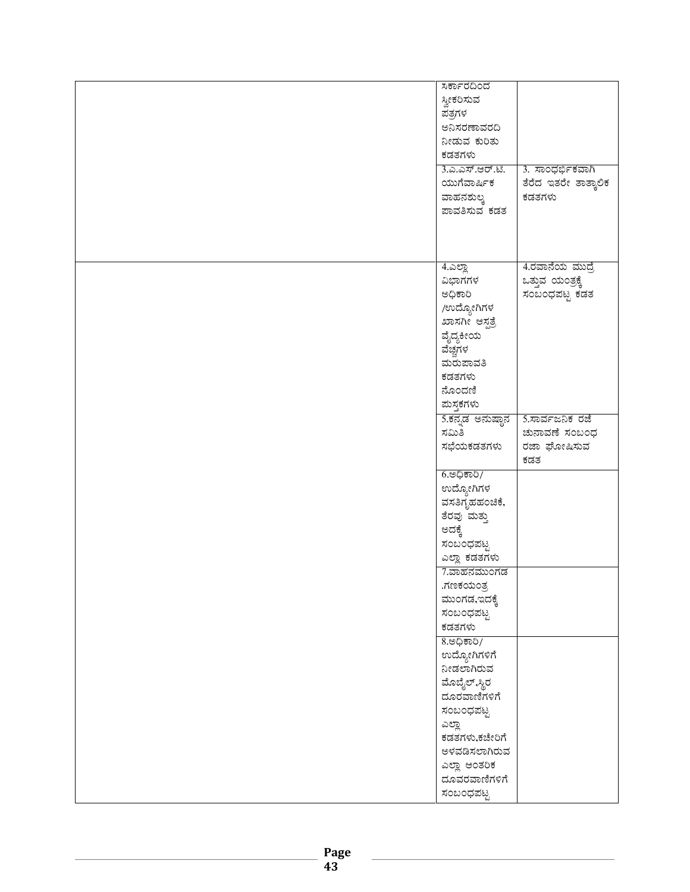| ಸರ್ಕಾರದಿಂದ        |                      |
|-------------------|----------------------|
|                   |                      |
| ಸ್ವೀಕರಿಸುವ        |                      |
| ಪತ್ರಗಳ            |                      |
| ಅನಿಸರಣಾವರದಿ       |                      |
| ನೀಡುವ ಕುರಿತು      |                      |
|                   |                      |
| ಕಡತಗಳು            |                      |
| 3.ಎ.ಎಸ್.ಆರ್.ಟಿ.   | 3. ಸಾಂಧರ್ಭಿಕವಾಗಿ     |
| ಯುಗೆವಾರ್ಷಿಕ       | ತೆರೆದ ಇತರೇ ತಾತ್ಕಾಲಿಕ |
| ವಾಹನಶುಲ್ಕ         | ಕಡತಗಳು               |
| ಪಾವತಿಸುವ ಕಡತ      |                      |
|                   |                      |
|                   |                      |
|                   |                      |
|                   |                      |
| <u>4.ಎಲ್ಲಾ</u>    | 4.ರವಾನೆಯ ಮುದ್ರೆ      |
|                   |                      |
| ವಿಭಾಗಗಳ           | ಒತ್ತುವ ಯಂತ್ರಕ್ಕೆ     |
| ಅಧಿಕಾರಿ           | ಸಂಬಂಧಪಟ್ಟ ಕಡತ        |
| /ಉದ್ಯೋಗಿಗಳ        |                      |
| ಖಾಸಗೀ ಆಸ್ಪತ್ರೆ    |                      |
|                   |                      |
| ವೈದ್ಯಕೀಯ          |                      |
| ವೆಚ್ಚಗಳ           |                      |
| ಮರುಪಾವತಿ          |                      |
| ಕಡತಗಳು            |                      |
| ನೊಂದಣಿ            |                      |
|                   |                      |
| ಮಸ್ತಕಗಳು          |                      |
| 5.ಕನ್ನಡ ಅನುಷ್ಠಾನ  | 5.ಸಾರ್ವಜನಿಕ ರಜೆ      |
| ಸಮಿತಿ             | ಚುನಾವಣೆ ಸಂಬಂಧ        |
| ಸಭೆಯಕಡತಗಳು        | ರಜಾ ಘೋಷಿಸುವ          |
|                   | ಕಡತ                  |
|                   |                      |
| <u>6.ಅಧಿಕಾರಿ/</u> |                      |
| ಉದ್ಯೋಗಿಗಳ         |                      |
| ವಸತಿಗೃಹಹಂಚಿಕೆ,    |                      |
| ತೆರವು ಮತ್ತು       |                      |
| ಅದಕ್ಕೆ            |                      |
|                   |                      |
| ಸಂಬಂಧಪಟ್ಟ         |                      |
| ಎಲ್ಲಾ ಕಡತಗಳು      |                      |
| 7.ವಾಹನಮುಂಗಡ       |                      |
| .ಗಣಕಯಂತ್ರ         |                      |
| ಮುಂಗಡ,ಇದಕ್ಕೆ      |                      |
|                   |                      |
| ಸಂಬಂಧಪಟ್ಟ         |                      |
| ಕಡತಗಳು            |                      |
| 8.ಅಧಿಕಾರಿ/        |                      |
| ಉದ್ಯೋಗಿಗಳಿಗೆ      |                      |
| ನೀಡಲಾಗಿರುವ        |                      |
|                   |                      |
| ಮೊಬೈಲ್,ಸ್ಥಿರ      |                      |
| ದೂರವಾಣಿಗಳಿಗೆ      |                      |
| ಸಂಬಂಧಪಟ್ಟ         |                      |
| ಎಲ್ಲಾ             |                      |
|                   |                      |
| ಕಡತಗಳು,ಕಚೇರಿಗೆ    |                      |
| ಅಳವಡಿಸಲಾಗಿರುವ     |                      |
| ಎಲ್ಲಾ ಆಂತರಿಕ      |                      |
| ದೂವರವಾಣಿಗಳಿಗೆ     |                      |
| ಸಂಬಂಧಪಟ್ಟ         |                      |
|                   |                      |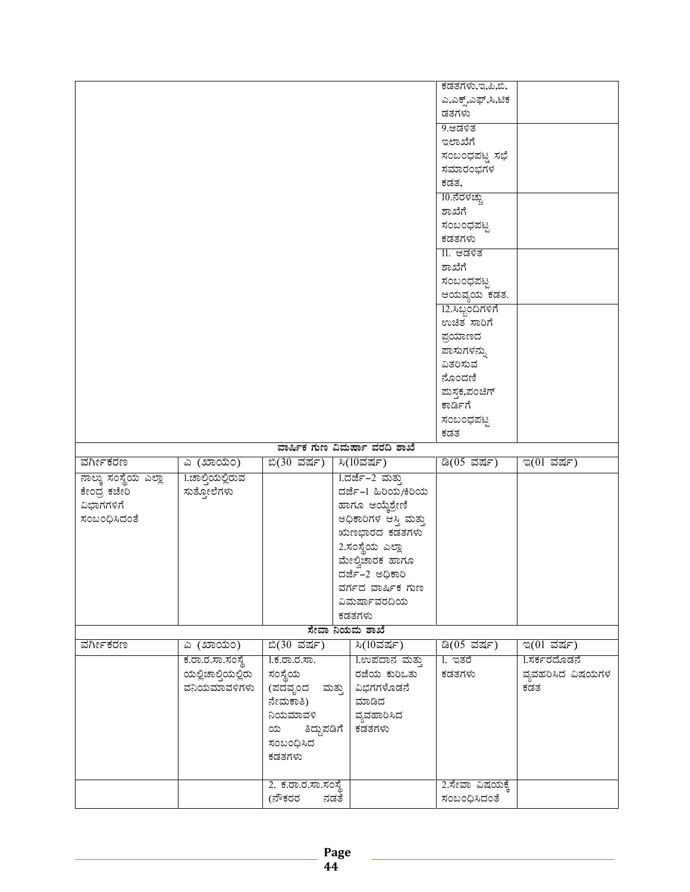|                             |                    |                            |                               | ಕಡತಗಳು,ಇ,ಪಿ,ಬಿ,                 |                   |
|-----------------------------|--------------------|----------------------------|-------------------------------|---------------------------------|-------------------|
|                             |                    |                            |                               | ಎ,ಎಕ್ಸ್,ಎಫ್,ಸಿ,ಟಿಕ              |                   |
|                             |                    |                            |                               | ಡತಗಳು                           |                   |
|                             |                    |                            |                               | 9.ಆಡಳಿತ                         |                   |
|                             |                    |                            |                               |                                 |                   |
|                             |                    |                            |                               | ಇಲಾಖೆಗೆ                         |                   |
|                             |                    |                            |                               | ಸಂಬಂಧಪಟ್ಣ ಸಭೆ                   |                   |
|                             |                    |                            |                               | ಸಮಾರಂಭಗಳ                        |                   |
|                             |                    |                            |                               | ಕಡತ,                            |                   |
|                             |                    |                            |                               | 10.ನೆರಳಚ್ಚು                     |                   |
|                             |                    |                            |                               | ಶಾಖೆಗೆ                          |                   |
|                             |                    |                            |                               | ಸಂಬಂಧಪಟ್ಟ                       |                   |
|                             |                    |                            |                               | ಕಡತಗಳು                          |                   |
|                             |                    |                            |                               | <u>II. ಆಡಳಿತ</u>                |                   |
|                             |                    |                            |                               | ಶಾಖೆಗೆ                          |                   |
|                             |                    |                            |                               | ಸಂಬಂಧಪಟ್ಟ                       |                   |
|                             |                    |                            |                               | ಆಯವ್ಯಯ ಕಡತ.                     |                   |
|                             |                    |                            |                               | 12.ಸಿಬ್ಬಂದಿಗಳಿಗೆ                |                   |
|                             |                    |                            |                               | ಉಚಿತ ಸಾರಿಗೆ                     |                   |
|                             |                    |                            |                               | ಪ್ರಯಾಣದ                         |                   |
|                             |                    |                            |                               | ಪಾಸುಗಳನ್ನು                      |                   |
|                             |                    |                            |                               | ವಿತರಿಸುವ                        |                   |
|                             |                    |                            |                               | ನೊಂದಣಿ                          |                   |
|                             |                    |                            |                               | ಮಸ್ತಕ,ಪಂಚಿಗ್                    |                   |
|                             |                    |                            |                               | ಕಾರ್ಡಿಗೆ                        |                   |
|                             |                    |                            |                               |                                 |                   |
|                             |                    |                            |                               | ಸಂಬಂಧಪಟ್ಟ                       |                   |
|                             |                    |                            |                               | ಕಡತ                             |                   |
|                             |                    |                            |                               |                                 |                   |
|                             |                    |                            | ವಾರ್ಷಿಕ ಗುಣ ವಿಮರ್ಷಾ ವರದಿ ಶಾಖೆ |                                 |                   |
| ವರ್ಗೀಕರಣ                    | ಎ (ಖಾಯಂ)           | ಬಿ(30 ವರ್ಷ)                | <u>ಸಿ(10ವರ್ಷ)</u>             | ಡಿ(05 ವರ್ಷ)                     | ಇ(01 ವರ್ಷ)        |
| <u>ನಾಲ್ಕು ಸಂಸ್ಥೆಯ ಎಲ್ಲಾ</u> | 1.ಚಾಲ್ತಿಯಲ್ಲಿರುವ   |                            | 1.ದರ್ಜೆ–2 ಮತ್ತು               |                                 |                   |
| ಕೇಂದ್ರ ಕಚೇರಿ                | ಸುತ್ತೋಲೆಗಳು        |                            | ದರ್ಜೆ–1 ಹಿರಿಯ/ಕಿರಿಯ           |                                 |                   |
| ವಿಭಾಗಗಳಿಗೆ                  |                    |                            | ಹಾಗೂ ಆಯ್ಕೆಶ್ರೇಣಿ              |                                 |                   |
| ಸಂಬಂಧಿಸಿದಂತೆ                |                    |                            | ಅಧಿಕಾರಿಗಳ ಆಸ್ತಿ ಮತ್ತು         |                                 |                   |
|                             |                    |                            | ಋಣಭಾರದ ಕಡತಗಳು                 |                                 |                   |
|                             |                    |                            |                               |                                 |                   |
|                             |                    |                            | 2.ಸಂಸ್ಥೆಯ ಎಲ್ಲಾ               |                                 |                   |
|                             |                    |                            | ಮೇಲ್ವಿಚಾರಕ ಹಾಗೂ               |                                 |                   |
|                             |                    |                            | ದರ್ಜೆ-2 ಅಧಿಕಾರಿ               |                                 |                   |
|                             |                    |                            | ವರ್ಗದ ವಾರ್ಷಿಕ ಗುಣ             |                                 |                   |
|                             |                    |                            | ವಿಮರ್ಷಾವರದಿಯ                  |                                 |                   |
|                             |                    |                            | ಕಡತಗಳು                        |                                 |                   |
|                             |                    |                            | ಸೇವಾ ನಿಯಮ ಶಾಖೆ                |                                 |                   |
| ವರ್ಗೀಕರಣ                    | ಎ (ಖಾಯಂ)           | ಬಿ(30 ವರ್ಷ)                | ಸಿ(10ವರ್ಷ)                    | ಡಿ(05 ವರ್ಷ)                     | ಇ(01 ವರ್ಷ)        |
|                             | ಕ.ರಾ.ರ.ಸಾ.ಸಂಸ್ಥೆ   | <u>1.ಕ.ರಾ.ರ.ಸಾ.</u>        | 1.ಉಪದಾನ ಮತ್ತು                 | <u>l</u> . ಇತರೆ                 | 1.ಸರ್ಕರದೊಡನೆ      |
|                             | ಯಲ್ಲಿಚಾಲ್ತಿಯಲ್ಲಿರು | ಸಂಸ್ಥೆಯ                    | ರಜೆಯ ಕುರಿಒತು                  | ಕಡತಗಳು                          | ವ್ಯವಹರಿಸಿದ ವಿಷಯಗಳ |
|                             | ವನಿಯಮಾವಳಿಗಳು       | (ಪದವೃಂದ ಮತ್ತು   ವಿಭಗಗಳೊಡನೆ |                               |                                 | ಕಡತ               |
|                             |                    | ನೇಮಕಾತಿ)                   | ಮಾಡಿದ                         |                                 |                   |
|                             |                    | ನಿಯಮಾವಳಿ                   | ವ್ಯವಹಾರಿಸಿದ                   |                                 |                   |
|                             |                    | ತಿದ್ದುಪಡಿಗೆ  <br>ಯ         | ಕಡತಗಳು                        |                                 |                   |
|                             |                    | ಸಂಬಂಧಿಸಿದ                  |                               |                                 |                   |
|                             |                    | ಕಡತಗಳು                     |                               |                                 |                   |
|                             |                    |                            |                               |                                 |                   |
|                             |                    | 2. ಕ.ರಾ.ರ.ಸಾ.ಸಂಸ್ಥೆ        |                               | 2.ಸೇವಾ ವಿಷಯಕ್ಕೆ<br>ಸಂಬಂಧಿಸಿದಂತೆ |                   |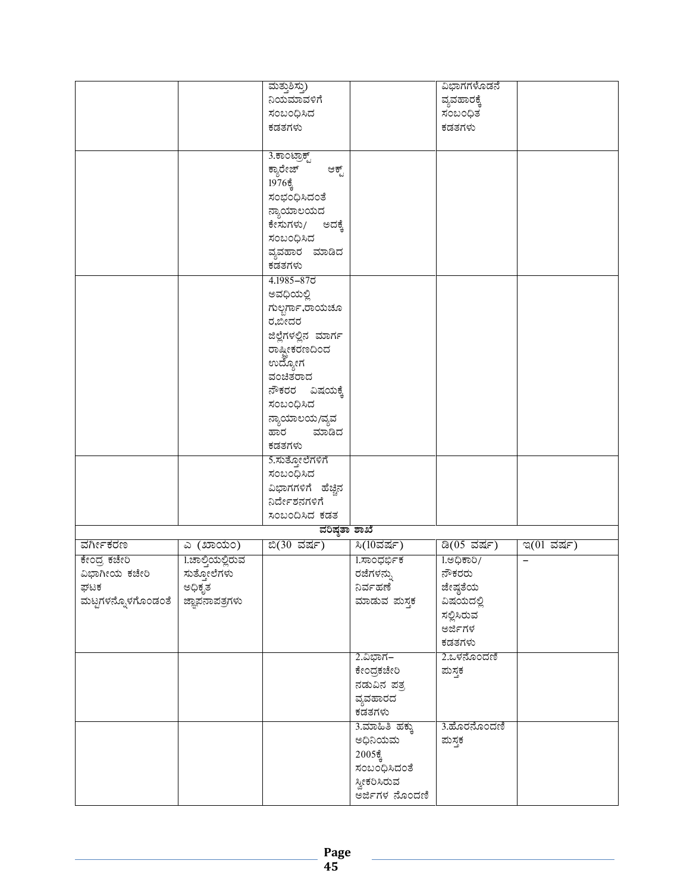|                    |                  | ಮತ್ತುಶಿಸ್ತು)        |                   | ವಿಭಾಗಗಳೊಡನೆ       |                          |
|--------------------|------------------|---------------------|-------------------|-------------------|--------------------------|
|                    |                  | ನಿಯಮಾವಳಿಗೆ          |                   | ವ್ಯವಹಾರಕ್ಕೆ       |                          |
|                    |                  | ಸಂಬಂಧಿಸಿದ           |                   | ಸಂಬಂಧಿತ           |                          |
|                    |                  | ಕಡತಗಳು              |                   | ಕಡತಗಳು            |                          |
|                    |                  |                     |                   |                   |                          |
|                    |                  | 3.ಕಾಂಟ್ರಾಕ್ಟ್       |                   |                   |                          |
|                    |                  | ಕ್ಯಾರೇಜ್<br>ಆಕ್ಟ್   |                   |                   |                          |
|                    |                  | $1976\frac{2}{9}$   |                   |                   |                          |
|                    |                  | ಸಂಭಂಧಿಸಿದಂತೆ        |                   |                   |                          |
|                    |                  | ನ್ಯಾಯಾಲಯದ           |                   |                   |                          |
|                    |                  |                     |                   |                   |                          |
|                    |                  | ಕೇಸುಗಳು/ ಅದಕ್ಕೆ     |                   |                   |                          |
|                    |                  | ಸಂಬಂಧಿಸಿದ           |                   |                   |                          |
|                    |                  | ವ್ಯವಹಾರ ಮಾಡಿದ       |                   |                   |                          |
|                    |                  | ಕಡತಗಳು              |                   |                   |                          |
|                    |                  | 4.1985-875          |                   |                   |                          |
|                    |                  | ಅವಧಿಯಲ್ಲಿ           |                   |                   |                          |
|                    |                  | ಗುಲ್ಬರ್ಗಾ,ರಾಯಚೂ     |                   |                   |                          |
|                    |                  | ರ,ಬೀದರ              |                   |                   |                          |
|                    |                  | ಜಿಲ್ಲೆಗಳಲ್ಲಿನ ಮಾರ್ಗ |                   |                   |                          |
|                    |                  | ರಾಷ್ಟೀಕರಣದಿಂದ       |                   |                   |                          |
|                    |                  | ಉದ್ಯೋಗ              |                   |                   |                          |
|                    |                  | ವಂಚಿತರಾದ            |                   |                   |                          |
|                    |                  | ನೌಕರರ ವಿಷಯಕ್ಕೆ      |                   |                   |                          |
|                    |                  | ಸಂಬಂಧಿಸಿದ           |                   |                   |                          |
|                    |                  | ನ್ಯಾಯಾಲಯ/ವ್ಯವ       |                   |                   |                          |
|                    |                  | ಹಾರ ಮಾಡಿದ           |                   |                   |                          |
|                    |                  | ಕಡತಗಳು              |                   |                   |                          |
|                    |                  | 5.ಸುತ್ತೋಲೆಗಳಿಗೆ     |                   |                   |                          |
|                    |                  | ಸಂಬಂಧಿಸಿದ           |                   |                   |                          |
|                    |                  | ವಿಭಾಗಗಳಿಗೆ ಹೆಚ್ಚಿನ  |                   |                   |                          |
|                    |                  | ನಿರ್ದೇಶನಗಳಿಗೆ       |                   |                   |                          |
|                    |                  |                     |                   |                   |                          |
|                    |                  | ಸಂಬಂದಿಸಿದ ಕಡತ       |                   |                   |                          |
|                    |                  | ವರಿಷ್ಠತಾ ಶಾಖೆ       |                   |                   |                          |
| ವರ್ಗೀಕರಣ           | ಎ (ಖಾಯಂ)         | ಬಿ(30 ವರ್ಷ)         | ಸಿ(10ವರ್ಷ)        | ಡಿ(05 ವರ್ಷ)       | ಇ $(01$ ವರ್ಷ)            |
| ಕೇಂದ್ರ ಕಚೇರಿ       | 1.ಚಾಲ್ತಿಯಲ್ಲಿರುವ |                     | 1.ಸಾಂಧರ್ಭಿಕ       | <u>1.ಅಧಿಕಾರಿ/</u> | $\overline{\phantom{0}}$ |
| ವಿಭಾಗೀಯ ಕಚೇರಿ      | ಸುತ್ತೋಲೆಗಳು      |                     | ರಜೆಗಳನ್ನು         | ನೌಕರರು            |                          |
| ಘಟಕ                | ಅಧಿಕೃತ           |                     | ನಿರ್ವಹಣೆ          | ಜೇಷ್ಠತೆಯ          |                          |
| ಮಟ್ಟಗಳನ್ನೊಳಗೊಂಡಂತೆ | ಜ್ಞಾಪನಾಪತ್ರಗಳು   |                     | ಮಾಡುವ ಮಸ್ತಕ       | ವಿಷಯದಲ್ಲಿ         |                          |
|                    |                  |                     |                   | ಸಲ್ಲಿಸಿರುವ        |                          |
|                    |                  |                     |                   | ಅರ್ಜಿಗಳ           |                          |
|                    |                  |                     |                   | ಕಡತಗಳು            |                          |
|                    |                  |                     | 2.ವಿಭಾಗ–          | 2.ಒಳನೊಂದಣಿ        |                          |
|                    |                  |                     | ಕೇಂದ್ರಕಚೇರಿ       | ಮಸ್ತಕ             |                          |
|                    |                  |                     | ನಡುವಿನ ಪತ್ರ       |                   |                          |
|                    |                  |                     | ವ್ಯವಹಾರದ          |                   |                          |
|                    |                  |                     | ಕಡತಗಳು            |                   |                          |
|                    |                  |                     | 3.ಮಾಹಿತಿ ಹಕ್ಕು    | 3.ಹೊರನೊಂದಣಿ       |                          |
|                    |                  |                     | ಅಧಿನಿಯಮ           | ಮಸ್ತಕ             |                          |
|                    |                  |                     | $2005\frac{2}{9}$ |                   |                          |
|                    |                  |                     | ಸಂಬಂಧಿಸಿದಂತೆ      |                   |                          |
|                    |                  |                     | ಸ್ವೀಕರಿಸಿರುವ      |                   |                          |
|                    |                  |                     | ಅರ್ಜಿಗಳ ನೊಂದಣಿ    |                   |                          |
|                    |                  |                     |                   |                   |                          |

Page<br>45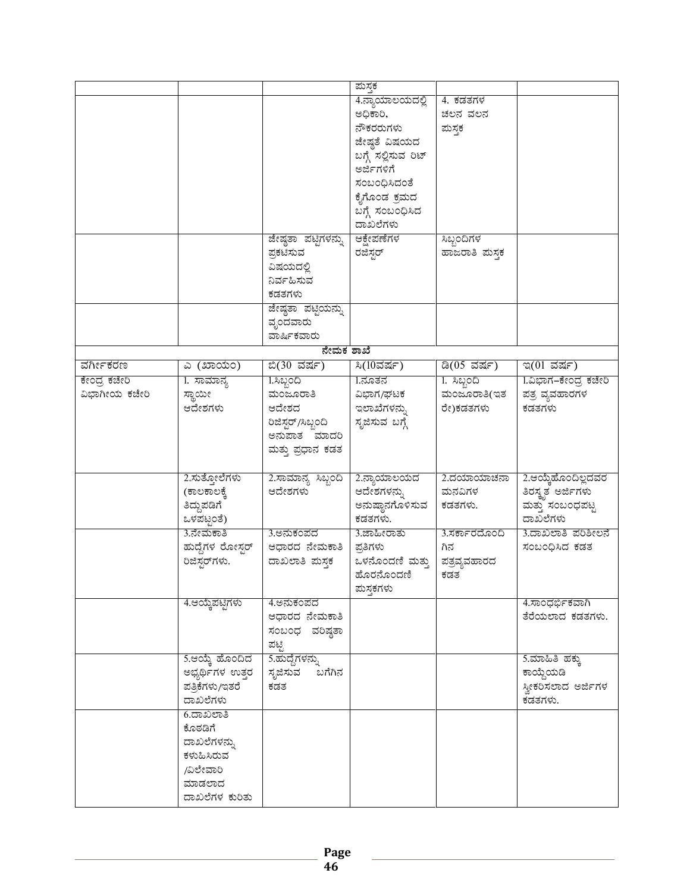|               |                          |                         | ಮಸ್ತಕ               |               |                      |
|---------------|--------------------------|-------------------------|---------------------|---------------|----------------------|
|               |                          |                         | 4.ನ್ಯಾಯಾಲಯದಲ್ಲಿ     | 4. ಕಡತಗಳ      |                      |
|               |                          |                         | ಅಧಿಕಾರಿ,            | ಚಲನ ವಲನ       |                      |
|               |                          |                         |                     |               |                      |
|               |                          |                         | ನೌಕರರುಗಳು           | ಮಸ್ತಕ         |                      |
|               |                          |                         | ಜೇಷ್ಠತೆ ವಿಷಯದ       |               |                      |
|               |                          |                         | ಬಗ್ಗೆ ಸಲ್ಲಿಸುವ ರಿಟ್ |               |                      |
|               |                          |                         | ಅರ್ಜಿಗಳಿಗೆ          |               |                      |
|               |                          |                         | ಸಂಬಂಧಿಸಿದಂತೆ        |               |                      |
|               |                          |                         | ಕೈಗೊಂಡ ಕ್ರಮದ        |               |                      |
|               |                          |                         | ಬಗ್ಗೆ ಸಂಬಂಧಿಸಿದ     |               |                      |
|               |                          |                         | ದಾಖಲೆಗಳು            |               |                      |
|               |                          | ಜೇಷ್ಠತಾ ಪಟ್ಟಿಗಳನ್ನು     | ಆಕ್ಷೇಪಣೆಗಳ          | ಸಿಬ್ಬಂದಿಗಳ    |                      |
|               |                          | ಪ್ರಕಟಿಸುವ               | ರಜಿಸ್ತರ್            | ಹಾಜರಾತಿ ಮಸ್ತಕ |                      |
|               |                          | ವಿಷಯದಲ್ಲಿ               |                     |               |                      |
|               |                          | ನಿರ್ವಹಿಸುವ              |                     |               |                      |
|               |                          | ಕಡತಗಳು                  |                     |               |                      |
|               |                          | ಜೇಷ್ಠತಾ ಪಟ್ಟಿಯನ್ನು      |                     |               |                      |
|               |                          |                         |                     |               |                      |
|               |                          | ವೃಂದವಾರು<br>ವಾರ್ಷಿಕವಾರು |                     |               |                      |
|               |                          | ನೇಮಕ ಶಾಖೆ               |                     |               |                      |
|               |                          |                         |                     |               |                      |
| ವರ್ಗೀಕರಣ      | <u>ಎ (ಖಾಯಂ)</u>          | ಬಿ(30 ವರ್ಷ)             | ಸಿ $(10$ ವರ್ಷ)      | ಡಿ(05 ವರ್ಷ)   | ಇ(01 ವರ್ಷ)           |
| ಕೇಂದ್ರ ಕಚೇರಿ  | 1. ಸಾಮಾನ್ಯ               | 1.ಸಿಬ್ಬಂದಿ              | 1.ನೂತನ              | 1. ಸಿಬ್ಬಂದಿ   | 1.ವಿಭಾಗ–ಕೇಂದ್ರ ಕಚೇರಿ |
| ವಿಭಾಗೀಯ ಕಚೇರಿ | ಸ್ಥಾಯೀ                   | ಮಂಜೂರಾತಿ                | ವಿಭಾಗ/ಘಟಕ           | ಮಂಜೂರಾತಿ(ಇತ   | ಪತ್ರ ವ್ಯವಹಾರಗಳ       |
|               | ಆದೇಶಗಳು                  | ಆದೇಶದ                   | ಇಲಾಖೆಗಳನ್ನು         | ರೇ)ಕಡತಗಳು     | ಕಡತಗಳು               |
|               |                          | ರಿಜಿಸ್ಟರ್/ಸಿಬ್ಬಂದಿ      | ಸೃಜಿಸುವ ಬಗ್ಗೆ       |               |                      |
|               |                          | ಅನುಪಾತ ಮಾದರಿ            |                     |               |                      |
|               |                          | ಮತ್ತು ಪ್ರಧಾನ ಕಡತ        |                     |               |                      |
|               |                          |                         |                     |               |                      |
|               | 2.ಸುತ್ತೋಲೆಗಳು            | 2.ಸಾಮಾನ್ಯ ಸಿಬ್ಬಂದಿ      | 2.ನ್ಯಾಯಾಲಯದ         | 2.ದಯಾಯಾಚನಾ    | 2.ಆಯ್ಕೆಹೊಂದಿಲ್ಲದವರ   |
|               | (ಕಾಲಕಾಲಕೆ,               | ಆದೇಶಗಳು                 | ಆದೇಶಗಳನ್ನು          | ಮನವಿಗಳ        | ತಿರಸ್ತೃತ ಅರ್ಜಿಗಳು    |
|               | ತಿದ್ದುಪಡಿಗೆ              |                         | ಅನುಷ್ಠಾನಗೊಳಿಸುವ     | ಕಡತಗಳು.       | ಮತ್ತು ಸಂಬಂಧಪಟ್ಟ      |
|               | ಒಳಪಟ್ಟಂತೆ)               |                         | ಕಡತಗಳು.             |               | ದಾಖಲೆಗಳು             |
|               | 3.ನೇಮಕಾತಿ                | 3.ಅನುಕಂಪದ               | 3.ಜಾಹೀರಾತು          | 3.ಸರ್ಕಾರದೊಂದಿ | 3.ದಾಖಲಾತಿ ಪರಿಶೀಲನೆ   |
|               |                          |                         |                     |               |                      |
|               | ಹುದ್ದೆಗಳ ರೋಸ್ಸರ್         | ಆಧಾರದ ನೇಮಕಾತಿ           | ಪ್ರತಿಗಳು            | ಗಿನ           | ಸಂಬಂಧಿಸಿದ ಕಡತ        |
|               | ರಿಜಿಸ್ಟರ್ಗಳು.            | ದಾಖಲಾತಿ ಮಸ್ತಕ           | ಒಳನೊಂದಣಿ ಮತ್ತು      | ಪತ್ರವ್ಯವಹಾರದ  |                      |
|               |                          |                         | ಹೊರನೊಂದಣಿ           | ಕಡತ           |                      |
|               |                          |                         | ಮಸ್ತಕಗಳು            |               |                      |
|               | 4.ಆಯ್ಕೆಪಟ್ಟಿಗಳು          | 4.ಅನುಕಂಪದ               |                     |               | 4.ಸಾಂಧರ್ಭಿಕವಾಗಿ      |
|               |                          | ಆಧಾರದ ನೇಮಕಾತಿ           |                     |               | ತೆರೆಯಲಾದ ಕಡತಗಳು.     |
|               |                          | ಸಂಬಂಧ ವರಿಷ್ಠತಾ          |                     |               |                      |
|               |                          | ಪಟ್ಟಿ                   |                     |               |                      |
|               | 5.ಆಯ್ಕೆ ಹೊಂದಿದ           | 5.ಹುದ್ದೆಗಳನ್ನು          |                     |               | 5.ಮಾಹಿತಿ ಹಕ್ಕು       |
|               | ಅಭ್ಯರ್ಥಿಗಳ ಉತ್ತರ         | ಬಗೆಗಿನ<br>ಸೃಜಿಸುವ       |                     |               | ಕಾಯ್ದೆಯಡಿ            |
|               | ಪತ್ರಿಕೆಗಳು/ಇತರೆ          | ಕಡತ                     |                     |               | ಸ್ವೀಕರಿಸಲಾದ ಅರ್ಜಿಗಳ  |
|               |                          |                         |                     |               | ಕಡತಗಳು.              |
|               |                          |                         |                     |               |                      |
|               | ದಾಖಲೆಗಳು                 |                         |                     |               |                      |
|               | 6.ದಾಖಲಾತಿ                |                         |                     |               |                      |
|               | ಕೊಠಡಿಗೆ                  |                         |                     |               |                      |
|               | ದಾಖಲೆಗಳನ್ನು              |                         |                     |               |                      |
|               | ಕಳುಹಿಸಿರುವ               |                         |                     |               |                      |
|               | /ವಿಲೇವಾರಿ                |                         |                     |               |                      |
|               | ಮಾಡಲಾದ<br>ದಾಖಲೆಗಳ ಕುರಿತು |                         |                     |               |                      |

Page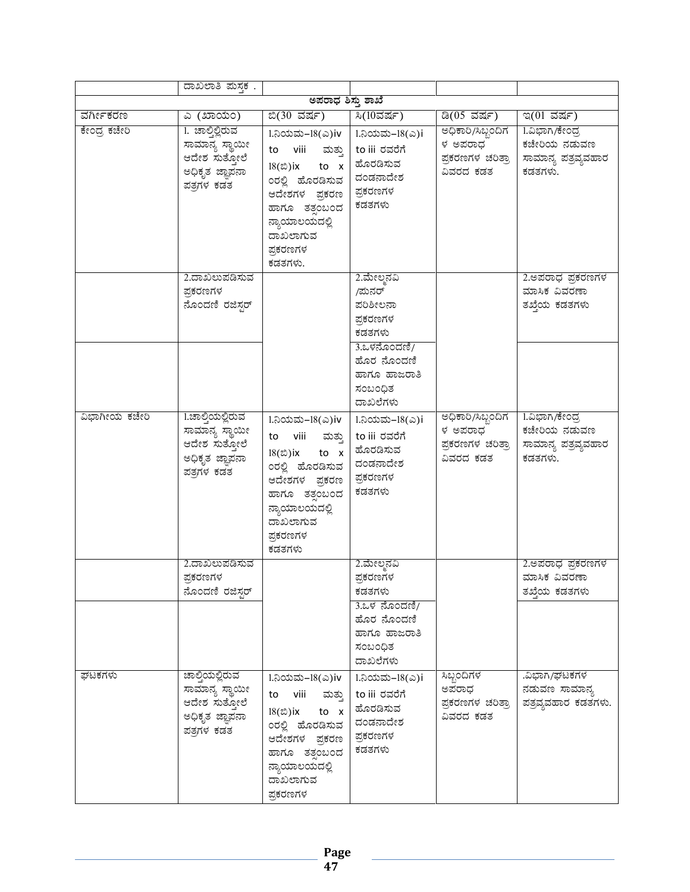|               | ದಾಖಲಾತಿ ಮಸ್ತಕ.                                                                      |                                                                                                                                                                             |                                                                                                       |                                                               |                                                                  |
|---------------|-------------------------------------------------------------------------------------|-----------------------------------------------------------------------------------------------------------------------------------------------------------------------------|-------------------------------------------------------------------------------------------------------|---------------------------------------------------------------|------------------------------------------------------------------|
|               |                                                                                     | ಅಪರಾಧ ಶಿಸ್ತು ಶಾಖೆ                                                                                                                                                           |                                                                                                       |                                                               |                                                                  |
| ವರ್ಗೀಕರಣ      | ಎ (ಖಾಯಂ)                                                                            | <u> ಬಿ(30 ವರ್ಷ)</u>                                                                                                                                                         | ಸಿ(10ವರ್ಷ)                                                                                            | ಡಿ(05 ವರ್ಷ)                                                   | ಇ(01 ವರ್ಷ)                                                       |
| ಕೇಂದ್ರ ಕಚೇರಿ  | 1. ಚಾಲ್ತಿಲ್ಲಿರುವ<br>ಸಾಮಾನ್ಯ ಸ್ಥಾಯೀ<br>ಆದೇಶ ಸುತ್ತೋಲೆ<br>ಅಧಿಕೃತ ಜ್ಞಾಪನಾ<br>ಪತ್ರಗಳ ಕಡತ | 1.ನಿಯಮ–18(ಎ)iv<br>to viii ಮತ್ತು to iii ರವರೆಗೆ<br>$18(2)$ ix to x<br>0ರಲ್ಲಿ ಹೊರಡಿಸುವ<br>ಆದೇಶಗಳ ಪ್ರಕರಣ  <br>ಹಾಗೂ ತತ್ತಂಬಂದ<br>ನ್ಯಾಯಾಲಯದಲ್ಲಿ<br>ದಾಖಲಾಗುವ<br>ಪ್ರಕರಣಗಳ<br>ಕಡತಗಳು. | 1.ನಿಯಮ–18(ಎ)i<br>ಹೊರಡಿಸುವ<br>ದಂಡನಾದೇಶ<br>ಪ್ರಕರಣಗಳ<br>ಕಡತಗಳು                                           | ಅಧಿಕಾರಿ/ಸಿಬ್ಬಂದಿಗ<br>ಳ ಅಪರಾಧ<br>ಪ್ರಕರಣಗಳ ಚರಿತ್ರಾ<br>ವಿವರದ ಕಡತ | 1.ವಿಭಾಗ/ಕೇಂದ್ರ<br>ಕಚೇರಿಯ ನಡುವಣ<br>ಸಾಮಾನ್ಯ ಪತ್ರವ್ಯವಹಾರ<br>ಕಡತಗಳು. |
|               | 2.ದಾಖಲುಪಡಿಸುವ<br>ಪ್ರಕರಣಗಳ<br>ನೊಂದಣಿ ರಜಿಸ್ಗರ್                                        |                                                                                                                                                                             | 2.ಮೇಲ್ಪನವಿ<br>/ಮನರ್<br>ಪರಿಶೀಲನಾ<br>ಪ್ರಕರಣಗಳ<br>ಕಡತಗಳು<br>3.ಒಳನೊಂದಣಿ/                                  |                                                               | 2.ಅಪರಾಧ ಪ್ರಕರಣಗಳ<br>ಮಾಸಿಕ ವಿವರಣಾ<br>ತಖ್ತೆಯ ಕಡತಗಳು                |
|               |                                                                                     |                                                                                                                                                                             | ಹೊರ ನೊಂದಣಿ<br>ಹಾಗೂ ಹಾಜರಾತಿ<br>ಸಂಬಂಧಿತ<br>ದಾಖಲೆಗಳು                                                     |                                                               |                                                                  |
| ವಿಭಾಗೀಯ ಕಚೇರಿ | 1.ಚಾಲ್ತಿಯಲ್ಲಿರುವ<br>ಸಾಮಾನ್ಯ ಸ್ಥಾಯೀ<br>ಆದೇಶ ಸುತ್ತೋಲೆ<br>ಅಧಿಕೃತ ಜ್ಞಾಪನಾ<br>ಪತ್ರಗಳ ಕಡತ | 1.ನಿಯಮ–18(ಎ)iv<br>to viii ಮತ್ತು<br>$18(2)$ ix to x<br>ಂರಲ್ಲಿ ಹೊರಡಿಸುವ<br>ಆದೇಶಗಳ ಪ್ರಕರಣ  <br>ಹಾಗೂ ತತಂಬಂದ<br>ನ್ಯಾಯಾಲಯದಲ್ಲಿ<br>ದಾಖಲಾಗುವ<br>ಪ್ರಕರಣಗಳ<br>ಕಡತಗಳು                  | 1.ನಿಯಮ–18(ಎ)i<br>to iii ರವರೆಗೆ<br>ಹೊರಡಿಸುವ<br>ದಂಡನಾದೇಶ<br>ಪ್ರಕರಣಗಳ<br>ಕಡತಗಳು                          | ಅಧಿಕಾರಿ/ಸಿಬ್ಬಂದಿಗ<br>ಳ ಅಪರಾಧ<br>ಪ್ರಕರಣಗಳ ಚರಿತ್ರಾ<br>ವಿವರದ ಕಡತ | 1.ವಿಭಾಗ/ಕೇಂದ್ರ<br>ಕಚೇರಿಯ ನಡುವಣ<br>ಸಾಮಾನ್ಯ ಪತ್ರವ್ಯವಹಾರ<br>ಕಡತಗಳು. |
|               | 2.ದಾಖಲುಪಡಿಸುವ<br>ಪ್ರಕರಣಗಳ<br>ನೊಂದಣಿ ರಜಿಸ್ಟರ್                                        |                                                                                                                                                                             | 2.ಮೇಲ್ಮನವಿ<br>ಪ್ರಕರಣಗಳ<br>ಕಡತಗಳು<br>3.ಒಳ ನೊಂದಣಿ/<br>ಹೊರ ನೊಂದಣಿ<br>ಹಾಗೂ ಹಾಜರಾತಿ<br>ಸಂಬಂಧಿತ<br>ದಾಖಲೆಗಳು |                                                               | 2.ಅಪರಾಧ ಪ್ರಕರಣಗಳ<br>ಮಾಸಿಕ ವಿವರಣಾ<br>ತಖ್ತೆಯ ಕಡತಗಳು                |
| ಘಟಕಗಳು        | ಚಾಲ್ತಿಯಲ್ಲಿರುವ<br>ಸಾಮಾನ್ಯ ಸ್ಥಾಯೀ<br>ಆದೇಶ ಸುತ್ತೋಲೆ<br>ಅಧಿಕೃತ ಜ್ಞಾಪನಾ<br>ಪತ್ರಗಳ ಕಡತ   | 1.ನಿಯಮ–18(ಎ)iv<br>viii<br>ಮತ್ತು<br>to<br>$18(2)$ ix<br>to x<br>ಂರಲ್ಲಿ ಹೊರಡಿಸುವ<br>ಆದೇಶಗಳ ಪ್ರಕರಣ<br>ಹಾಗೂ ತತ್ಪಂಬಂದ<br>ನ್ಯಾಯಾಲಯದಲ್ಲಿ<br>ದಾಖಲಾಗುವ<br>ಪ್ರಕರಣಗಳ                   | 1.ನಿಯಮ-18(ಎ)i<br>to iii ರವರೆಗೆ<br>ಹೊರಡಿಸುವ<br>ದಂಡನಾದೇಶ<br>ಪ್ರಕರಣಗಳ<br>ಕಡತಗಳು                          | ಸಿಬ್ಬಂದಿಗಳ<br>ಅಪರಾಧ<br>ಪ್ರಕರಣಗಳ ಚರಿತ್ರಾ<br>ವಿವರದ ಕಡತ          | .ವಿಭಾಗ/ಘಟಕಗಳ<br>ನಡುವಣ ಸಾಮಾನ್ಯ<br>ಪತ್ರವ್ಯವಹಾರ ಕಡತಗಳು.             |